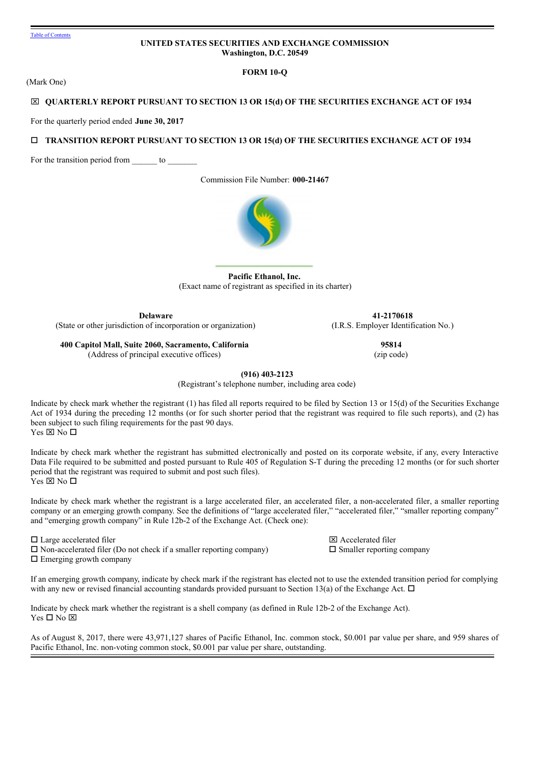#### $\det$  of Contents

## **UNITED STATES SECURITIES AND EXCHANGE COMMISSION Washington, D.C. 20549**

## **FORM 10-Q**

(Mark One)

# x **QUARTERLY REPORT PURSUANT TO SECTION 13 OR 15(d) OF THE SECURITIES EXCHANGE ACT OF 1934**

For the quarterly period ended **June 30, 2017**

# o **TRANSITION REPORT PURSUANT TO SECTION 13 OR 15(d) OF THE SECURITIES EXCHANGE ACT OF 1934**

For the transition period from \_\_\_\_\_\_\_ to \_

Commission File Number: **000-21467**



**Pacific Ethanol, Inc.** (Exact name of registrant as specified in its charter)

**Delaware** (State or other jurisdiction of incorporation or organization)

**400 Capitol Mall, Suite 2060, Sacramento, California** (Address of principal executive offices)

**(916) 403-2123**

(Registrant's telephone number, including area code)

Indicate by check mark whether the registrant (1) has filed all reports required to be filed by Section 13 or 15(d) of the Securities Exchange Act of 1934 during the preceding 12 months (or for such shorter period that the registrant was required to file such reports), and (2) has been subject to such filing requirements for the past 90 days. Yes  $\times$  No  $\Box$ 

Indicate by check mark whether the registrant has submitted electronically and posted on its corporate website, if any, every Interactive Data File required to be submitted and posted pursuant to Rule 405 of Regulation S-T during the preceding 12 months (or for such shorter period that the registrant was required to submit and post such files). Yes  $\times$  No  $\Box$ 

Indicate by check mark whether the registrant is a large accelerated filer, an accelerated filer, a non-accelerated filer, a smaller reporting company or an emerging growth company. See the definitions of "large accelerated filer," "accelerated filer," "smaller reporting company" and "emerging growth company" in Rule 12b-2 of the Exchange Act. (Check one):

 $\square$  Large accelerated filer  $\square$  Accelerated filer

 $\square$  Non-accelerated filer (Do not check if a smaller reporting company)  $\square$  Smaller reporting company  $\Box$  Emerging growth company

If an emerging growth company, indicate by check mark if the registrant has elected not to use the extended transition period for complying with any new or revised financial accounting standards provided pursuant to Section 13(a) of the Exchange Act.  $\Box$ 

Indicate by check mark whether the registrant is a shell company (as defined in Rule 12b-2 of the Exchange Act). Yes  $\square$  No  $\square$ 

As of August 8, 2017, there were 43,971,127 shares of Pacific Ethanol, Inc. common stock, \$0.001 par value per share, and 959 shares of Pacific Ethanol, Inc. non-voting common stock, \$0.001 par value per share, outstanding.

**41-2170618** (I.R.S. Employer Identification No.)

> **95814** (zip code)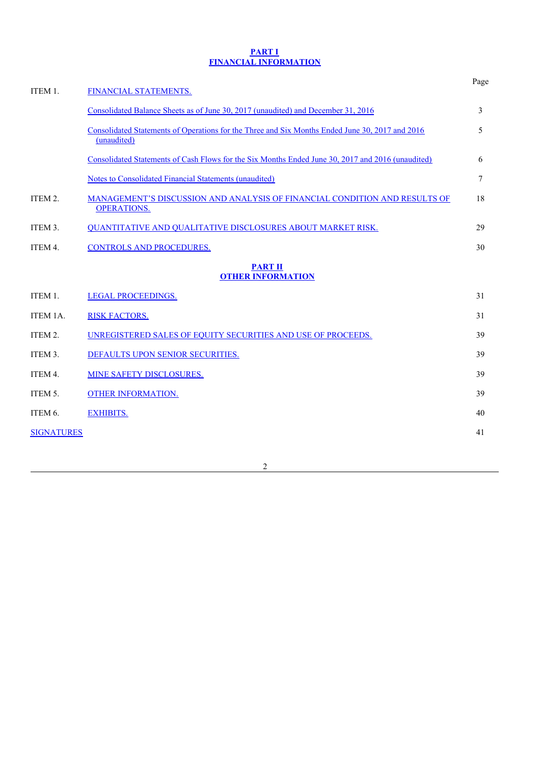## **PART I FINANCIAL INFORMATION**

| ITEM 1.           | FINANCIAL STATEMENTS.                                                                                          | Page   |
|-------------------|----------------------------------------------------------------------------------------------------------------|--------|
|                   | Consolidated Balance Sheets as of June 30, 2017 (unaudited) and December 31, 2016                              | 3      |
|                   | Consolidated Statements of Operations for the Three and Six Months Ended June 30, 2017 and 2016<br>(unaudited) | 5      |
|                   | Consolidated Statements of Cash Flows for the Six Months Ended June 30, 2017 and 2016 (unaudited)              | 6      |
|                   | Notes to Consolidated Financial Statements (unaudited)                                                         | $\tau$ |
| ITEM 2.           | MANAGEMENT'S DISCUSSION AND ANALYSIS OF FINANCIAL CONDITION AND RESULTS OF<br><b>OPERATIONS.</b>               | 18     |
| ITEM 3.           | <b>QUANTITATIVE AND QUALITATIVE DISCLOSURES ABOUT MARKET RISK.</b>                                             | 29     |
| ITEM 4.           | <b>CONTROLS AND PROCEDURES.</b>                                                                                | 30     |
|                   | <b>PART II</b><br><b>OTHER INFORMATION</b>                                                                     |        |
| ITEM 1.           | <b>LEGAL PROCEEDINGS.</b>                                                                                      | 31     |
| ITEM 1A.          | <b>RISK FACTORS.</b>                                                                                           | 31     |
| ITEM 2.           | UNREGISTERED SALES OF EQUITY SECURITIES AND USE OF PROCEEDS.                                                   | 39     |
| ITEM 3.           | DEFAULTS UPON SENIOR SECURITIES.                                                                               | 39     |
| ITEM 4.           | <b>MINE SAFETY DISCLOSURES.</b>                                                                                | 39     |
| ITEM 5.           | <b>OTHER INFORMATION.</b>                                                                                      | 39     |
| ITEM 6.           | <b>EXHIBITS.</b>                                                                                               | 40     |
| <b>SIGNATURES</b> |                                                                                                                | 41     |
|                   |                                                                                                                |        |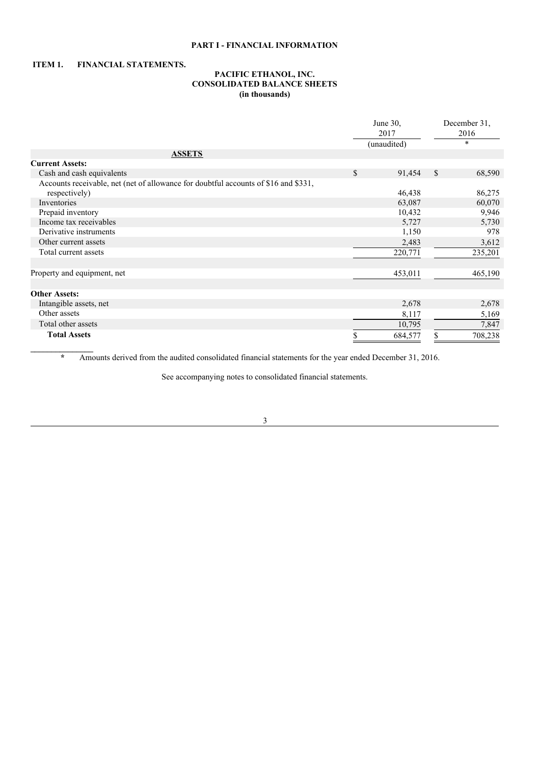# **PART I - FINANCIAL INFORMATION**

# **ITEM 1. FINANCIAL STATEMENTS.**

## **PACIFIC ETHANOL, INC. CONSOLIDATED BALANCE SHEETS (in thousands)**

|                                                                                     | June 30,<br>2017<br>(unaudited) |               | December 31,<br>2016<br>$\star$ |
|-------------------------------------------------------------------------------------|---------------------------------|---------------|---------------------------------|
| <b>ASSETS</b>                                                                       |                                 |               |                                 |
| <b>Current Assets:</b>                                                              |                                 |               |                                 |
| Cash and cash equivalents                                                           | \$<br>91,454                    | $\mathcal{S}$ | 68,590                          |
| Accounts receivable, net (net of allowance for doubtful accounts of \$16 and \$331, |                                 |               |                                 |
| respectively)                                                                       | 46,438                          |               | 86,275                          |
| Inventories                                                                         | 63,087                          |               | 60,070                          |
| Prepaid inventory                                                                   | 10,432                          |               | 9,946                           |
| Income tax receivables                                                              | 5,727                           |               | 5,730                           |
| Derivative instruments                                                              | 1,150                           |               | 978                             |
| Other current assets                                                                | 2,483                           |               | 3,612                           |
| Total current assets                                                                | 220,771                         |               | 235,201                         |
|                                                                                     |                                 |               |                                 |
| Property and equipment, net                                                         | 453,011                         |               | 465,190                         |
|                                                                                     |                                 |               |                                 |
| <b>Other Assets:</b>                                                                |                                 |               |                                 |
| Intangible assets, net                                                              | 2,678                           |               | 2,678                           |
| Other assets                                                                        | 8,117                           |               | 5,169                           |
| Total other assets                                                                  | 10,795                          |               | 7,847                           |
| <b>Total Assets</b>                                                                 | 684,577                         |               | 708,238                         |

**\*** Amounts derived from the audited consolidated financial statements for the year ended December 31, 2016.

See accompanying notes to consolidated financial statements.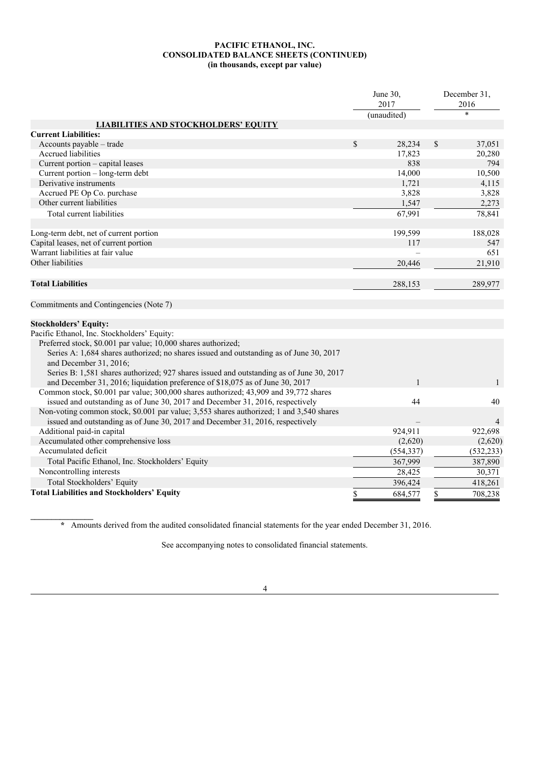## **PACIFIC ETHANOL, INC. CONSOLIDATED BALANCE SHEETS (CONTINUED) (in thousands, except par value)**

|                                                                                                                                                                        | June 30,<br>2017 |    | December 31,<br>2016      |
|------------------------------------------------------------------------------------------------------------------------------------------------------------------------|------------------|----|---------------------------|
|                                                                                                                                                                        | (unaudited)      |    | $\ast$                    |
| <b>LIABILITIES AND STOCKHOLDERS' EQUITY</b>                                                                                                                            |                  |    |                           |
| <b>Current Liabilities:</b>                                                                                                                                            |                  |    |                           |
| Accounts payable – trade                                                                                                                                               | \$<br>28,234     | \$ | 37,051                    |
| <b>Accrued liabilities</b>                                                                                                                                             | 17,823           |    | 20,280                    |
| Current portion - capital leases                                                                                                                                       | 838              |    | 794                       |
| Current portion - long-term debt                                                                                                                                       | 14,000           |    | 10,500                    |
| Derivative instruments                                                                                                                                                 | 1,721            |    | 4,115                     |
| Accrued PE Op Co. purchase                                                                                                                                             | 3,828            |    | 3,828                     |
| Other current liabilities                                                                                                                                              | 1,547            |    | 2,273                     |
| Total current liabilities                                                                                                                                              | 67,991           |    | 78,841                    |
| Long-term debt, net of current portion                                                                                                                                 | 199,599          |    | 188,028                   |
| Capital leases, net of current portion                                                                                                                                 | 117              |    | 547                       |
| Warrant liabilities at fair value                                                                                                                                      |                  |    | 651                       |
| Other liabilities                                                                                                                                                      | 20,446           |    | 21,910                    |
|                                                                                                                                                                        |                  |    |                           |
| <b>Total Liabilities</b>                                                                                                                                               | 288,153          |    | 289,977                   |
| Commitments and Contingencies (Note 7)                                                                                                                                 |                  |    |                           |
| <b>Stockholders' Equity:</b>                                                                                                                                           |                  |    |                           |
| Pacific Ethanol, Inc. Stockholders' Equity:                                                                                                                            |                  |    |                           |
| Preferred stock, \$0.001 par value; 10,000 shares authorized;                                                                                                          |                  |    |                           |
| Series A: 1,684 shares authorized; no shares issued and outstanding as of June 30, 2017<br>and December 31, 2016;                                                      |                  |    |                           |
| Series B: 1,581 shares authorized; 927 shares issued and outstanding as of June 30, 2017                                                                               | $\mathbf{1}$     |    |                           |
| and December 31, 2016; liquidation preference of \$18,075 as of June 30, 2017                                                                                          |                  |    | 1                         |
| Common stock, \$0.001 par value; 300,000 shares authorized; 43,909 and 39,772 shares<br>issued and outstanding as of June 30, 2017 and December 31, 2016, respectively | 44               |    | 40                        |
| Non-voting common stock, \$0.001 par value; 3,553 shares authorized; 1 and 3,540 shares                                                                                |                  |    |                           |
|                                                                                                                                                                        |                  |    |                           |
| issued and outstanding as of June 30, 2017 and December 31, 2016, respectively<br>Additional paid-in capital                                                           | 924,911          |    | $\overline{4}$<br>922,698 |
|                                                                                                                                                                        |                  |    |                           |
| Accumulated other comprehensive loss<br>Accumulated deficit                                                                                                            | (2,620)          |    | (2,620)                   |
|                                                                                                                                                                        | (554, 337)       |    | (532, 233)                |
| Total Pacific Ethanol, Inc. Stockholders' Equity                                                                                                                       | 367,999          |    | 387,890                   |
| Noncontrolling interests                                                                                                                                               | 28,425           |    | 30,371                    |
| Total Stockholders' Equity                                                                                                                                             | 396,424          |    | 418,261                   |
| <b>Total Liabilities and Stockholders' Equity</b>                                                                                                                      | \$<br>684,577    | \$ | 708,238                   |

**\*** Amounts derived from the audited consolidated financial statements for the year ended December 31, 2016.

See accompanying notes to consolidated financial statements.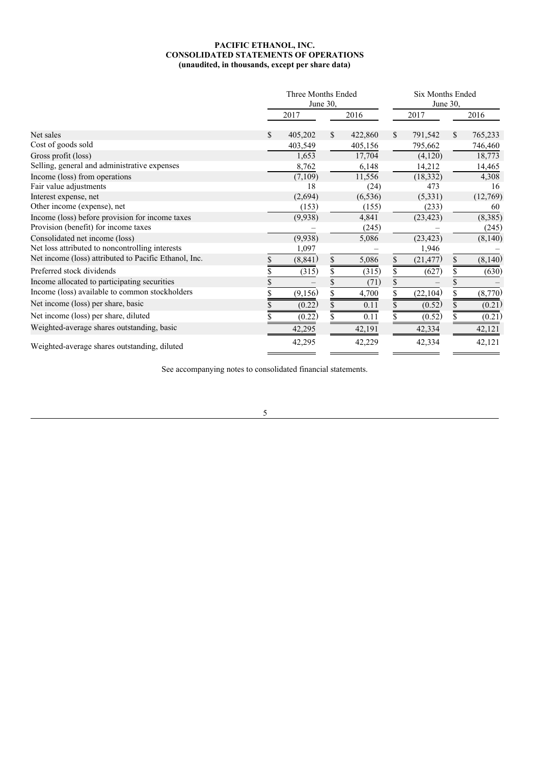## **PACIFIC ETHANOL, INC. CONSOLIDATED STATEMENTS OF OPERATIONS (unaudited, in thousands, except per share data)**

|                                                       |    | Three Months Ended<br>June 30, |    |          | Six Months Ended<br>June 30, |           |    |          |
|-------------------------------------------------------|----|--------------------------------|----|----------|------------------------------|-----------|----|----------|
|                                                       |    | 2017                           |    | 2016     |                              | 2017      |    | 2016     |
| Net sales                                             | S. | 405,202                        | \$ | 422,860  | \$                           | 791,542   | S  | 765,233  |
| Cost of goods sold                                    |    | 403,549                        |    | 405,156  |                              | 795,662   |    | 746,460  |
| Gross profit (loss)                                   |    | 1,653                          |    | 17,704   |                              | (4,120)   |    | 18,773   |
| Selling, general and administrative expenses          |    | 8,762                          |    | 6,148    |                              | 14,212    |    | 14,465   |
| Income (loss) from operations                         |    | (7,109)                        |    | 11,556   |                              | (18, 332) |    | 4,308    |
| Fair value adjustments                                |    | 18                             |    | (24)     |                              | 473       |    | 16       |
| Interest expense, net                                 |    | (2,694)                        |    | (6, 536) |                              | (5, 331)  |    | (12,769) |
| Other income (expense), net                           |    | (153)                          |    | (155)    |                              | (233)     |    | 60       |
| Income (loss) before provision for income taxes       |    | (9,938)                        |    | 4,841    |                              | (23, 423) |    | (8,385)  |
| Provision (benefit) for income taxes                  |    |                                |    | (245)    |                              |           |    | (245)    |
| Consolidated net income (loss)                        |    | (9,938)                        |    | 5,086    |                              | (23, 423) |    | (8,140)  |
| Net loss attributed to noncontrolling interests       |    | 1,097                          |    |          |                              | 1,946     |    |          |
| Net income (loss) attributed to Pacific Ethanol, Inc. |    | (8, 841)                       | \$ | 5,086    | \$                           | (21, 477) | \$ | (8,140)  |
| Preferred stock dividends                             |    | (315)                          | \$ | (315)    | \$                           | (627)     |    | (630)    |
| Income allocated to participating securities          |    |                                |    | (71)     | \$                           |           |    |          |
| Income (loss) available to common stockholders        |    | (9,156)                        | \$ | 4,700    | \$                           | (22, 104) |    | (8,770)  |
| Net income (loss) per share, basic                    |    | (0.22)                         | \$ | 0.11     |                              | (0.52)    | \$ | (0.21)   |
| Net income (loss) per share, diluted                  |    | (0.22)                         |    | 0.11     |                              | (0.52)    |    | (0.21)   |
| Weighted-average shares outstanding, basic            |    | 42,295                         |    | 42,191   |                              | 42,334    |    | 42,121   |
| Weighted-average shares outstanding, diluted          |    | 42,295                         |    | 42,229   |                              | 42,334    |    | 42,121   |

See accompanying notes to consolidated financial statements.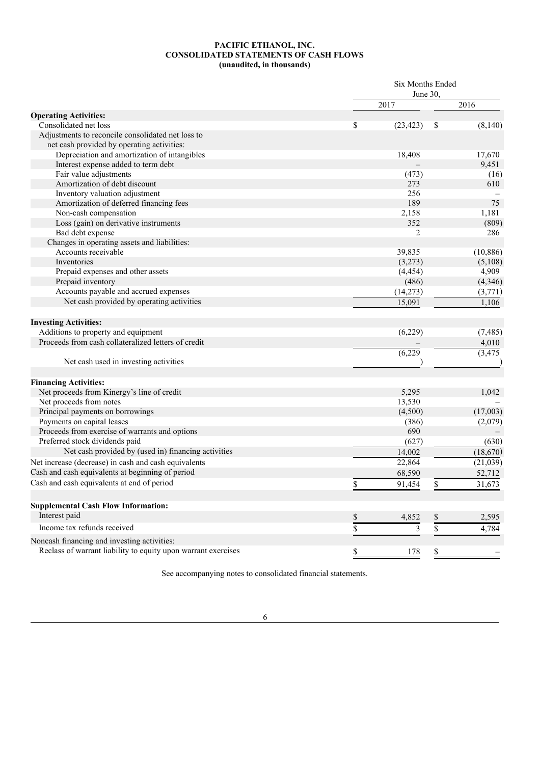### **PACIFIC ETHANOL, INC. CONSOLIDATED STATEMENTS OF CASH FLOWS (unaudited, in thousands)**

|                                                               | Six Months Ended<br>June 30, |                 |           |  |
|---------------------------------------------------------------|------------------------------|-----------------|-----------|--|
|                                                               |                              | 2017            | 2016      |  |
| <b>Operating Activities:</b>                                  |                              |                 |           |  |
| Consolidated net loss                                         | \$                           | (23, 423)<br>\$ | (8,140)   |  |
| Adjustments to reconcile consolidated net loss to             |                              |                 |           |  |
| net cash provided by operating activities:                    |                              |                 |           |  |
| Depreciation and amortization of intangibles                  |                              | 18,408          | 17,670    |  |
| Interest expense added to term debt                           |                              |                 | 9,451     |  |
| Fair value adjustments                                        |                              | (473)           | (16)      |  |
| Amortization of debt discount                                 |                              | 273             | 610       |  |
| Inventory valuation adjustment                                |                              | 256             |           |  |
| Amortization of deferred financing fees                       |                              | 189             | 75        |  |
| Non-cash compensation                                         |                              | 2,158           | 1,181     |  |
| Loss (gain) on derivative instruments                         |                              | 352             | (809)     |  |
| Bad debt expense                                              |                              | 2               | 286       |  |
| Changes in operating assets and liabilities:                  |                              |                 |           |  |
| Accounts receivable                                           |                              | 39,835          | (10, 886) |  |
| Inventories                                                   |                              | (3,273)         | (5,108)   |  |
| Prepaid expenses and other assets                             |                              | (4, 454)        | 4,909     |  |
| Prepaid inventory                                             |                              | (486)           | (4, 346)  |  |
| Accounts payable and accrued expenses                         |                              | (14,273)        | (3,771)   |  |
| Net cash provided by operating activities                     |                              | 15,091          | 1,106     |  |
| <b>Investing Activities:</b>                                  |                              |                 |           |  |
| Additions to property and equipment                           |                              | (6,229)         | (7, 485)  |  |
| Proceeds from cash collateralized letters of credit           |                              |                 | 4,010     |  |
|                                                               |                              | (6,229)         | (3, 475)  |  |
| Net cash used in investing activities                         |                              |                 |           |  |
| <b>Financing Activities:</b>                                  |                              |                 |           |  |
| Net proceeds from Kinergy's line of credit                    |                              | 5,295           | 1,042     |  |
| Net proceeds from notes                                       |                              | 13,530          |           |  |
| Principal payments on borrowings                              |                              | (4,500)         | (17,003)  |  |
| Payments on capital leases                                    |                              | (386)           | (2,079)   |  |
| Proceeds from exercise of warrants and options                |                              | 690             |           |  |
| Preferred stock dividends paid                                |                              | (627)           | (630)     |  |
| Net cash provided by (used in) financing activities           |                              | 14,002          | (18,670)  |  |
| Net increase (decrease) in cash and cash equivalents          |                              | 22,864          | (21,039)  |  |
| Cash and cash equivalents at beginning of period              |                              | 68,590          | 52,712    |  |
| Cash and cash equivalents at end of period                    | \$                           | 91,454<br>\$    | 31,673    |  |
|                                                               |                              |                 |           |  |
| <b>Supplemental Cash Flow Information:</b>                    |                              |                 |           |  |
| Interest paid                                                 | \$                           | 4,852<br>\$     | 2,595     |  |
| Income tax refunds received                                   | \$                           | \$<br>3         | 4,784     |  |
| Noncash financing and investing activities:                   |                              |                 |           |  |
| Reclass of warrant liability to equity upon warrant exercises | \$                           | 178<br>\$       |           |  |

See accompanying notes to consolidated financial statements.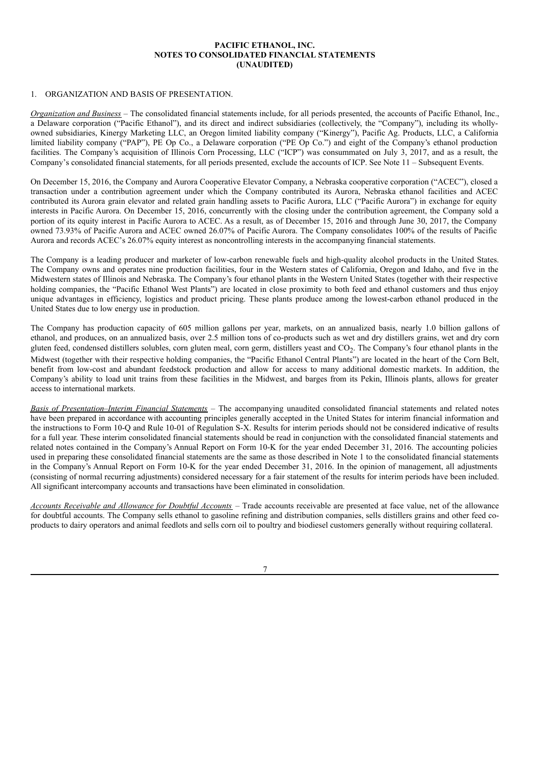## **PACIFIC ETHANOL, INC. NOTES TO CONSOLIDATED FINANCIAL STATEMENTS (UNAUDITED)**

#### 1. ORGANIZATION AND BASIS OF PRESENTATION.

*Organization and Business* – The consolidated financial statements include, for all periods presented, the accounts of Pacific Ethanol, Inc., a Delaware corporation ("Pacific Ethanol"), and its direct and indirect subsidiaries (collectively, the "Company"), including its whollyowned subsidiaries, Kinergy Marketing LLC, an Oregon limited liability company ("Kinergy"), Pacific Ag. Products, LLC, a California limited liability company ("PAP"), PE Op Co., a Delaware corporation ("PE Op Co.") and eight of the Company's ethanol production facilities. The Company's acquisition of Illinois Corn Processing, LLC ("ICP") was consummated on July 3, 2017, and as a result, the Company's consolidated financial statements, for all periods presented, exclude the accounts of ICP. See Note 11 – Subsequent Events.

On December 15, 2016, the Company and Aurora Cooperative Elevator Company, a Nebraska cooperative corporation ("ACEC"), closed a transaction under a contribution agreement under which the Company contributed its Aurora, Nebraska ethanol facilities and ACEC contributed its Aurora grain elevator and related grain handling assets to Pacific Aurora, LLC ("Pacific Aurora") in exchange for equity interests in Pacific Aurora. On December 15, 2016, concurrently with the closing under the contribution agreement, the Company sold a portion of its equity interest in Pacific Aurora to ACEC. As a result, as of December 15, 2016 and through June 30, 2017, the Company owned 73.93% of Pacific Aurora and ACEC owned 26.07% of Pacific Aurora. The Company consolidates 100% of the results of Pacific Aurora and records ACEC's 26.07% equity interest as noncontrolling interests in the accompanying financial statements.

The Company is a leading producer and marketer of low-carbon renewable fuels and high-quality alcohol products in the United States. The Company owns and operates nine production facilities, four in the Western states of California, Oregon and Idaho, and five in the Midwestern states of Illinois and Nebraska. The Company's four ethanol plants in the Western United States (together with their respective holding companies, the "Pacific Ethanol West Plants") are located in close proximity to both feed and ethanol customers and thus enjoy unique advantages in efficiency, logistics and product pricing. These plants produce among the lowest-carbon ethanol produced in the United States due to low energy use in production.

The Company has production capacity of 605 million gallons per year, markets, on an annualized basis, nearly 1.0 billion gallons of ethanol, and produces, on an annualized basis, over 2.5 million tons of co-products such as wet and dry distillers grains, wet and dry corn gluten feed, condensed distillers solubles, corn gluten meal, corn germ, distillers yeast and CO<sub>2</sub>. The Company's four ethanol plants in the Midwest (together with their respective holding companies, the "Pacific Ethanol Central Plants") are located in the heart of the Corn Belt, benefit from low-cost and abundant feedstock production and allow for access to many additional domestic markets. In addition, the Company's ability to load unit trains from these facilities in the Midwest, and barges from its Pekin, Illinois plants, allows for greater access to international markets.

*Basis of Presentation*–*Interim Financial Statements* – The accompanying unaudited consolidated financial statements and related notes have been prepared in accordance with accounting principles generally accepted in the United States for interim financial information and the instructions to Form 10-Q and Rule 10-01 of Regulation S-X. Results for interim periods should not be considered indicative of results for a full year. These interim consolidated financial statements should be read in conjunction with the consolidated financial statements and related notes contained in the Company's Annual Report on Form 10-K for the year ended December 31, 2016. The accounting policies used in preparing these consolidated financial statements are the same as those described in Note 1 to the consolidated financial statements in the Company's Annual Report on Form 10-K for the year ended December 31, 2016. In the opinion of management, all adjustments (consisting of normal recurring adjustments) considered necessary for a fair statement of the results for interim periods have been included. All significant intercompany accounts and transactions have been eliminated in consolidation.

*Accounts Receivable and Allowance for Doubtful Accounts* – Trade accounts receivable are presented at face value, net of the allowance for doubtful accounts. The Company sells ethanol to gasoline refining and distribution companies, sells distillers grains and other feed coproducts to dairy operators and animal feedlots and sells corn oil to poultry and biodiesel customers generally without requiring collateral.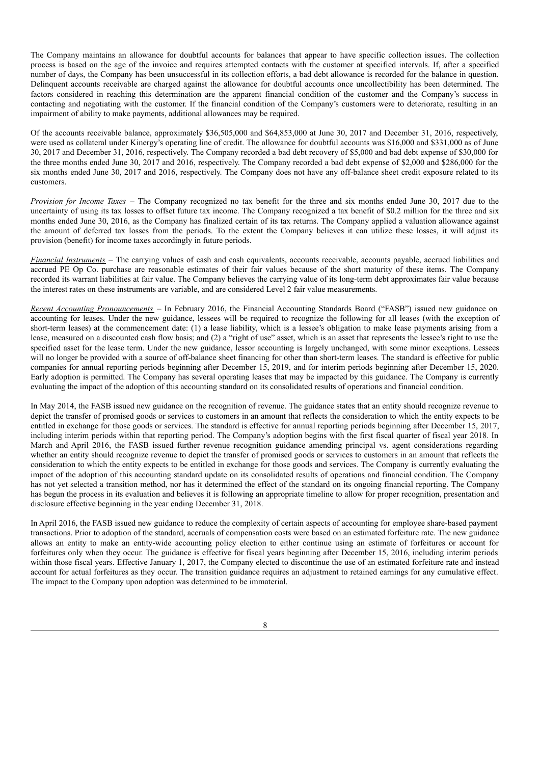The Company maintains an allowance for doubtful accounts for balances that appear to have specific collection issues. The collection process is based on the age of the invoice and requires attempted contacts with the customer at specified intervals. If, after a specified number of days, the Company has been unsuccessful in its collection efforts, a bad debt allowance is recorded for the balance in question. Delinquent accounts receivable are charged against the allowance for doubtful accounts once uncollectibility has been determined. The factors considered in reaching this determination are the apparent financial condition of the customer and the Company's success in contacting and negotiating with the customer. If the financial condition of the Company's customers were to deteriorate, resulting in an impairment of ability to make payments, additional allowances may be required.

Of the accounts receivable balance, approximately \$36,505,000 and \$64,853,000 at June 30, 2017 and December 31, 2016, respectively, were used as collateral under Kinergy's operating line of credit. The allowance for doubtful accounts was \$16,000 and \$331,000 as of June 30, 2017 and December 31, 2016, respectively. The Company recorded a bad debt recovery of \$5,000 and bad debt expense of \$30,000 for the three months ended June 30, 2017 and 2016, respectively. The Company recorded a bad debt expense of \$2,000 and \$286,000 for the six months ended June 30, 2017 and 2016, respectively. The Company does not have any off-balance sheet credit exposure related to its customers.

*Provision for Income Taxes* – The Company recognized no tax benefit for the three and six months ended June 30, 2017 due to the uncertainty of using its tax losses to offset future tax income. The Company recognized a tax benefit of \$0.2 million for the three and six months ended June 30, 2016, as the Company has finalized certain of its tax returns. The Company applied a valuation allowance against the amount of deferred tax losses from the periods. To the extent the Company believes it can utilize these losses, it will adjust its provision (benefit) for income taxes accordingly in future periods.

*Financial Instruments* – The carrying values of cash and cash equivalents, accounts receivable, accounts payable, accrued liabilities and accrued PE Op Co. purchase are reasonable estimates of their fair values because of the short maturity of these items. The Company recorded its warrant liabilities at fair value. The Company believes the carrying value of its long-term debt approximates fair value because the interest rates on these instruments are variable, and are considered Level 2 fair value measurements.

*Recent Accounting Pronouncements* – In February 2016, the Financial Accounting Standards Board ("FASB") issued new guidance on accounting for leases. Under the new guidance, lessees will be required to recognize the following for all leases (with the exception of short-term leases) at the commencement date: (1) a lease liability, which is a lessee's obligation to make lease payments arising from a lease, measured on a discounted cash flow basis; and (2) a "right of use" asset, which is an asset that represents the lessee's right to use the specified asset for the lease term. Under the new guidance, lessor accounting is largely unchanged, with some minor exceptions. Lessees will no longer be provided with a source of off-balance sheet financing for other than short-term leases. The standard is effective for public companies for annual reporting periods beginning after December 15, 2019, and for interim periods beginning after December 15, 2020. Early adoption is permitted. The Company has several operating leases that may be impacted by this guidance. The Company is currently evaluating the impact of the adoption of this accounting standard on its consolidated results of operations and financial condition.

In May 2014, the FASB issued new guidance on the recognition of revenue. The guidance states that an entity should recognize revenue to depict the transfer of promised goods or services to customers in an amount that reflects the consideration to which the entity expects to be entitled in exchange for those goods or services. The standard is effective for annual reporting periods beginning after December 15, 2017, including interim periods within that reporting period. The Company's adoption begins with the first fiscal quarter of fiscal year 2018. In March and April 2016, the FASB issued further revenue recognition guidance amending principal vs. agent considerations regarding whether an entity should recognize revenue to depict the transfer of promised goods or services to customers in an amount that reflects the consideration to which the entity expects to be entitled in exchange for those goods and services. The Company is currently evaluating the impact of the adoption of this accounting standard update on its consolidated results of operations and financial condition. The Company has not yet selected a transition method, nor has it determined the effect of the standard on its ongoing financial reporting. The Company has begun the process in its evaluation and believes it is following an appropriate timeline to allow for proper recognition, presentation and disclosure effective beginning in the year ending December 31, 2018.

In April 2016, the FASB issued new guidance to reduce the complexity of certain aspects of accounting for employee share-based payment transactions. Prior to adoption of the standard, accruals of compensation costs were based on an estimated forfeiture rate. The new guidance allows an entity to make an entity-wide accounting policy election to either continue using an estimate of forfeitures or account for forfeitures only when they occur. The guidance is effective for fiscal years beginning after December 15, 2016, including interim periods within those fiscal years. Effective January 1, 2017, the Company elected to discontinue the use of an estimated forfeiture rate and instead account for actual forfeitures as they occur. The transition guidance requires an adjustment to retained earnings for any cumulative effect. The impact to the Company upon adoption was determined to be immaterial.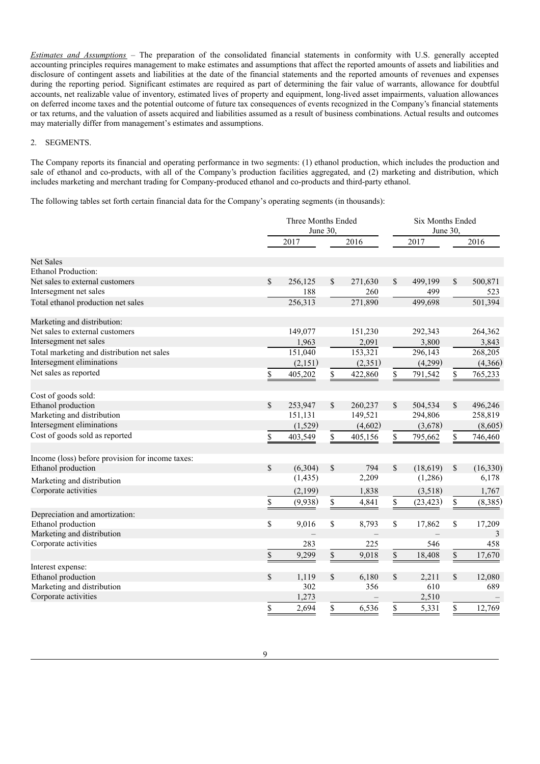*Estimates and Assumptions* – The preparation of the consolidated financial statements in conformity with U.S. generally accepted accounting principles requires management to make estimates and assumptions that affect the reported amounts of assets and liabilities and disclosure of contingent assets and liabilities at the date of the financial statements and the reported amounts of revenues and expenses during the reporting period. Significant estimates are required as part of determining the fair value of warrants, allowance for doubtful accounts, net realizable value of inventory, estimated lives of property and equipment, long-lived asset impairments, valuation allowances on deferred income taxes and the potential outcome of future tax consequences of events recognized in the Company's financial statements or tax returns, and the valuation of assets acquired and liabilities assumed as a result of business combinations. Actual results and outcomes may materially differ from management's estimates and assumptions.

## 2. SEGMENTS.

The Company reports its financial and operating performance in two segments: (1) ethanol production, which includes the production and sale of ethanol and co-products, with all of the Company's production facilities aggregated, and (2) marketing and distribution, which includes marketing and merchant trading for Company-produced ethanol and co-products and third-party ethanol.

The following tables set forth certain financial data for the Company's operating segments (in thousands):

|                                                  | Three Months Ended<br>June 30. |               |         |                          | Six Months Ended<br>June 30. |               |           |
|--------------------------------------------------|--------------------------------|---------------|---------|--------------------------|------------------------------|---------------|-----------|
|                                                  | 2017                           |               | 2016    |                          | 2017                         |               | 2016      |
| <b>Net Sales</b>                                 |                                |               |         |                          |                              |               |           |
| <b>Ethanol Production:</b>                       |                                |               |         |                          |                              |               |           |
| Net sales to external customers                  | \$<br>256,125                  | \$            | 271,630 | \$                       | 499,199                      | \$            | 500,871   |
| Intersegment net sales                           | 188                            |               | 260     |                          | 499                          |               | 523       |
| Total ethanol production net sales               | 256,313                        |               | 271,890 |                          | 499,698                      |               | 501,394   |
| Marketing and distribution:                      |                                |               |         |                          |                              |               |           |
| Net sales to external customers                  | 149,077                        |               | 151,230 |                          | 292,343                      |               | 264,362   |
| Intersegment net sales                           | 1,963                          |               | 2,091   |                          | 3,800                        |               | 3,843     |
| Total marketing and distribution net sales       | 151,040                        |               | 153,321 |                          | 296,143                      |               | 268,205   |
| Intersegment eliminations                        | (2,151)                        |               | (2,351) |                          | (4,299)                      |               | (4,366)   |
| Net sales as reported                            | \$<br>405,202                  | \$            | 422,860 | \$                       | 791,542                      | \$            | 765,233   |
| Cost of goods sold:                              |                                |               |         |                          |                              |               |           |
| Ethanol production                               | \$<br>253,947                  | $\mathcal{S}$ | 260,237 | $\mathbb{S}$             | 504,534                      | \$            | 496,246   |
| Marketing and distribution                       | 151,131                        |               | 149,521 |                          | 294,806                      |               | 258,819   |
| Intersegment eliminations                        | (1,529)                        |               | (4,602) |                          | (3,678)                      |               | (8,605)   |
| Cost of goods sold as reported                   | \$<br>403,549                  | $\mathbb{S}$  | 405,156 | \$                       | 795,662                      | \$            | 746,460   |
| Income (loss) before provision for income taxes: |                                |               |         |                          |                              |               |           |
| Ethanol production                               | \$<br>(6, 304)                 | $\mathbb{S}$  | 794     | \$                       | (18,619)                     | \$            | (16, 330) |
| Marketing and distribution                       | (1, 435)                       |               | 2,209   |                          | (1,286)                      |               | 6,178     |
| Corporate activities                             | (2,199)                        |               | 1,838   |                          | (3,518)                      |               | 1,767     |
|                                                  | \$<br>(9,938)                  | \$            | 4,841   | \$                       | (23, 423)                    | \$            | (8,385)   |
| Depreciation and amortization:                   |                                |               |         |                          |                              |               |           |
| Ethanol production                               | \$<br>9,016                    | \$            | 8,793   | \$                       | 17,862                       | \$            | 17,209    |
| Marketing and distribution                       |                                |               |         |                          |                              |               | 3         |
| Corporate activities                             | 283                            |               | 225     |                          | 546                          |               | 458       |
|                                                  | \$<br>9,299                    | $\frac{1}{2}$ | 9,018   | $\overline{\mathcal{E}}$ | 18,408                       | $\frac{1}{2}$ | 17,670    |
| Interest expense:                                |                                |               |         |                          |                              |               |           |
| Ethanol production                               | \$<br>1,119                    | \$            | 6,180   | \$                       | 2,211                        | \$            | 12,080    |
| Marketing and distribution                       | 302                            |               | 356     |                          | 610                          |               | 689       |
| Corporate activities                             | 1,273                          |               |         |                          | 2,510                        |               |           |
|                                                  | \$<br>2,694                    | \$            | 6,536   | \$                       | 5,331                        | \$            | 12,769    |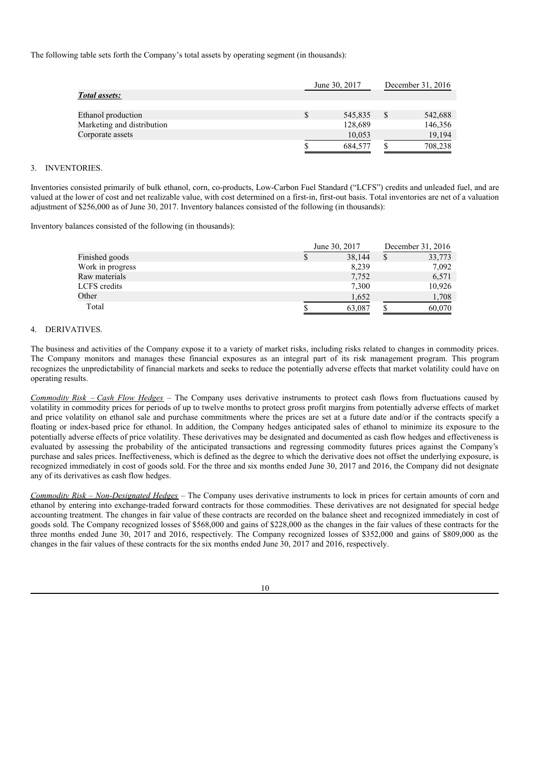The following table sets forth the Company's total assets by operating segment (in thousands):

|                            |   | June 30, 2017 |    | December 31, 2016 |
|----------------------------|---|---------------|----|-------------------|
| Total assets:              |   |               |    |                   |
|                            |   |               |    |                   |
| Ethanol production         | S | 545,835       | -S | 542,688           |
| Marketing and distribution |   | 128,689       |    | 146,356           |
| Corporate assets           |   | 10,053        |    | 19,194            |
|                            |   | 684.577       |    | 708,238           |

## 3. INVENTORIES.

Inventories consisted primarily of bulk ethanol, corn, co-products, Low-Carbon Fuel Standard ("LCFS") credits and unleaded fuel, and are valued at the lower of cost and net realizable value, with cost determined on a first-in, first-out basis. Total inventories are net of a valuation adjustment of \$256,000 as of June 30, 2017. Inventory balances consisted of the following (in thousands):

Inventory balances consisted of the following (in thousands):

|                  | June 30, 2017 |        | December 31, 2016 |
|------------------|---------------|--------|-------------------|
| Finished goods   |               | 38,144 | 33,773            |
| Work in progress |               | 8,239  | 7,092             |
| Raw materials    |               | 7,752  | 6,571             |
| LCFS credits     |               | 7,300  | 10,926            |
| Other            |               | 1,652  | 1,708             |
| Total            |               | 63,087 | 60,070            |

## 4. DERIVATIVES.

The business and activities of the Company expose it to a variety of market risks, including risks related to changes in commodity prices. The Company monitors and manages these financial exposures as an integral part of its risk management program. This program recognizes the unpredictability of financial markets and seeks to reduce the potentially adverse effects that market volatility could have on operating results.

*Commodity Risk* – *Cash Flow Hedges* – The Company uses derivative instruments to protect cash flows from fluctuations caused by volatility in commodity prices for periods of up to twelve months to protect gross profit margins from potentially adverse effects of market and price volatility on ethanol sale and purchase commitments where the prices are set at a future date and/or if the contracts specify a floating or index-based price for ethanol. In addition, the Company hedges anticipated sales of ethanol to minimize its exposure to the potentially adverse effects of price volatility. These derivatives may be designated and documented as cash flow hedges and effectiveness is evaluated by assessing the probability of the anticipated transactions and regressing commodity futures prices against the Company's purchase and sales prices. Ineffectiveness, which is defined as the degree to which the derivative does not offset the underlying exposure, is recognized immediately in cost of goods sold. For the three and six months ended June 30, 2017 and 2016, the Company did not designate any of its derivatives as cash flow hedges.

*Commodity Risk – Non-Designated Hedges* – The Company uses derivative instruments to lock in prices for certain amounts of corn and ethanol by entering into exchange-traded forward contracts for those commodities. These derivatives are not designated for special hedge accounting treatment. The changes in fair value of these contracts are recorded on the balance sheet and recognized immediately in cost of goods sold. The Company recognized losses of \$568,000 and gains of \$228,000 as the changes in the fair values of these contracts for the three months ended June 30, 2017 and 2016, respectively. The Company recognized losses of \$352,000 and gains of \$809,000 as the changes in the fair values of these contracts for the six months ended June 30, 2017 and 2016, respectively.

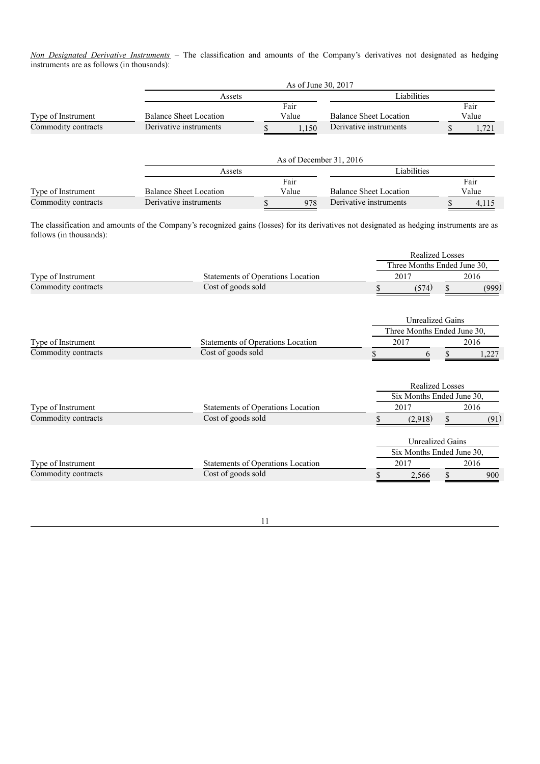*Non Designated Derivative Instruments* – The classification and amounts of the Company's derivatives not designated as hedging instruments are as follows (in thousands):

|                     | Assets                        |  |       |                               |       |
|---------------------|-------------------------------|--|-------|-------------------------------|-------|
|                     |                               |  | Fair  |                               | Fair  |
| Type of Instrument  | <b>Balance Sheet Location</b> |  | Value | <b>Balance Sheet Location</b> | Value |
| Commodity contracts | Derivative instruments        |  | 1.150 | Derivative instruments        | 1.721 |

|                     | Assets                        |  |       |                               |       |
|---------------------|-------------------------------|--|-------|-------------------------------|-------|
|                     |                               |  | Fair  |                               | Fair  |
| Type of Instrument  | <b>Balance Sheet Location</b> |  | Value | <b>Balance Sheet Location</b> | Value |
| Commodity contracts | Derivative instruments        |  | 978   | Derivative instruments        | 4.115 |

The classification and amounts of the Company's recognized gains (losses) for its derivatives not designated as hedging instruments are as follows (in thousands):

|                     |                                   | Realized Losses<br>Three Months Ended June 30, |                                                             |    |       |  |  |
|---------------------|-----------------------------------|------------------------------------------------|-------------------------------------------------------------|----|-------|--|--|
| Type of Instrument  | Statements of Operations Location |                                                | 2017                                                        |    | 2016  |  |  |
| Commodity contracts | Cost of goods sold                |                                                | (574)                                                       | \$ | (999) |  |  |
|                     |                                   |                                                | <b>Unrealized Gains</b>                                     |    |       |  |  |
|                     |                                   |                                                | Three Months Ended June 30,                                 |    |       |  |  |
| Type of Instrument  | Statements of Operations Location |                                                | 2017                                                        |    | 2016  |  |  |
| Commodity contracts | Cost of goods sold                | S                                              | 6                                                           | S  | 1,227 |  |  |
| Type of Instrument  | Statements of Operations Location |                                                | <b>Realized Losses</b><br>Six Months Ended June 30,<br>2017 |    | 2016  |  |  |
| Commodity contracts | Cost of goods sold                |                                                | (2,918)                                                     | \$ | (91)  |  |  |
|                     |                                   |                                                | <b>Unrealized Gains</b>                                     |    |       |  |  |
|                     |                                   |                                                | Six Months Ended June 30,                                   |    |       |  |  |
| Type of Instrument  | Statements of Operations Location |                                                | 2017                                                        |    | 2016  |  |  |
| Commodity contracts | Cost of goods sold                |                                                | 2,566                                                       | \$ | 900   |  |  |
|                     |                                   |                                                |                                                             |    |       |  |  |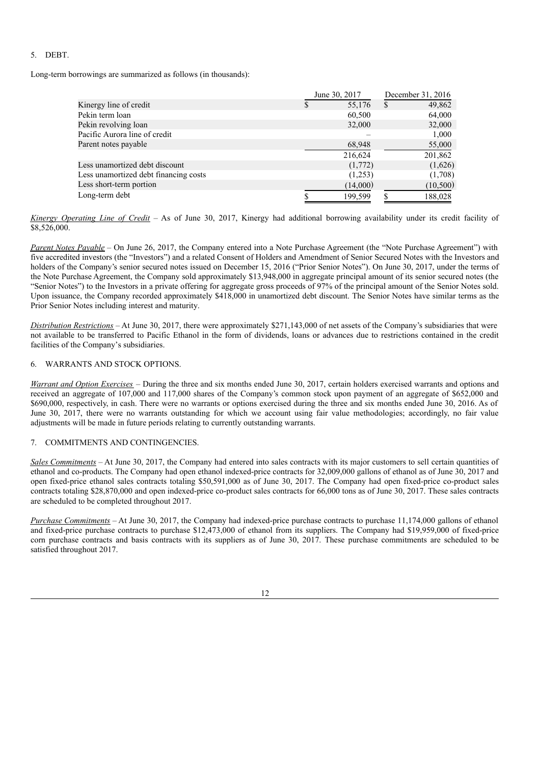## 5. DEBT.

Long-term borrowings are summarized as follows (in thousands):

| Kinergy line of credit<br>55,176<br>S<br>Pekin term loan<br>60,500<br>Pekin revolving loan<br>32,000<br>Pacific Aurora line of credit<br>Parent notes payable<br>68,948<br>216,624<br>Less unamortized debt discount<br>(1,772)<br>Less unamortized debt financing costs<br>(1,253)<br>Less short-term portion<br>(14,000)<br>Long-term debt<br>199,599 | June 30, 2017 |  | December 31, 2016 |
|---------------------------------------------------------------------------------------------------------------------------------------------------------------------------------------------------------------------------------------------------------------------------------------------------------------------------------------------------------|---------------|--|-------------------|
|                                                                                                                                                                                                                                                                                                                                                         |               |  | 49,862            |
|                                                                                                                                                                                                                                                                                                                                                         |               |  | 64,000            |
|                                                                                                                                                                                                                                                                                                                                                         |               |  | 32,000            |
|                                                                                                                                                                                                                                                                                                                                                         |               |  | 1,000             |
|                                                                                                                                                                                                                                                                                                                                                         |               |  | 55,000            |
|                                                                                                                                                                                                                                                                                                                                                         |               |  | 201,862           |
|                                                                                                                                                                                                                                                                                                                                                         |               |  | (1,626)           |
|                                                                                                                                                                                                                                                                                                                                                         |               |  | (1,708)           |
|                                                                                                                                                                                                                                                                                                                                                         |               |  | (10,500)          |
|                                                                                                                                                                                                                                                                                                                                                         |               |  | 188,028           |

## *Kinergy Operating Line of Credit* – As of June 30, 2017, Kinergy had additional borrowing availability under its credit facility of \$8,526,000.

*Parent Notes Payable* – On June 26, 2017, the Company entered into a Note Purchase Agreement (the "Note Purchase Agreement") with five accredited investors (the "Investors") and a related Consent of Holders and Amendment of Senior Secured Notes with the Investors and holders of the Company's senior secured notes issued on December 15, 2016 ("Prior Senior Notes"). On June 30, 2017, under the terms of the Note Purchase Agreement, the Company sold approximately \$13,948,000 in aggregate principal amount of its senior secured notes (the "Senior Notes") to the Investors in a private offering for aggregate gross proceeds of 97% of the principal amount of the Senior Notes sold. Upon issuance, the Company recorded approximately \$418,000 in unamortized debt discount. The Senior Notes have similar terms as the Prior Senior Notes including interest and maturity.

*Distribution Restrictions* – At June 30, 2017, there were approximately \$271,143,000 of net assets of the Company's subsidiaries that were not available to be transferred to Pacific Ethanol in the form of dividends, loans or advances due to restrictions contained in the credit facilities of the Company's subsidiaries.

## 6. WARRANTS AND STOCK OPTIONS.

*Warrant and Option Exercises* – During the three and six months ended June 30, 2017, certain holders exercised warrants and options and received an aggregate of 107,000 and 117,000 shares of the Company's common stock upon payment of an aggregate of \$652,000 and \$690,000, respectively, in cash. There were no warrants or options exercised during the three and six months ended June 30, 2016. As of June 30, 2017, there were no warrants outstanding for which we account using fair value methodologies; accordingly, no fair value adjustments will be made in future periods relating to currently outstanding warrants.

## 7. COMMITMENTS AND CONTINGENCIES.

*Sales Commitments* – At June 30, 2017, the Company had entered into sales contracts with its major customers to sell certain quantities of ethanol and co-products. The Company had open ethanol indexed-price contracts for 32,009,000 gallons of ethanol as of June 30, 2017 and open fixed-price ethanol sales contracts totaling \$50,591,000 as of June 30, 2017. The Company had open fixed-price co-product sales contracts totaling \$28,870,000 and open indexed-price co-product sales contracts for 66,000 tons as of June 30, 2017. These sales contracts are scheduled to be completed throughout 2017.

*Purchase Commitments* – At June 30, 2017, the Company had indexed-price purchase contracts to purchase 11,174,000 gallons of ethanol and fixed-price purchase contracts to purchase \$12,473,000 of ethanol from its suppliers. The Company had \$19,959,000 of fixed-price corn purchase contracts and basis contracts with its suppliers as of June 30, 2017. These purchase commitments are scheduled to be satisfied throughout 2017.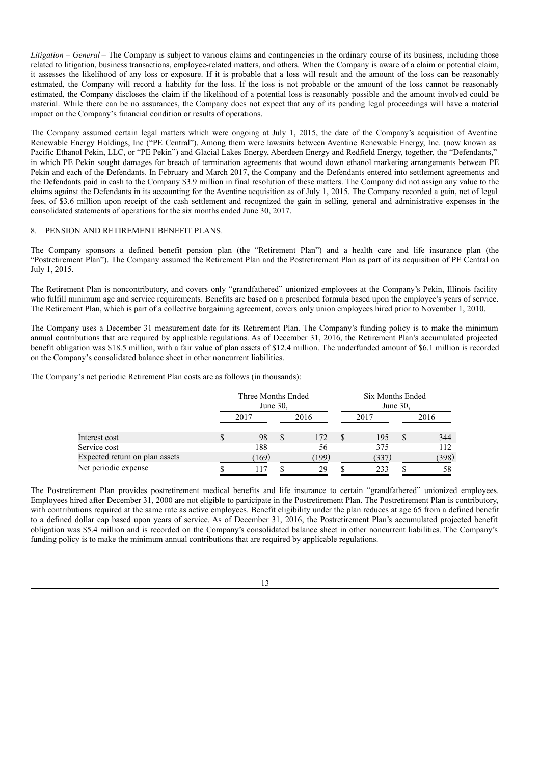*Litigation* – *General* – The Company is subject to various claims and contingencies in the ordinary course of its business, including those related to litigation, business transactions, employee-related matters, and others. When the Company is aware of a claim or potential claim, it assesses the likelihood of any loss or exposure. If it is probable that a loss will result and the amount of the loss can be reasonably estimated, the Company will record a liability for the loss. If the loss is not probable or the amount of the loss cannot be reasonably estimated, the Company discloses the claim if the likelihood of a potential loss is reasonably possible and the amount involved could be material. While there can be no assurances, the Company does not expect that any of its pending legal proceedings will have a material impact on the Company's financial condition or results of operations.

The Company assumed certain legal matters which were ongoing at July 1, 2015, the date of the Company's acquisition of Aventine Renewable Energy Holdings, Inc ("PE Central"). Among them were lawsuits between Aventine Renewable Energy, Inc. (now known as Pacific Ethanol Pekin, LLC, or "PE Pekin") and Glacial Lakes Energy, Aberdeen Energy and Redfield Energy, together, the "Defendants," in which PE Pekin sought damages for breach of termination agreements that wound down ethanol marketing arrangements between PE Pekin and each of the Defendants. In February and March 2017, the Company and the Defendants entered into settlement agreements and the Defendants paid in cash to the Company \$3.9 million in final resolution of these matters. The Company did not assign any value to the claims against the Defendants in its accounting for the Aventine acquisition as of July 1, 2015. The Company recorded a gain, net of legal fees, of \$3.6 million upon receipt of the cash settlement and recognized the gain in selling, general and administrative expenses in the consolidated statements of operations for the six months ended June 30, 2017.

### 8. PENSION AND RETIREMENT BENEFIT PLANS.

The Company sponsors a defined benefit pension plan (the "Retirement Plan") and a health care and life insurance plan (the "Postretirement Plan"). The Company assumed the Retirement Plan and the Postretirement Plan as part of its acquisition of PE Central on July 1, 2015.

The Retirement Plan is noncontributory, and covers only "grandfathered" unionized employees at the Company's Pekin, Illinois facility who fulfill minimum age and service requirements. Benefits are based on a prescribed formula based upon the employee's years of service. The Retirement Plan, which is part of a collective bargaining agreement, covers only union employees hired prior to November 1, 2010.

The Company uses a December 31 measurement date for its Retirement Plan. The Company's funding policy is to make the minimum annual contributions that are required by applicable regulations. As of December 31, 2016, the Retirement Plan's accumulated projected benefit obligation was \$18.5 million, with a fair value of plan assets of \$12.4 million. The underfunded amount of \$6.1 million is recorded on the Company's consolidated balance sheet in other noncurrent liabilities.

The Company's net periodic Retirement Plan costs are as follows (in thousands):

|                                | Three Months Ended<br>June $30$ , |       |   |       |      | Six Months Ended<br>June $30$ , |      |       |  |
|--------------------------------|-----------------------------------|-------|---|-------|------|---------------------------------|------|-------|--|
|                                |                                   | 2017  |   | 2016  | 2017 |                                 | 2016 |       |  |
| Interest cost                  |                                   | 98    | S | 172   |      | 195                             |      | 344   |  |
| Service cost                   |                                   | 188   |   | 56    |      | 375                             |      | 112   |  |
| Expected return on plan assets |                                   | (169) |   | (199) |      | (337)                           |      | (398) |  |
| Net periodic expense           |                                   | l 17  |   | 29    |      | 233                             |      | 58    |  |

The Postretirement Plan provides postretirement medical benefits and life insurance to certain "grandfathered" unionized employees. Employees hired after December 31, 2000 are not eligible to participate in the Postretirement Plan. The Postretirement Plan is contributory, with contributions required at the same rate as active employees. Benefit eligibility under the plan reduces at age 65 from a defined benefit to a defined dollar cap based upon years of service. As of December 31, 2016, the Postretirement Plan's accumulated projected benefit obligation was \$5.4 million and is recorded on the Company's consolidated balance sheet in other noncurrent liabilities. The Company's funding policy is to make the minimum annual contributions that are required by applicable regulations.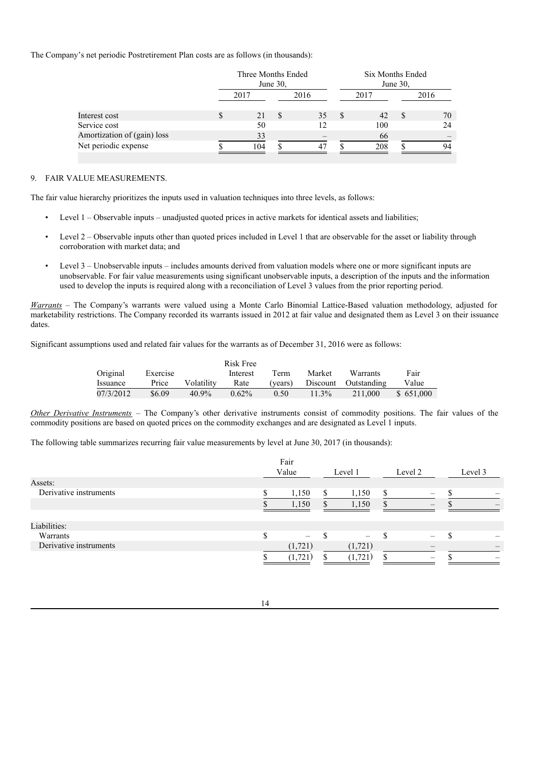The Company's net periodic Postretirement Plan costs are as follows (in thousands):

|                             | Three Months Ended<br>June 30. |      |   |      |    | Six Months Ended<br>June $30$ . |  |      |  |
|-----------------------------|--------------------------------|------|---|------|----|---------------------------------|--|------|--|
|                             |                                | 2017 |   | 2016 |    | 2017                            |  | 2016 |  |
| Interest cost               |                                | 21   | S | 35   | S. | 42                              |  | 70   |  |
| Service cost                |                                | 50   |   | 12   |    | 100                             |  | 24   |  |
| Amortization of (gain) loss |                                | 33   |   |      |    | 66                              |  |      |  |
| Net periodic expense        |                                | 104  |   | 47   |    | 208                             |  | 94   |  |

#### 9. FAIR VALUE MEASUREMENTS.

The fair value hierarchy prioritizes the inputs used in valuation techniques into three levels, as follows:

- Level 1 Observable inputs unadjusted quoted prices in active markets for identical assets and liabilities;
- Level 2 Observable inputs other than quoted prices included in Level 1 that are observable for the asset or liability through corroboration with market data; and
- Level 3 Unobservable inputs includes amounts derived from valuation models where one or more significant inputs are unobservable. For fair value measurements using significant unobservable inputs, a description of the inputs and the information used to develop the inputs is required along with a reconciliation of Level 3 values from the prior reporting period.

*Warrants* – The Company's warrants were valued using a Monte Carlo Binomial Lattice-Based valuation methodology, adjusted for marketability restrictions. The Company recorded its warrants issued in 2012 at fair value and designated them as Level 3 on their issuance dates.

Significant assumptions used and related fair values for the warrants as of December 31, 2016 were as follows:

|           |          |            | Risk Free |         |          |             |           |
|-----------|----------|------------|-----------|---------|----------|-------------|-----------|
| Original  | Exercise |            | Interest  | Term    | Market   | Warrants    | Fair      |
| Issuance  | Price    | Volatilitv | Rate      | (vears) | Discount | Outstanding | Value     |
| 07/3/2012 | \$6.09   | $40.9\%$   | $0.62\%$  | 0.50    | $11.3\%$ | 211,000     | \$651,000 |

*Other Derivative Instruments* – The Company's other derivative instruments consist of commodity positions. The fair values of the commodity positions are based on quoted prices on the commodity exchanges and are designated as Level 1 inputs.

The following table summarizes recurring fair value measurements by level at June 30, 2017 (in thousands):

|                        | Fair    |         |         |                          |         |  |
|------------------------|---------|---------|---------|--------------------------|---------|--|
|                        | Value   | Level 1 | Level 2 |                          | Level 3 |  |
| Assets:                |         |         |         |                          |         |  |
| Derivative instruments | 1,150   | 1,150   |         | $\overline{\phantom{a}}$ |         |  |
|                        | 1.150   | 1,150   |         |                          |         |  |
| Liabilities:           |         |         |         |                          |         |  |
|                        |         |         |         |                          |         |  |
| Warrants               |         | -       |         |                          |         |  |
| Derivative instruments | (1,721) | (1,721) |         | $\overline{\phantom{a}}$ |         |  |
|                        | (1.721) | (1.721) |         |                          |         |  |
|                        |         |         |         |                          |         |  |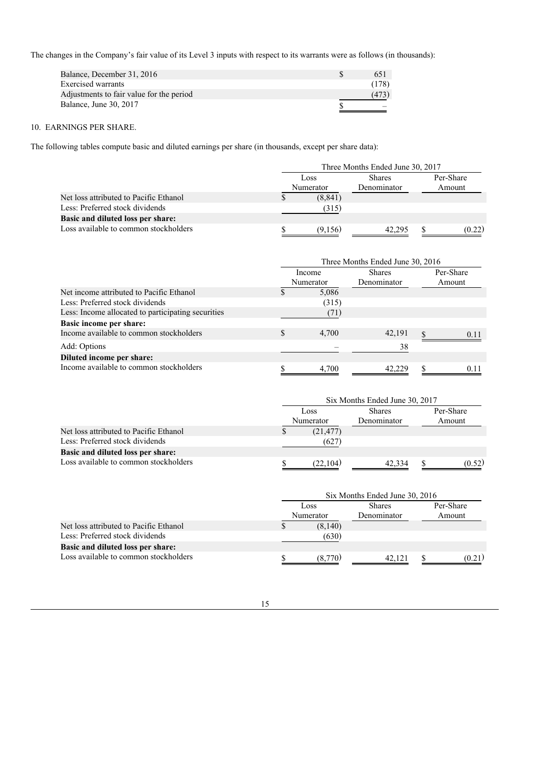The changes in the Company's fair value of its Level 3 inputs with respect to its warrants were as follows (in thousands):

| Balance, December 31, 2016               | 651   |
|------------------------------------------|-------|
| Exercised warrants                       | (178) |
| Adjustments to fair value for the period | (473) |
| Balance, June 30, 2017                   |       |

# 10. EARNINGS PER SHARE.

The following tables compute basic and diluted earnings per share (in thousands, except per share data):

|                                                    |               | Three Months Ended June 30, 2017<br><b>Shares</b><br>Per-Share<br>Loss<br>Denominator<br>Numerator<br>\$ |                                |        |           |  |  |  |  |  |
|----------------------------------------------------|---------------|----------------------------------------------------------------------------------------------------------|--------------------------------|--------|-----------|--|--|--|--|--|
|                                                    |               |                                                                                                          |                                |        |           |  |  |  |  |  |
|                                                    |               |                                                                                                          |                                |        | Amount    |  |  |  |  |  |
| Net loss attributed to Pacific Ethanol             |               | (8, 841)                                                                                                 |                                |        |           |  |  |  |  |  |
| Less: Preferred stock dividends                    |               | (315)                                                                                                    |                                |        |           |  |  |  |  |  |
| Basic and diluted loss per share:                  |               |                                                                                                          |                                |        |           |  |  |  |  |  |
| Loss available to common stockholders              |               | (9,156)                                                                                                  | 42,295                         | \$     | (0.22)    |  |  |  |  |  |
|                                                    |               | Three Months Ended June 30, 2016                                                                         |                                |        |           |  |  |  |  |  |
|                                                    |               | Income                                                                                                   | <b>Shares</b>                  |        | Per-Share |  |  |  |  |  |
|                                                    |               | Numerator                                                                                                | Denominator                    | Amount |           |  |  |  |  |  |
| Net income attributed to Pacific Ethanol           | $\mathcal{S}$ | 5,086                                                                                                    |                                |        |           |  |  |  |  |  |
| Less: Preferred stock dividends                    |               | (315)                                                                                                    |                                |        |           |  |  |  |  |  |
| Less: Income allocated to participating securities |               | (71)                                                                                                     |                                |        |           |  |  |  |  |  |
| <b>Basic income per share:</b>                     |               |                                                                                                          |                                |        |           |  |  |  |  |  |
| Income available to common stockholders            | \$            | 4,700                                                                                                    | 42,191                         | \$     | 0.11      |  |  |  |  |  |
| Add: Options                                       |               |                                                                                                          | 38                             |        |           |  |  |  |  |  |
| Diluted income per share:                          |               |                                                                                                          |                                |        |           |  |  |  |  |  |
| Income available to common stockholders            |               | 4,700                                                                                                    | 42,229                         | \$     | 0.11      |  |  |  |  |  |
|                                                    |               |                                                                                                          | Six Months Ended June 30, 2017 |        |           |  |  |  |  |  |
|                                                    |               | Loss                                                                                                     | <b>Shares</b>                  |        | Per-Share |  |  |  |  |  |

|                                          | ചാര<br>Numerator | O <sub>H</sub> CD <sub>O</sub><br>Denominator | 1 U-Dhai<br>Amount |
|------------------------------------------|------------------|-----------------------------------------------|--------------------|
| Net loss attributed to Pacific Ethanol   | (21.477)         |                                               |                    |
| Less: Preferred stock dividends          | (627)            |                                               |                    |
| <b>Basic and diluted loss per share:</b> |                  |                                               |                    |
| Loss available to common stockholders    | (22, 104)        | 42.334                                        | (0.52)             |

|                                        | Six Months Ended June 30, 2016 |                              |  |                     |  |  |  |  |  |
|----------------------------------------|--------------------------------|------------------------------|--|---------------------|--|--|--|--|--|
| Net loss attributed to Pacific Ethanol | Loss<br>Numerator              | <b>Shares</b><br>Denominator |  | Per-Share<br>Amount |  |  |  |  |  |
|                                        | (8,140)                        |                              |  |                     |  |  |  |  |  |
| Less: Preferred stock dividends        | (630)                          |                              |  |                     |  |  |  |  |  |
| Basic and diluted loss per share:      |                                |                              |  |                     |  |  |  |  |  |
| Loss available to common stockholders  | (8.770)                        | 42.121                       |  | (0.21)              |  |  |  |  |  |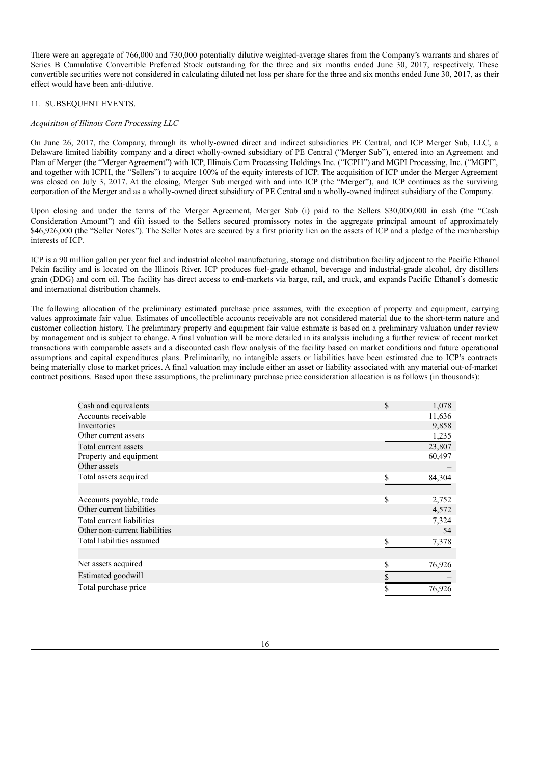There were an aggregate of 766,000 and 730,000 potentially dilutive weighted-average shares from the Company's warrants and shares of Series B Cumulative Convertible Preferred Stock outstanding for the three and six months ended June 30, 2017, respectively. These convertible securities were not considered in calculating diluted net loss per share for the three and six months ended June 30, 2017, as their effect would have been anti-dilutive.

## 11. SUBSEQUENT EVENTS.

## *Acquisition of Illinois Corn Processing LLC*

On June 26, 2017, the Company, through its wholly-owned direct and indirect subsidiaries PE Central, and ICP Merger Sub, LLC, a Delaware limited liability company and a direct wholly-owned subsidiary of PE Central ("Merger Sub"), entered into an Agreement and Plan of Merger (the "Merger Agreement") with ICP, Illinois Corn Processing Holdings Inc. ("ICPH") and MGPI Processing, Inc. ("MGPI", and together with ICPH, the "Sellers") to acquire 100% of the equity interests of ICP. The acquisition of ICP under the Merger Agreement was closed on July 3, 2017. At the closing, Merger Sub merged with and into ICP (the "Merger"), and ICP continues as the surviving corporation of the Merger and as a wholly-owned direct subsidiary of PE Central and a wholly-owned indirect subsidiary of the Company.

Upon closing and under the terms of the Merger Agreement, Merger Sub (i) paid to the Sellers \$30,000,000 in cash (the "Cash Consideration Amount") and (ii) issued to the Sellers secured promissory notes in the aggregate principal amount of approximately \$46,926,000 (the "Seller Notes"). The Seller Notes are secured by a first priority lien on the assets of ICP and a pledge of the membership interests of ICP.

ICP is a 90 million gallon per year fuel and industrial alcohol manufacturing, storage and distribution facility adjacent to the Pacific Ethanol Pekin facility and is located on the Illinois River. ICP produces fuel-grade ethanol, beverage and industrial-grade alcohol, dry distillers grain (DDG) and corn oil. The facility has direct access to end-markets via barge, rail, and truck, and expands Pacific Ethanol's domestic and international distribution channels.

The following allocation of the preliminary estimated purchase price assumes, with the exception of property and equipment, carrying values approximate fair value. Estimates of uncollectible accounts receivable are not considered material due to the short-term nature and customer collection history. The preliminary property and equipment fair value estimate is based on a preliminary valuation under review by management and is subject to change. A final valuation will be more detailed in its analysis including a further review of recent market transactions with comparable assets and a discounted cash flow analysis of the facility based on market conditions and future operational assumptions and capital expenditures plans. Preliminarily, no intangible assets or liabilities have been estimated due to ICP's contracts being materially close to market prices. A final valuation may include either an asset or liability associated with any material out-of-market contract positions. Based upon these assumptions, the preliminary purchase price consideration allocation is as follows (in thousands):

| Cash and equivalents          | \$<br>1,078 |
|-------------------------------|-------------|
| Accounts receivable           | 11,636      |
| Inventories                   | 9,858       |
| Other current assets          | 1,235       |
| Total current assets          | 23,807      |
| Property and equipment        | 60,497      |
| Other assets                  |             |
| Total assets acquired         | 84,304      |
| Accounts payable, trade       | \$<br>2,752 |
| Other current liabilities     | 4,572       |
| Total current liabilities     | 7,324       |
| Other non-current liabilities | 54          |
| Total liabilities assumed     | 7,378       |
| Net assets acquired           | 76,926      |
| Estimated goodwill            |             |
| Total purchase price          | 76,926      |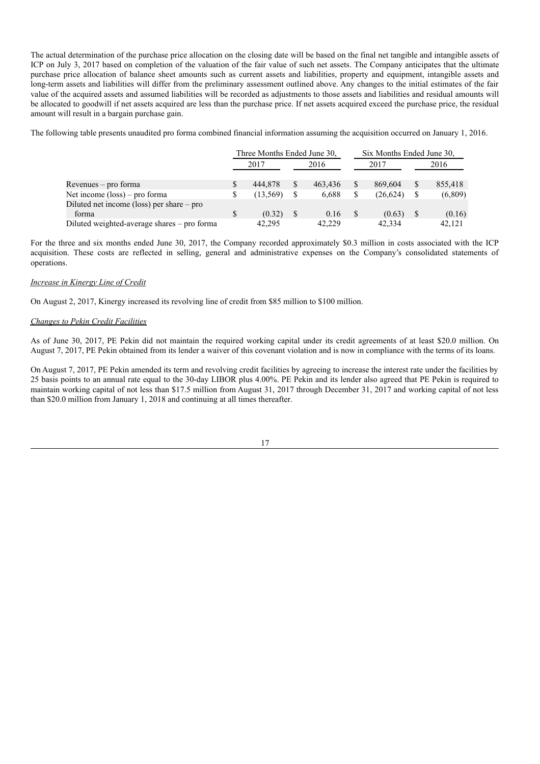The actual determination of the purchase price allocation on the closing date will be based on the final net tangible and intangible assets of ICP on July 3, 2017 based on completion of the valuation of the fair value of such net assets. The Company anticipates that the ultimate purchase price allocation of balance sheet amounts such as current assets and liabilities, property and equipment, intangible assets and long-term assets and liabilities will differ from the preliminary assessment outlined above. Any changes to the initial estimates of the fair value of the acquired assets and assumed liabilities will be recorded as adjustments to those assets and liabilities and residual amounts will be allocated to goodwill if net assets acquired are less than the purchase price. If net assets acquired exceed the purchase price, the residual amount will result in a bargain purchase gain.

The following table presents unaudited pro forma combined financial information assuming the acquisition occurred on January 1, 2016.

|                                             | Three Months Ended June 30, |          |      |         |    | Six Months Ended June 30, |   |         |  |
|---------------------------------------------|-----------------------------|----------|------|---------|----|---------------------------|---|---------|--|
|                                             | 2017<br>2017<br>2016        |          | 2016 |         |    |                           |   |         |  |
| Revenues – pro forma                        |                             | 444,878  | S    | 463.436 | \$ | 869,604                   | S | 855,418 |  |
| Net income (loss) – pro forma               |                             | (13.569) |      | 6.688   | S  | (26.624)                  |   | (6,809) |  |
| Diluted net income (loss) per share $-$ pro |                             |          |      |         |    |                           |   |         |  |
| forma                                       |                             | (0.32)   |      | 0.16    | S  | (0.63)                    |   | (0.16)  |  |
| Diluted weighted-average shares – pro forma |                             | 42.295   |      | 42.229  |    | 42.334                    |   | 42.121  |  |

For the three and six months ended June 30, 2017, the Company recorded approximately \$0.3 million in costs associated with the ICP acquisition. These costs are reflected in selling, general and administrative expenses on the Company's consolidated statements of operations.

## *Increase in Kinergy Line of Credit*

On August 2, 2017, Kinergy increased its revolving line of credit from \$85 million to \$100 million.

## *Changes to Pekin Credit Facilities*

As of June 30, 2017, PE Pekin did not maintain the required working capital under its credit agreements of at least \$20.0 million. On August 7, 2017, PE Pekin obtained from its lender a waiver of this covenant violation and is now in compliance with the terms of its loans.

On August 7, 2017, PE Pekin amended its term and revolving credit facilities by agreeing to increase the interest rate under the facilities by 25 basis points to an annual rate equal to the 30-day LIBOR plus 4.00%. PE Pekin and its lender also agreed that PE Pekin is required to maintain working capital of not less than \$17.5 million from August 31, 2017 through December 31, 2017 and working capital of not less than \$20.0 million from January 1, 2018 and continuing at all times thereafter.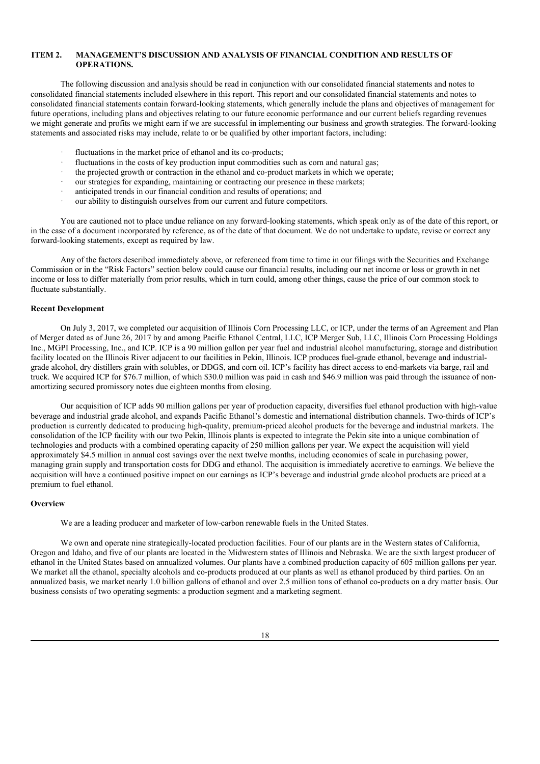## **ITEM 2. MANAGEMENT'S DISCUSSION AND ANALYSIS OF FINANCIAL CONDITION AND RESULTS OF OPERATIONS.**

The following discussion and analysis should be read in conjunction with our consolidated financial statements and notes to consolidated financial statements included elsewhere in this report. This report and our consolidated financial statements and notes to consolidated financial statements contain forward-looking statements, which generally include the plans and objectives of management for future operations, including plans and objectives relating to our future economic performance and our current beliefs regarding revenues we might generate and profits we might earn if we are successful in implementing our business and growth strategies. The forward-looking statements and associated risks may include, relate to or be qualified by other important factors, including:

- fluctuations in the market price of ethanol and its co-products;
- fluctuations in the costs of key production input commodities such as corn and natural gas;
- the projected growth or contraction in the ethanol and co-product markets in which we operate;
- our strategies for expanding, maintaining or contracting our presence in these markets;
- anticipated trends in our financial condition and results of operations; and
- our ability to distinguish ourselves from our current and future competitors.

You are cautioned not to place undue reliance on any forward-looking statements, which speak only as of the date of this report, or in the case of a document incorporated by reference, as of the date of that document. We do not undertake to update, revise or correct any forward-looking statements, except as required by law.

Any of the factors described immediately above, or referenced from time to time in our filings with the Securities and Exchange Commission or in the "Risk Factors" section below could cause our financial results, including our net income or loss or growth in net income or loss to differ materially from prior results, which in turn could, among other things, cause the price of our common stock to fluctuate substantially.

### **Recent Development**

On July 3, 2017, we completed our acquisition of Illinois Corn Processing LLC, or ICP, under the terms of an Agreement and Plan of Merger dated as of June 26, 2017 by and among Pacific Ethanol Central, LLC, ICP Merger Sub, LLC, Illinois Corn Processing Holdings Inc., MGPI Processing, Inc., and ICP. ICP is a 90 million gallon per year fuel and industrial alcohol manufacturing, storage and distribution facility located on the Illinois River adjacent to our facilities in Pekin, Illinois. ICP produces fuel-grade ethanol, beverage and industrialgrade alcohol, dry distillers grain with solubles, or DDGS, and corn oil. ICP's facility has direct access to end-markets via barge, rail and truck. We acquired ICP for \$76.7 million, of which \$30.0 million was paid in cash and \$46.9 million was paid through the issuance of nonamortizing secured promissory notes due eighteen months from closing.

Our acquisition of ICP adds 90 million gallons per year of production capacity, diversifies fuel ethanol production with high-value beverage and industrial grade alcohol, and expands Pacific Ethanol's domestic and international distribution channels. Two-thirds of ICP's production is currently dedicated to producing high-quality, premium-priced alcohol products for the beverage and industrial markets. The consolidation of the ICP facility with our two Pekin, Illinois plants is expected to integrate the Pekin site into a unique combination of technologies and products with a combined operating capacity of 250 million gallons per year. We expect the acquisition will yield approximately \$4.5 million in annual cost savings over the next twelve months, including economies of scale in purchasing power, managing grain supply and transportation costs for DDG and ethanol. The acquisition is immediately accretive to earnings. We believe the acquisition will have a continued positive impact on our earnings as ICP's beverage and industrial grade alcohol products are priced at a premium to fuel ethanol.

#### **Overview**

We are a leading producer and marketer of low-carbon renewable fuels in the United States.

We own and operate nine strategically-located production facilities. Four of our plants are in the Western states of California. Oregon and Idaho, and five of our plants are located in the Midwestern states of Illinois and Nebraska. We are the sixth largest producer of ethanol in the United States based on annualized volumes. Our plants have a combined production capacity of 605 million gallons per year. We market all the ethanol, specialty alcohols and co-products produced at our plants as well as ethanol produced by third parties. On an annualized basis, we market nearly 1.0 billion gallons of ethanol and over 2.5 million tons of ethanol co-products on a dry matter basis. Our business consists of two operating segments: a production segment and a marketing segment.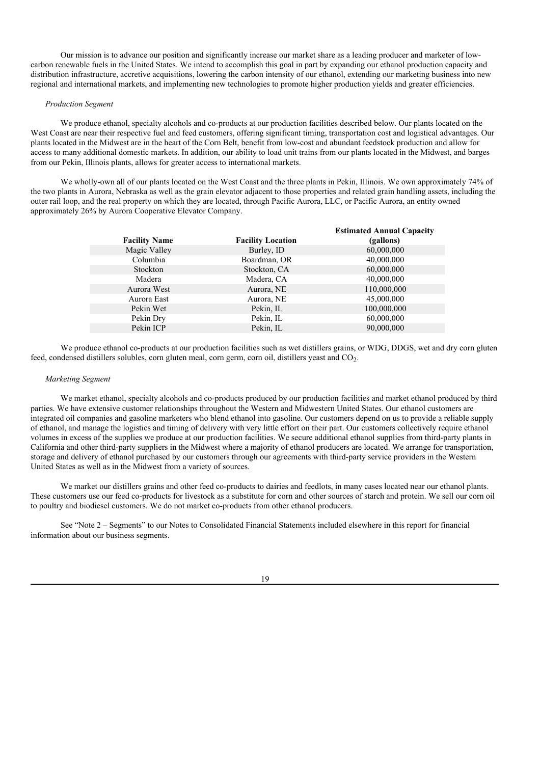Our mission is to advance our position and significantly increase our market share as a leading producer and marketer of lowcarbon renewable fuels in the United States. We intend to accomplish this goal in part by expanding our ethanol production capacity and distribution infrastructure, accretive acquisitions, lowering the carbon intensity of our ethanol, extending our marketing business into new regional and international markets, and implementing new technologies to promote higher production yields and greater efficiencies.

#### *Production Segment*

We produce ethanol, specialty alcohols and co-products at our production facilities described below. Our plants located on the West Coast are near their respective fuel and feed customers, offering significant timing, transportation cost and logistical advantages. Our plants located in the Midwest are in the heart of the Corn Belt, benefit from low-cost and abundant feedstock production and allow for access to many additional domestic markets. In addition, our ability to load unit trains from our plants located in the Midwest, and barges from our Pekin, Illinois plants, allows for greater access to international markets.

We wholly-own all of our plants located on the West Coast and the three plants in Pekin, Illinois. We own approximately 74% of the two plants in Aurora, Nebraska as well as the grain elevator adjacent to those properties and related grain handling assets, including the outer rail loop, and the real property on which they are located, through Pacific Aurora, LLC, or Pacific Aurora, an entity owned approximately 26% by Aurora Cooperative Elevator Company.

|                      |                          | <b>Estimated Annual Capacity</b> |
|----------------------|--------------------------|----------------------------------|
| <b>Facility Name</b> | <b>Facility Location</b> | (gallons)                        |
| Magic Valley         | Burley, ID               | 60,000,000                       |
| Columbia             | Boardman, OR             | 40,000,000                       |
| Stockton             | Stockton, CA             | 60,000,000                       |
| Madera               | Madera, CA               | 40,000,000                       |
| Aurora West          | Aurora, NE               | 110,000,000                      |
| Aurora East          | Aurora, NE               | 45,000,000                       |
| Pekin Wet            | Pekin, IL                | 100,000,000                      |
| Pekin Dry            | Pekin, IL                | 60,000,000                       |
| Pekin ICP            | Pekin, IL                | 90,000,000                       |

We produce ethanol co-products at our production facilities such as wet distillers grains, or WDG, DDGS, wet and dry corn gluten feed, condensed distillers solubles, corn gluten meal, corn germ, corn oil, distillers yeast and CO<sub>2</sub>.

#### *Marketing Segment*

We market ethanol, specialty alcohols and co-products produced by our production facilities and market ethanol produced by third parties. We have extensive customer relationships throughout the Western and Midwestern United States. Our ethanol customers are integrated oil companies and gasoline marketers who blend ethanol into gasoline. Our customers depend on us to provide a reliable supply of ethanol, and manage the logistics and timing of delivery with very little effort on their part. Our customers collectively require ethanol volumes in excess of the supplies we produce at our production facilities. We secure additional ethanol supplies from third-party plants in California and other third-party suppliers in the Midwest where a majority of ethanol producers are located. We arrange for transportation, storage and delivery of ethanol purchased by our customers through our agreements with third-party service providers in the Western United States as well as in the Midwest from a variety of sources.

We market our distillers grains and other feed co-products to dairies and feedlots, in many cases located near our ethanol plants. These customers use our feed co-products for livestock as a substitute for corn and other sources of starch and protein. We sell our corn oil to poultry and biodiesel customers. We do not market co-products from other ethanol producers.

See "Note 2 – Segments" to our Notes to Consolidated Financial Statements included elsewhere in this report for financial information about our business segments.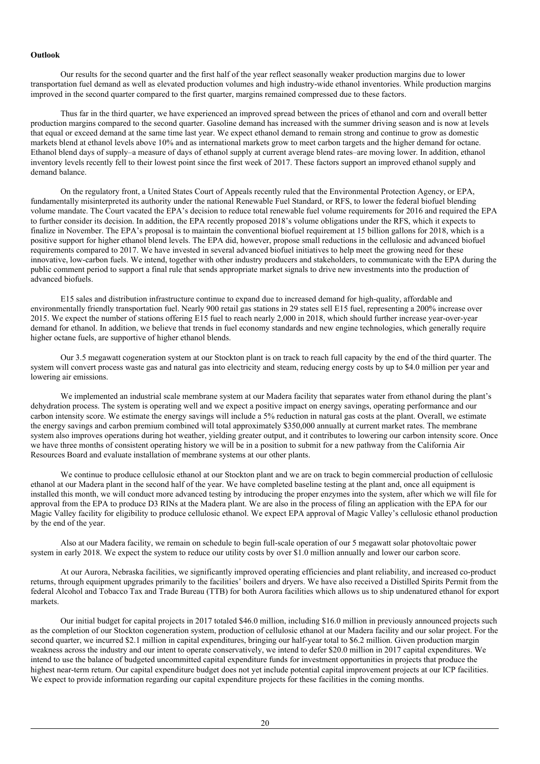#### **Outlook**

Our results for the second quarter and the first half of the year reflect seasonally weaker production margins due to lower transportation fuel demand as well as elevated production volumes and high industry-wide ethanol inventories. While production margins improved in the second quarter compared to the first quarter, margins remained compressed due to these factors.

Thus far in the third quarter, we have experienced an improved spread between the prices of ethanol and corn and overall better production margins compared to the second quarter. Gasoline demand has increased with the summer driving season and is now at levels that equal or exceed demand at the same time last year. We expect ethanol demand to remain strong and continue to grow as domestic markets blend at ethanol levels above 10% and as international markets grow to meet carbon targets and the higher demand for octane. Ethanol blend days of supply–a measure of days of ethanol supply at current average blend rates–are moving lower. In addition, ethanol inventory levels recently fell to their lowest point since the first week of 2017. These factors support an improved ethanol supply and demand balance.

On the regulatory front, a United States Court of Appeals recently ruled that the Environmental Protection Agency, or EPA, fundamentally misinterpreted its authority under the national Renewable Fuel Standard, or RFS, to lower the federal biofuel blending volume mandate. The Court vacated the EPA's decision to reduce total renewable fuel volume requirements for 2016 and required the EPA to further consider its decision. In addition, the EPA recently proposed 2018's volume obligations under the RFS, which it expects to finalize in November. The EPA's proposal is to maintain the conventional biofuel requirement at 15 billion gallons for 2018, which is a positive support for higher ethanol blend levels. The EPA did, however, propose small reductions in the cellulosic and advanced biofuel requirements compared to 2017. We have invested in several advanced biofuel initiatives to help meet the growing need for these innovative, low-carbon fuels. We intend, together with other industry producers and stakeholders, to communicate with the EPA during the public comment period to support a final rule that sends appropriate market signals to drive new investments into the production of advanced biofuels.

E15 sales and distribution infrastructure continue to expand due to increased demand for high-quality, affordable and environmentally friendly transportation fuel. Nearly 900 retail gas stations in 29 states sell E15 fuel, representing a 200% increase over 2015. We expect the number of stations offering E15 fuel to reach nearly 2,000 in 2018, which should further increase year-over-year demand for ethanol. In addition, we believe that trends in fuel economy standards and new engine technologies, which generally require higher octane fuels, are supportive of higher ethanol blends.

Our 3.5 megawatt cogeneration system at our Stockton plant is on track to reach full capacity by the end of the third quarter. The system will convert process waste gas and natural gas into electricity and steam, reducing energy costs by up to \$4.0 million per year and lowering air emissions.

We implemented an industrial scale membrane system at our Madera facility that separates water from ethanol during the plant's dehydration process. The system is operating well and we expect a positive impact on energy savings, operating performance and our carbon intensity score. We estimate the energy savings will include a 5% reduction in natural gas costs at the plant. Overall, we estimate the energy savings and carbon premium combined will total approximately \$350,000 annually at current market rates. The membrane system also improves operations during hot weather, yielding greater output, and it contributes to lowering our carbon intensity score. Once we have three months of consistent operating history we will be in a position to submit for a new pathway from the California Air Resources Board and evaluate installation of membrane systems at our other plants.

We continue to produce cellulosic ethanol at our Stockton plant and we are on track to begin commercial production of cellulosic ethanol at our Madera plant in the second half of the year. We have completed baseline testing at the plant and, once all equipment is installed this month, we will conduct more advanced testing by introducing the proper enzymes into the system, after which we will file for approval from the EPA to produce D3 RINs at the Madera plant. We are also in the process of filing an application with the EPA for our Magic Valley facility for eligibility to produce cellulosic ethanol. We expect EPA approval of Magic Valley's cellulosic ethanol production by the end of the year.

Also at our Madera facility, we remain on schedule to begin full-scale operation of our 5 megawatt solar photovoltaic power system in early 2018. We expect the system to reduce our utility costs by over \$1.0 million annually and lower our carbon score.

At our Aurora, Nebraska facilities, we significantly improved operating efficiencies and plant reliability, and increased co-product returns, through equipment upgrades primarily to the facilities' boilers and dryers. We have also received a Distilled Spirits Permit from the federal Alcohol and Tobacco Tax and Trade Bureau (TTB) for both Aurora facilities which allows us to ship undenatured ethanol for export markets.

Our initial budget for capital projects in 2017 totaled \$46.0 million, including \$16.0 million in previously announced projects such as the completion of our Stockton cogeneration system, production of cellulosic ethanol at our Madera facility and our solar project. For the second quarter, we incurred \$2.1 million in capital expenditures, bringing our half-year total to \$6.2 million. Given production margin weakness across the industry and our intent to operate conservatively, we intend to defer \$20.0 million in 2017 capital expenditures. We intend to use the balance of budgeted uncommitted capital expenditure funds for investment opportunities in projects that produce the highest near-term return. Our capital expenditure budget does not yet include potential capital improvement projects at our ICP facilities. We expect to provide information regarding our capital expenditure projects for these facilities in the coming months.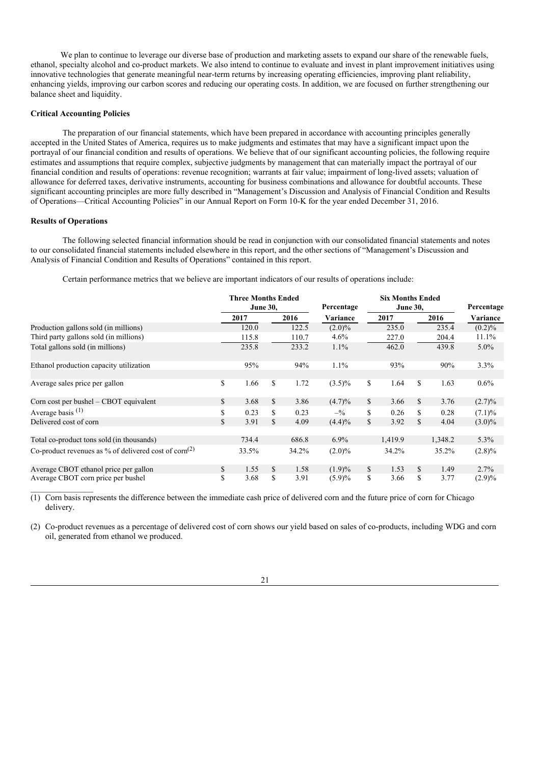We plan to continue to leverage our diverse base of production and marketing assets to expand our share of the renewable fuels, ethanol, specialty alcohol and co-product markets. We also intend to continue to evaluate and invest in plant improvement initiatives using innovative technologies that generate meaningful near-term returns by increasing operating efficiencies, improving plant reliability, enhancing yields, improving our carbon scores and reducing our operating costs. In addition, we are focused on further strengthening our balance sheet and liquidity.

## **Critical Accounting Policies**

The preparation of our financial statements, which have been prepared in accordance with accounting principles generally accepted in the United States of America, requires us to make judgments and estimates that may have a significant impact upon the portrayal of our financial condition and results of operations. We believe that of our significant accounting policies, the following require estimates and assumptions that require complex, subjective judgments by management that can materially impact the portrayal of our financial condition and results of operations: revenue recognition; warrants at fair value; impairment of long-lived assets; valuation of allowance for deferred taxes, derivative instruments, accounting for business combinations and allowance for doubtful accounts. These significant accounting principles are more fully described in "Management's Discussion and Analysis of Financial Condition and Results of Operations—Critical Accounting Policies" in our Annual Report on Form 10-K for the year ended December 31, 2016.

### **Results of Operations**

The following selected financial information should be read in conjunction with our consolidated financial statements and notes to our consolidated financial statements included elsewhere in this report, and the other sections of "Management's Discussion and Analysis of Financial Condition and Results of Operations" contained in this report.

Certain performance metrics that we believe are important indicators of our results of operations include:

|                                                                   | <b>Three Months Ended</b><br><b>June 30,</b> |               |       | <b>Six Months Ended</b><br>Percentage<br><b>June 30,</b> |    |         | Percentage    |         |           |
|-------------------------------------------------------------------|----------------------------------------------|---------------|-------|----------------------------------------------------------|----|---------|---------------|---------|-----------|
|                                                                   | 2017                                         |               | 2016  | 2017<br>2016<br>Variance                                 |    |         | Variance      |         |           |
| Production gallons sold (in millions)                             | 120.0                                        |               | 122.5 | $(2.0)\%$                                                |    | 235.0   |               | 235.4   | $(0.2)\%$ |
| Third party gallons sold (in millions)                            | 115.8                                        |               | 110.7 | $4.6\%$                                                  |    | 227.0   |               | 204.4   | $11.1\%$  |
| Total gallons sold (in millions)                                  | 235.8                                        |               | 233.2 | $1.1\%$                                                  |    | 462.0   |               | 439.8   | $5.0\%$   |
| Ethanol production capacity utilization                           | 95%                                          |               | 94%   | $1.1\%$                                                  |    | 93%     |               | 90%     | 3.3%      |
| Average sales price per gallon                                    | \$<br>1.66                                   | $\mathbb{S}$  | 1.72  | $(3.5)\%$                                                | \$ | 1.64    | <sup>\$</sup> | 1.63    | $0.6\%$   |
| Corn cost per bushel $-$ CBOT equivalent                          | \$<br>3.68                                   | <sup>\$</sup> | 3.86  | $(4.7)\%$                                                | \$ | 3.66    | \$            | 3.76    | $(2.7)\%$ |
| Average basis $(1)$                                               | \$<br>0.23                                   | \$            | 0.23  | $- \frac{9}{6}$                                          | \$ | 0.26    | \$            | 0.28    | $(7.1)\%$ |
| Delivered cost of corn                                            | \$<br>3.91                                   | <sup>\$</sup> | 4.09  | $(4.4)\%$                                                | \$ | 3.92    | \$            | 4.04    | $(3.0)\%$ |
| Total co-product tons sold (in thousands)                         | 734.4                                        |               | 686.8 | $6.9\%$                                                  |    | 1,419.9 |               | 1,348.2 | $5.3\%$   |
| Co-product revenues as % of delivered cost of corn <sup>(2)</sup> | 33.5%                                        |               | 34.2% | $(2.0)\%$                                                |    | 34.2%   |               | 35.2%   | $(2.8)\%$ |
| Average CBOT ethanol price per gallon                             | \$<br>1.55                                   | <sup>\$</sup> | 1.58  | $(1.9)\%$                                                | \$ | 1.53    | \$.           | 1.49    | 2.7%      |
| Average CBOT corn price per bushel                                | \$<br>3.68                                   | \$            | 3.91  | $(5.9)\%$                                                | \$ | 3.66    | \$            | 3.77    | $(2.9)\%$ |

 $(1)$  Corn basis represents the difference between the immediate cash price of delivered corn and the future price of corn for Chicago delivery.

(2) Co-product revenues as a percentage of delivered cost of corn shows our yield based on sales of co-products, including WDG and corn oil, generated from ethanol we produced.

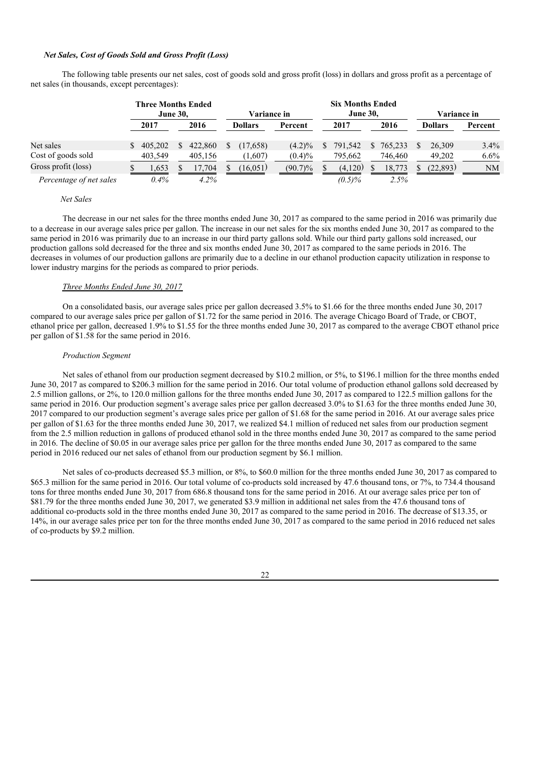### *Net Sales, Cost of Goods Sold and Gross Profit (Loss)*

The following table presents our net sales, cost of goods sold and gross profit (loss) in dollars and gross profit as a percentage of net sales (in thousands, except percentages):

|                         | <b>Three Months Ended</b><br><b>June 30,</b> |  |         |  | <b>Variance in</b> |            |  | <b>Six Months Ended</b><br><b>June 30.</b> |  |         |  | Variance in    |         |  |
|-------------------------|----------------------------------------------|--|---------|--|--------------------|------------|--|--------------------------------------------|--|---------|--|----------------|---------|--|
|                         | 2017                                         |  | 2016    |  | <b>Dollars</b>     | Percent    |  | 2017                                       |  | 2016    |  | <b>Dollars</b> | Percent |  |
| Net sales               | 405,202                                      |  | 422,860 |  | (17,658)           | $(4.2)\%$  |  | 791.542                                    |  | 765.233 |  | 26,309         | $3.4\%$ |  |
| Cost of goods sold      | 403.549                                      |  | 405,156 |  | (1,607)            | $(0.4)\%$  |  | 795,662                                    |  | 746,460 |  | 49,202         | $6.6\%$ |  |
| Gross profit (loss)     | 1,653                                        |  | 17,704  |  | (16, 051)          | $(90.7)\%$ |  | (4,120)                                    |  | 18,773  |  | (22, 893)      | NΜ      |  |
| Percentage of net sales | 0.4%                                         |  | 4.2%    |  |                    |            |  | $(0.5)\%$                                  |  | 2.5%    |  |                |         |  |

#### *Net Sales*

The decrease in our net sales for the three months ended June 30, 2017 as compared to the same period in 2016 was primarily due to a decrease in our average sales price per gallon. The increase in our net sales for the six months ended June 30, 2017 as compared to the same period in 2016 was primarily due to an increase in our third party gallons sold. While our third party gallons sold increased, our production gallons sold decreased for the three and six months ended June 30, 2017 as compared to the same periods in 2016. The decreases in volumes of our production gallons are primarily due to a decline in our ethanol production capacity utilization in response to lower industry margins for the periods as compared to prior periods.

#### *Three Months Ended June 30, 2017*

On a consolidated basis, our average sales price per gallon decreased 3.5% to \$1.66 for the three months ended June 30, 2017 compared to our average sales price per gallon of \$1.72 for the same period in 2016. The average Chicago Board of Trade, or CBOT, ethanol price per gallon, decreased 1.9% to \$1.55 for the three months ended June 30, 2017 as compared to the average CBOT ethanol price per gallon of \$1.58 for the same period in 2016.

#### *Production Segment*

Net sales of ethanol from our production segment decreased by \$10.2 million, or 5%, to \$196.1 million for the three months ended June 30, 2017 as compared to \$206.3 million for the same period in 2016. Our total volume of production ethanol gallons sold decreased by 2.5 million gallons, or 2%, to 120.0 million gallons for the three months ended June 30, 2017 as compared to 122.5 million gallons for the same period in 2016. Our production segment's average sales price per gallon decreased 3.0% to \$1.63 for the three months ended June 30, 2017 compared to our production segment's average sales price per gallon of \$1.68 for the same period in 2016. At our average sales price per gallon of \$1.63 for the three months ended June 30, 2017, we realized \$4.1 million of reduced net sales from our production segment from the 2.5 million reduction in gallons of produced ethanol sold in the three months ended June 30, 2017 as compared to the same period in 2016. The decline of \$0.05 in our average sales price per gallon for the three months ended June 30, 2017 as compared to the same period in 2016 reduced our net sales of ethanol from our production segment by \$6.1 million.

Net sales of co-products decreased \$5.3 million, or 8%, to \$60.0 million for the three months ended June 30, 2017 as compared to \$65.3 million for the same period in 2016. Our total volume of co-products sold increased by 47.6 thousand tons, or 7%, to 734.4 thousand tons for three months ended June 30, 2017 from 686.8 thousand tons for the same period in 2016. At our average sales price per ton of \$81.79 for the three months ended June 30, 2017, we generated \$3.9 million in additional net sales from the 47.6 thousand tons of additional co-products sold in the three months ended June 30, 2017 as compared to the same period in 2016. The decrease of \$13.35, or 14%, in our average sales price per ton for the three months ended June 30, 2017 as compared to the same period in 2016 reduced net sales of co-products by \$9.2 million.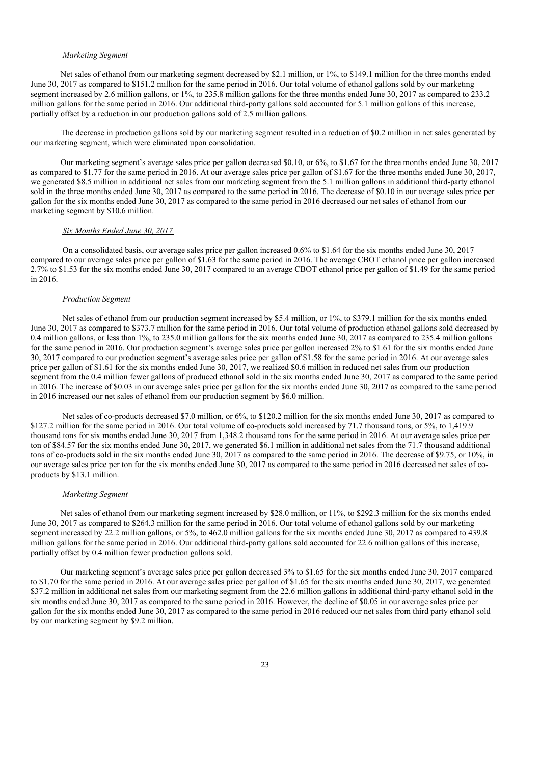#### *Marketing Segment*

Net sales of ethanol from our marketing segment decreased by \$2.1 million, or 1%, to \$149.1 million for the three months ended June 30, 2017 as compared to \$151.2 million for the same period in 2016. Our total volume of ethanol gallons sold by our marketing segment increased by 2.6 million gallons, or 1%, to 235.8 million gallons for the three months ended June 30, 2017 as compared to 233.2 million gallons for the same period in 2016. Our additional third-party gallons sold accounted for 5.1 million gallons of this increase, partially offset by a reduction in our production gallons sold of 2.5 million gallons.

The decrease in production gallons sold by our marketing segment resulted in a reduction of \$0.2 million in net sales generated by our marketing segment, which were eliminated upon consolidation.

Our marketing segment's average sales price per gallon decreased \$0.10, or 6%, to \$1.67 for the three months ended June 30, 2017 as compared to \$1.77 for the same period in 2016. At our average sales price per gallon of \$1.67 for the three months ended June 30, 2017, we generated \$8.5 million in additional net sales from our marketing segment from the 5.1 million gallons in additional third-party ethanol sold in the three months ended June 30, 2017 as compared to the same period in 2016. The decrease of \$0.10 in our average sales price per gallon for the six months ended June 30, 2017 as compared to the same period in 2016 decreased our net sales of ethanol from our marketing segment by \$10.6 million.

## *Six Months Ended June 30, 2017*

On a consolidated basis, our average sales price per gallon increased 0.6% to \$1.64 for the six months ended June 30, 2017 compared to our average sales price per gallon of \$1.63 for the same period in 2016. The average CBOT ethanol price per gallon increased 2.7% to \$1.53 for the six months ended June 30, 2017 compared to an average CBOT ethanol price per gallon of \$1.49 for the same period in 2016.

#### *Production Segment*

Net sales of ethanol from our production segment increased by \$5.4 million, or 1%, to \$379.1 million for the six months ended June 30, 2017 as compared to \$373.7 million for the same period in 2016. Our total volume of production ethanol gallons sold decreased by 0.4 million gallons, or less than 1%, to 235.0 million gallons for the six months ended June 30, 2017 as compared to 235.4 million gallons for the same period in 2016. Our production segment's average sales price per gallon increased 2% to \$1.61 for the six months ended June 30, 2017 compared to our production segment's average sales price per gallon of \$1.58 for the same period in 2016. At our average sales price per gallon of \$1.61 for the six months ended June 30, 2017, we realized \$0.6 million in reduced net sales from our production segment from the 0.4 million fewer gallons of produced ethanol sold in the six months ended June 30, 2017 as compared to the same period in 2016. The increase of \$0.03 in our average sales price per gallon for the six months ended June 30, 2017 as compared to the same period in 2016 increased our net sales of ethanol from our production segment by \$6.0 million.

Net sales of co-products decreased \$7.0 million, or 6%, to \$120.2 million for the six months ended June 30, 2017 as compared to \$127.2 million for the same period in 2016. Our total volume of co-products sold increased by 71.7 thousand tons, or 5%, to 1,419.9 thousand tons for six months ended June 30, 2017 from 1,348.2 thousand tons for the same period in 2016. At our average sales price per ton of \$84.57 for the six months ended June 30, 2017, we generated \$6.1 million in additional net sales from the 71.7 thousand additional tons of co-products sold in the six months ended June 30, 2017 as compared to the same period in 2016. The decrease of \$9.75, or 10%, in our average sales price per ton for the six months ended June 30, 2017 as compared to the same period in 2016 decreased net sales of coproducts by \$13.1 million.

#### *Marketing Segment*

Net sales of ethanol from our marketing segment increased by \$28.0 million, or 11%, to \$292.3 million for the six months ended June 30, 2017 as compared to \$264.3 million for the same period in 2016. Our total volume of ethanol gallons sold by our marketing segment increased by 22.2 million gallons, or 5%, to 462.0 million gallons for the six months ended June 30, 2017 as compared to 439.8 million gallons for the same period in 2016. Our additional third-party gallons sold accounted for 22.6 million gallons of this increase, partially offset by 0.4 million fewer production gallons sold.

Our marketing segment's average sales price per gallon decreased 3% to \$1.65 for the six months ended June 30, 2017 compared to \$1.70 for the same period in 2016. At our average sales price per gallon of \$1.65 for the six months ended June 30, 2017, we generated \$37.2 million in additional net sales from our marketing segment from the 22.6 million gallons in additional third-party ethanol sold in the six months ended June 30, 2017 as compared to the same period in 2016. However, the decline of \$0.05 in our average sales price per gallon for the six months ended June 30, 2017 as compared to the same period in 2016 reduced our net sales from third party ethanol sold by our marketing segment by \$9.2 million.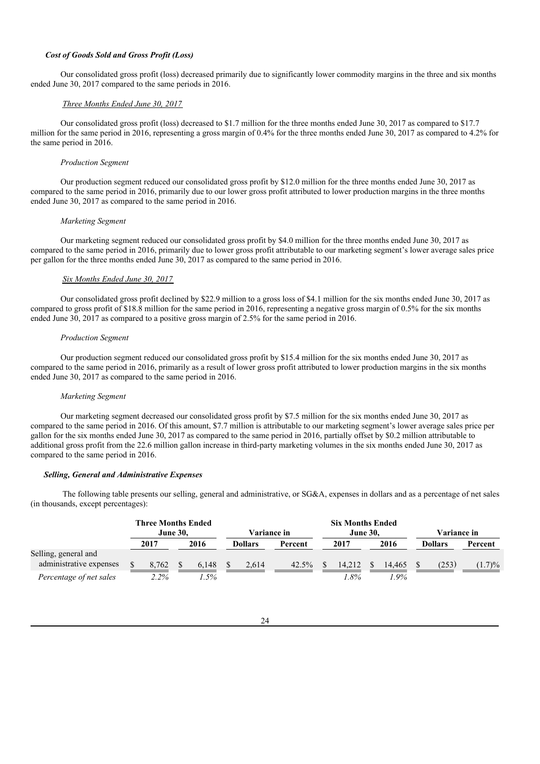## *Cost of Goods Sold and Gross Profit (Loss)*

Our consolidated gross profit (loss) decreased primarily due to significantly lower commodity margins in the three and six months ended June 30, 2017 compared to the same periods in 2016.

### *Three Months Ended June 30, 2017*

Our consolidated gross profit (loss) decreased to \$1.7 million for the three months ended June 30, 2017 as compared to \$17.7 million for the same period in 2016, representing a gross margin of 0.4% for the three months ended June 30, 2017 as compared to 4.2% for the same period in 2016.

#### *Production Segment*

Our production segment reduced our consolidated gross profit by \$12.0 million for the three months ended June 30, 2017 as compared to the same period in 2016, primarily due to our lower gross profit attributed to lower production margins in the three months ended June 30, 2017 as compared to the same period in 2016.

#### *Marketing Segment*

Our marketing segment reduced our consolidated gross profit by \$4.0 million for the three months ended June 30, 2017 as compared to the same period in 2016, primarily due to lower gross profit attributable to our marketing segment's lower average sales price per gallon for the three months ended June 30, 2017 as compared to the same period in 2016.

## *Six Months Ended June 30, 2017*

Our consolidated gross profit declined by \$22.9 million to a gross loss of \$4.1 million for the six months ended June 30, 2017 as compared to gross profit of \$18.8 million for the same period in 2016, representing a negative gross margin of 0.5% for the six months ended June 30, 2017 as compared to a positive gross margin of 2.5% for the same period in 2016.

#### *Production Segment*

Our production segment reduced our consolidated gross profit by \$15.4 million for the six months ended June 30, 2017 as compared to the same period in 2016, primarily as a result of lower gross profit attributed to lower production margins in the six months ended June 30, 2017 as compared to the same period in 2016.

#### *Marketing Segment*

Our marketing segment decreased our consolidated gross profit by \$7.5 million for the six months ended June 30, 2017 as compared to the same period in 2016. Of this amount, \$7.7 million is attributable to our marketing segment's lower average sales price per gallon for the six months ended June 30, 2017 as compared to the same period in 2016, partially offset by \$0.2 million attributable to additional gross profit from the 22.6 million gallon increase in third-party marketing volumes in the six months ended June 30, 2017 as compared to the same period in 2016.

# *Selling, General and Administrative Expenses*

The following table presents our selling, general and administrative, or SG&A, expenses in dollars and as a percentage of net sales (in thousands, except percentages):

|                                                 | <b>Three Months Ended</b><br><b>June 30.</b> |       |  |       | Variance in |                |          |  | <b>Six Months Ended</b><br><b>June 30.</b> |    |        |  | <b>Variance in</b> |         |  |
|-------------------------------------------------|----------------------------------------------|-------|--|-------|-------------|----------------|----------|--|--------------------------------------------|----|--------|--|--------------------|---------|--|
|                                                 |                                              | 2017  |  | 2016  |             | <b>Dollars</b> | Percent  |  | 2017                                       |    | 2016   |  | Dollars            | Percent |  |
| Selling, general and<br>administrative expenses |                                              | 8.762 |  | 6.148 |             | 2.614          | $42.5\%$ |  | 14.212                                     | S. | 14.465 |  | (253)              | (1.7)%  |  |
| Percentage of net sales                         |                                              | 2.2%  |  | 1.5%  |             |                |          |  | $2.8\%$                                    |    | 1.9%   |  |                    |         |  |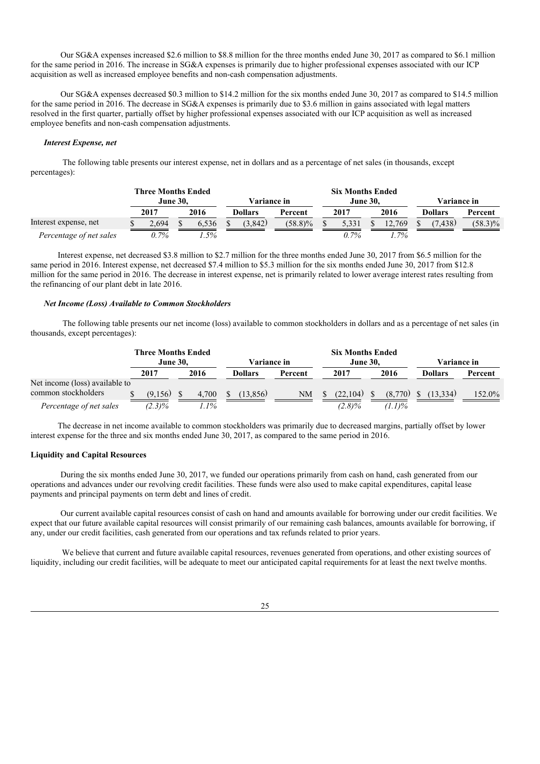Our SG&A expenses increased \$2.6 million to \$8.8 million for the three months ended June 30, 2017 as compared to \$6.1 million for the same period in 2016. The increase in SG&A expenses is primarily due to higher professional expenses associated with our ICP acquisition as well as increased employee benefits and non-cash compensation adjustments.

Our SG&A expenses decreased \$0.3 million to \$14.2 million for the six months ended June 30, 2017 as compared to \$14.5 million for the same period in 2016. The decrease in SG&A expenses is primarily due to \$3.6 million in gains associated with legal matters resolved in the first quarter, partially offset by higher professional expenses associated with our ICP acquisition as well as increased employee benefits and non-cash compensation adjustments.

#### *Interest Expense, net*

The following table presents our interest expense, net in dollars and as a percentage of net sales (in thousands, except percentages):

|                         |                 | <b>Three Months Ended</b> |  |             |  |         |                 | <b>Six Months Ended</b> |         |  |             |  |         |            |
|-------------------------|-----------------|---------------------------|--|-------------|--|---------|-----------------|-------------------------|---------|--|-------------|--|---------|------------|
|                         | <b>June 30.</b> |                           |  | Variance in |  |         | <b>June 30.</b> |                         |         |  | Variance in |  |         |            |
|                         |                 | 2017                      |  | 2016        |  | Dollars | Percent         |                         | 2017    |  | 2016        |  | Dollars | Percent    |
| Interest expense, net   |                 | 2.694                     |  | 6.536       |  | (3.842) | $(58.8)\%$      |                         | 5,331   |  | 12.769      |  | .438)   | $(58.3)\%$ |
| Percentage of net sales |                 | 0.7%                      |  | $.5\%$      |  |         |                 |                         | $0.7\%$ |  | 7%          |  |         |            |

Interest expense, net decreased \$3.8 million to \$2.7 million for the three months ended June 30, 2017 from \$6.5 million for the same period in 2016. Interest expense, net decreased \$7.4 million to \$5.3 million for the six months ended June 30, 2017 from \$12.8 million for the same period in 2016. The decrease in interest expense, net is primarily related to lower average interest rates resulting from the refinancing of our plant debt in late 2016.

# *Net Income (Loss) Available to Common Stockholders*

The following table presents our net income (loss) available to common stockholders in dollars and as a percentage of net sales (in thousands, except percentages):

|                                | <b>Three Months Ended</b><br><b>June 30.</b> |              |  |       | <b>Variance in</b> |                |         |    | <b>Six Months Ended</b><br><b>June 30.</b> |           |  |              | <b>Variance in</b> |                |         |
|--------------------------------|----------------------------------------------|--------------|--|-------|--------------------|----------------|---------|----|--------------------------------------------|-----------|--|--------------|--------------------|----------------|---------|
|                                |                                              | 2017         |  | 2016  |                    | <b>Dollars</b> | Percent |    |                                            | 2017      |  | 2016         |                    | <b>Dollars</b> | Percent |
| Net income (loss) available to |                                              |              |  |       |                    |                |         |    |                                            |           |  |              |                    |                |         |
| common stockholders            |                                              | $(9.156)$ \$ |  | 4.700 | У,                 | (13, 856)      |         | NΜ |                                            | (22.104)  |  | $(8,770)$ \$ |                    | (13, 334)      | 152.0%  |
| Percentage of net sales        |                                              | $(2.3)\%$    |  | 1.1%  |                    |                |         |    |                                            | $(2.8)\%$ |  | $(1.1)\%$    |                    |                |         |

The decrease in net income available to common stockholders was primarily due to decreased margins, partially offset by lower interest expense for the three and six months ended June 30, 2017, as compared to the same period in 2016.

## **Liquidity and Capital Resources**

During the six months ended June 30, 2017, we funded our operations primarily from cash on hand, cash generated from our operations and advances under our revolving credit facilities. These funds were also used to make capital expenditures, capital lease payments and principal payments on term debt and lines of credit.

Our current available capital resources consist of cash on hand and amounts available for borrowing under our credit facilities. We expect that our future available capital resources will consist primarily of our remaining cash balances, amounts available for borrowing, if any, under our credit facilities, cash generated from our operations and tax refunds related to prior years.

We believe that current and future available capital resources, revenues generated from operations, and other existing sources of liquidity, including our credit facilities, will be adequate to meet our anticipated capital requirements for at least the next twelve months.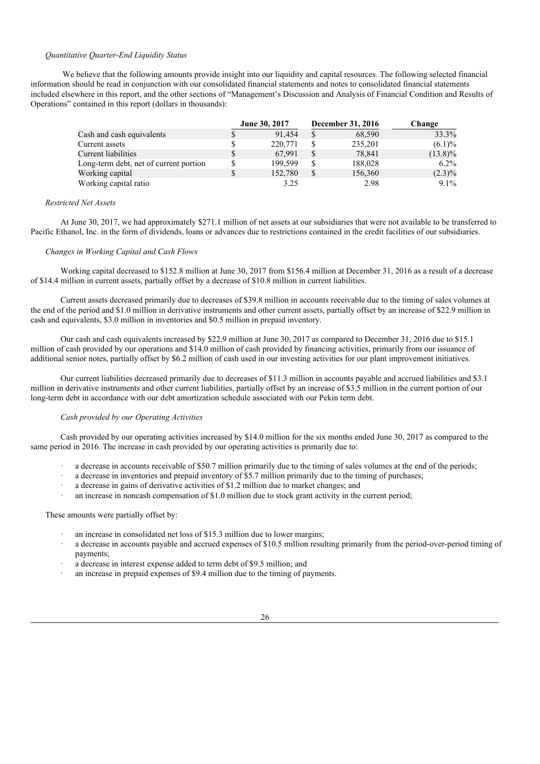### *Quantitative Quarter-End Liquidity Status*

We believe that the following amounts provide insight into our liquidity and capital resources. The following selected financial information should be read in conjunction with our consolidated financial statements and notes to consolidated financial statements included elsewhere in this report, and the other sections of "Management's Discussion and Analysis of Financial Condition and Results of Operations" contained in this report (dollars in thousands):

|                                        |    | June 30, 2017 |               | December 31, 2016 | Change     |
|----------------------------------------|----|---------------|---------------|-------------------|------------|
| Cash and cash equivalents              | S  | 91.454        | <sup>\$</sup> | 68,590            | 33.3%      |
| Current assets                         | S  | 220,771       | S             | 235,201           | $(6.1)\%$  |
| Current liabilities                    | \$ | 67.991        | S             | 78.841            | $(13.8)\%$ |
| Long-term debt, net of current portion | \$ | 199.599       | S             | 188,028           | $6.2\%$    |
| Working capital                        | S  | 152,780       | S             | 156,360           | $(2.3)\%$  |
| Working capital ratio                  |    | 3.25          |               | 2.98              | $9.1\%$    |

#### *Restricted Net Assets*

At June 30, 2017, we had approximately \$271.1 million of net assets at our subsidiaries that were not available to be transferred to Pacific Ethanol, Inc. in the form of dividends, loans or advances due to restrictions contained in the credit facilities of our subsidiaries.

#### *Changes in Working Capital and Cash Flows*

Working capital decreased to \$152.8 million at June 30, 2017 from \$156.4 million at December 31, 2016 as a result of a decrease of \$14.4 million in current assets, partially offset by a decrease of \$10.8 million in current liabilities.

Current assets decreased primarily due to decreases of \$39.8 million in accounts receivable due to the timing of sales volumes at the end of the period and \$1.0 million in derivative instruments and other current assets, partially offset by an increase of \$22.9 million in cash and equivalents, \$3.0 million in inventories and \$0.5 million in prepaid inventory.

Our cash and cash equivalents increased by \$22.9 million at June 30, 2017 as compared to December 31, 2016 due to \$15.1 million of cash provided by our operations and \$14.0 million of cash provided by financing activities, primarily from our issuance of additional senior notes, partially offset by \$6.2 million of cash used in our investing activities for our plant improvement initiatives.

Our current liabilities decreased primarily due to decreases of \$11.3 million in accounts payable and accrued liabilities and \$3.1 million in derivative instruments and other current liabilities, partially offset by an increase of \$3.5 million in the current portion of our long-term debt in accordance with our debt amortization schedule associated with our Pekin term debt.

### *Cash provided by our Operating Activities*

Cash provided by our operating activities increased by \$14.0 million for the six months ended June 30, 2017 as compared to the same period in 2016. The increase in cash provided by our operating activities is primarily due to:

- a decrease in accounts receivable of \$50.7 million primarily due to the timing of sales volumes at the end of the periods;
- a decrease in inventories and prepaid inventory of \$5.7 million primarily due to the timing of purchases;
- a decrease in gains of derivative activities of \$1.2 million due to market changes; and
- an increase in noncash compensation of \$1.0 million due to stock grant activity in the current period;

#### These amounts were partially offset by:

- an increase in consolidated net loss of \$15.3 million due to lower margins;
- a decrease in accounts payable and accrued expenses of \$10.5 million resulting primarily from the period-over-period timing of payments;
- a decrease in interest expense added to term debt of \$9.5 million; and
- an increase in prepaid expenses of \$9.4 million due to the timing of payments.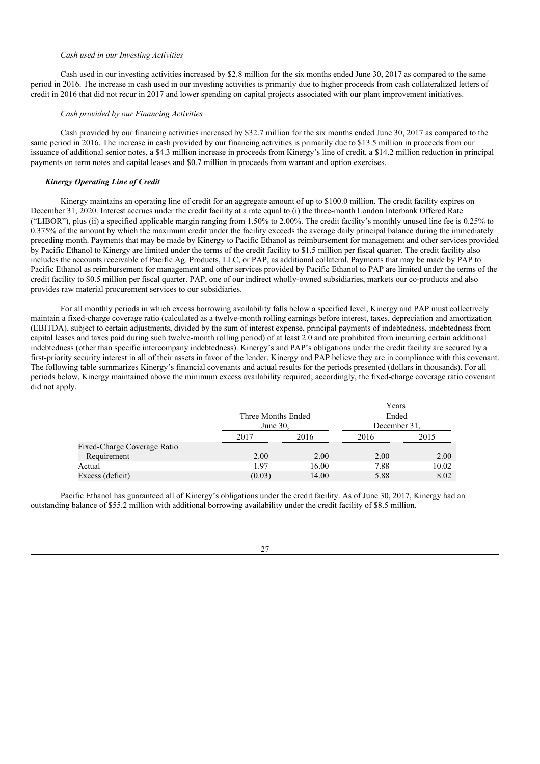### *Cash used in our Investing Activities*

Cash used in our investing activities increased by \$2.8 million for the six months ended June 30, 2017 as compared to the same period in 2016. The increase in cash used in our investing activities is primarily due to higher proceeds from cash collateralized letters of credit in 2016 that did not recur in 2017 and lower spending on capital projects associated with our plant improvement initiatives.

### *Cash provided by our Financing Activities*

Cash provided by our financing activities increased by \$32.7 million for the six months ended June 30, 2017 as compared to the same period in 2016. The increase in cash provided by our financing activities is primarily due to \$13.5 million in proceeds from our issuance of additional senior notes, a \$4.3 million increase in proceeds from Kinergy's line of credit, a \$14.2 million reduction in principal payments on term notes and capital leases and \$0.7 million in proceeds from warrant and option exercises.

## *Kinergy Operating Line of Credit*

Kinergy maintains an operating line of credit for an aggregate amount of up to \$100.0 million. The credit facility expires on December 31, 2020. Interest accrues under the credit facility at a rate equal to (i) the three-month London Interbank Offered Rate ("LIBOR"), plus (ii) a specified applicable margin ranging from 1.50% to 2.00%. The credit facility's monthly unused line fee is 0.25% to 0.375% of the amount by which the maximum credit under the facility exceeds the average daily principal balance during the immediately preceding month. Payments that may be made by Kinergy to Pacific Ethanol as reimbursement for management and other services provided by Pacific Ethanol to Kinergy are limited under the terms of the credit facility to \$1.5 million per fiscal quarter. The credit facility also includes the accounts receivable of Pacific Ag. Products, LLC, or PAP, as additional collateral. Payments that may be made by PAP to Pacific Ethanol as reimbursement for management and other services provided by Pacific Ethanol to PAP are limited under the terms of the credit facility to \$0.5 million per fiscal quarter. PAP, one of our indirect wholly-owned subsidiaries, markets our co-products and also provides raw material procurement services to our subsidiaries.

For all monthly periods in which excess borrowing availability falls below a specified level, Kinergy and PAP must collectively maintain a fixed-charge coverage ratio (calculated as a twelve-month rolling earnings before interest, taxes, depreciation and amortization (EBITDA), subject to certain adjustments, divided by the sum of interest expense, principal payments of indebtedness, indebtedness from capital leases and taxes paid during such twelve-month rolling period) of at least 2.0 and are prohibited from incurring certain additional indebtedness (other than specific intercompany indebtedness). Kinergy's and PAP's obligations under the credit facility are secured by a first-priority security interest in all of their assets in favor of the lender. Kinergy and PAP believe they are in compliance with this covenant. The following table summarizes Kinergy's financial covenants and actual results for the periods presented (dollars in thousands). For all periods below, Kinergy maintained above the minimum excess availability required; accordingly, the fixed-charge coverage ratio covenant did not apply.

|                             |                    |       | Years |              |  |  |
|-----------------------------|--------------------|-------|-------|--------------|--|--|
|                             | Three Months Ended |       | Ended |              |  |  |
|                             | June $30$ ,        |       |       | December 31. |  |  |
|                             | 2017               | 2016  | 2016  | 2015         |  |  |
| Fixed-Charge Coverage Ratio |                    |       |       |              |  |  |
| Requirement                 | 2.00               | 2.00  | 2.00  | 2.00         |  |  |
| Actual                      | 1.97               | 16.00 | 7.88  | 10.02        |  |  |
| Excess (deficit)            | (0.03)             | 14.00 | 5.88  | 8.02         |  |  |

Pacific Ethanol has guaranteed all of Kinergy's obligations under the credit facility. As of June 30, 2017, Kinergy had an outstanding balance of \$55.2 million with additional borrowing availability under the credit facility of \$8.5 million.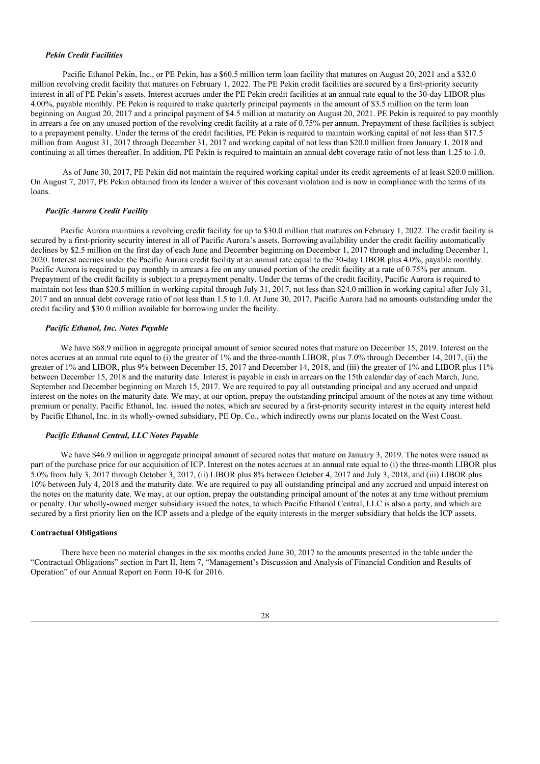### *Pekin Credit Facilities*

Pacific Ethanol Pekin, Inc., or PE Pekin, has a \$60.5 million term loan facility that matures on August 20, 2021 and a \$32.0 million revolving credit facility that matures on February 1, 2022. The PE Pekin credit facilities are secured by a first-priority security interest in all of PE Pekin's assets. Interest accrues under the PE Pekin credit facilities at an annual rate equal to the 30-day LIBOR plus 4.00%, payable monthly. PE Pekin is required to make quarterly principal payments in the amount of \$3.5 million on the term loan beginning on August 20, 2017 and a principal payment of \$4.5 million at maturity on August 20, 2021. PE Pekin is required to pay monthly in arrears a fee on any unused portion of the revolving credit facility at a rate of 0.75% per annum. Prepayment of these facilities is subject to a prepayment penalty. Under the terms of the credit facilities, PE Pekin is required to maintain working capital of not less than \$17.5 million from August 31, 2017 through December 31, 2017 and working capital of not less than \$20.0 million from January 1, 2018 and continuing at all times thereafter. In addition, PE Pekin is required to maintain an annual debt coverage ratio of not less than 1.25 to 1.0.

As of June 30, 2017, PE Pekin did not maintain the required working capital under its credit agreements of at least \$20.0 million. On August 7, 2017, PE Pekin obtained from its lender a waiver of this covenant violation and is now in compliance with the terms of its loans.

#### *Pacific Aurora Credit Facility*

Pacific Aurora maintains a revolving credit facility for up to \$30.0 million that matures on February 1, 2022. The credit facility is secured by a first-priority security interest in all of Pacific Aurora's assets. Borrowing availability under the credit facility automatically declines by \$2.5 million on the first day of each June and December beginning on December 1, 2017 through and including December 1, 2020. Interest accrues under the Pacific Aurora credit facility at an annual rate equal to the 30-day LIBOR plus 4.0%, payable monthly. Pacific Aurora is required to pay monthly in arrears a fee on any unused portion of the credit facility at a rate of 0.75% per annum. Prepayment of the credit facility is subject to a prepayment penalty. Under the terms of the credit facility, Pacific Aurora is required to maintain not less than \$20.5 million in working capital through July 31, 2017, not less than \$24.0 million in working capital after July 31, 2017 and an annual debt coverage ratio of not less than 1.5 to 1.0. At June 30, 2017, Pacific Aurora had no amounts outstanding under the credit facility and \$30.0 million available for borrowing under the facility.

## *Pacific Ethanol, Inc. Notes Payable*

We have \$68.9 million in aggregate principal amount of senior secured notes that mature on December 15, 2019. Interest on the notes accrues at an annual rate equal to (i) the greater of 1% and the three-month LIBOR, plus 7.0% through December 14, 2017, (ii) the greater of 1% and LIBOR, plus 9% between December 15, 2017 and December 14, 2018, and (iii) the greater of 1% and LIBOR plus 11% between December 15, 2018 and the maturity date. Interest is payable in cash in arrears on the 15th calendar day of each March, June, September and December beginning on March 15, 2017. We are required to pay all outstanding principal and any accrued and unpaid interest on the notes on the maturity date. We may, at our option, prepay the outstanding principal amount of the notes at any time without premium or penalty. Pacific Ethanol, Inc. issued the notes, which are secured by a first-priority security interest in the equity interest held by Pacific Ethanol, Inc. in its wholly-owned subsidiary, PE Op. Co., which indirectly owns our plants located on the West Coast.

#### *Pacific Ethanol Central, LLC Notes Payable*

We have \$46.9 million in aggregate principal amount of secured notes that mature on January 3, 2019. The notes were issued as part of the purchase price for our acquisition of ICP. Interest on the notes accrues at an annual rate equal to (i) the three-month LIBOR plus 5.0% from July 3, 2017 through October 3, 2017, (ii) LIBOR plus 8% between October 4, 2017 and July 3, 2018, and (iii) LIBOR plus 10% between July 4, 2018 and the maturity date. We are required to pay all outstanding principal and any accrued and unpaid interest on the notes on the maturity date. We may, at our option, prepay the outstanding principal amount of the notes at any time without premium or penalty. Our wholly-owned merger subsidiary issued the notes, to which Pacific Ethanol Central, LLC is also a party, and which are secured by a first priority lien on the ICP assets and a pledge of the equity interests in the merger subsidiary that holds the ICP assets.

## **Contractual Obligations**

There have been no material changes in the six months ended June 30, 2017 to the amounts presented in the table under the "Contractual Obligations" section in Part II, Item 7, "Management's Discussion and Analysis of Financial Condition and Results of Operation" of our Annual Report on Form 10-K for 2016.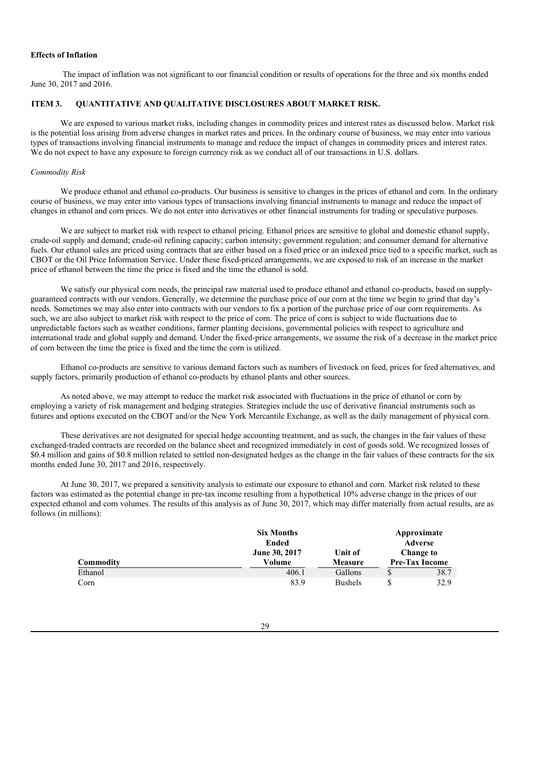## **Effects of Inflation**

The impact of inflation was not significant to our financial condition or results of operations for the three and six months ended June 30, 2017 and 2016.

## **ITEM 3. QUANTITATIVE AND QUALITATIVE DISCLOSURES ABOUT MARKET RISK.**

We are exposed to various market risks, including changes in commodity prices and interest rates as discussed below. Market risk is the potential loss arising from adverse changes in market rates and prices. In the ordinary course of business, we may enter into various types of transactions involving financial instruments to manage and reduce the impact of changes in commodity prices and interest rates. We do not expect to have any exposure to foreign currency risk as we conduct all of our transactions in U.S. dollars.

## *Commodity Risk*

We produce ethanol and ethanol co-products. Our business is sensitive to changes in the prices of ethanol and corn. In the ordinary course of business, we may enter into various types of transactions involving financial instruments to manage and reduce the impact of changes in ethanol and corn prices. We do not enter into derivatives or other financial instruments for trading or speculative purposes.

We are subject to market risk with respect to ethanol pricing. Ethanol prices are sensitive to global and domestic ethanol supply, crude-oil supply and demand; crude-oil refining capacity; carbon intensity; government regulation; and consumer demand for alternative fuels. Our ethanol sales are priced using contracts that are either based on a fixed price or an indexed price tied to a specific market, such as CBOT or the Oil Price Information Service. Under these fixed-priced arrangements, we are exposed to risk of an increase in the market price of ethanol between the time the price is fixed and the time the ethanol is sold.

We satisfy our physical corn needs, the principal raw material used to produce ethanol and ethanol co-products, based on supplyguaranteed contracts with our vendors. Generally, we determine the purchase price of our corn at the time we begin to grind that day's needs. Sometimes we may also enter into contracts with our vendors to fix a portion of the purchase price of our corn requirements. As such, we are also subject to market risk with respect to the price of corn. The price of corn is subject to wide fluctuations due to unpredictable factors such as weather conditions, farmer planting decisions, governmental policies with respect to agriculture and international trade and global supply and demand. Under the fixed-price arrangements, we assume the risk of a decrease in the market price of corn between the time the price is fixed and the time the corn is utilized.

Ethanol co-products are sensitive to various demand factors such as numbers of livestock on feed, prices for feed alternatives, and supply factors, primarily production of ethanol co-products by ethanol plants and other sources.

As noted above, we may attempt to reduce the market risk associated with fluctuations in the price of ethanol or corn by employing a variety of risk management and hedging strategies. Strategies include the use of derivative financial instruments such as futures and options executed on the CBOT and/or the New York Mercantile Exchange, as well as the daily management of physical corn.

These derivatives are not designated for special hedge accounting treatment, and as such, the changes in the fair values of these exchanged-traded contracts are recorded on the balance sheet and recognized immediately in cost of goods sold. We recognized losses of \$0.4 million and gains of \$0.8 million related to settled non-designated hedges as the change in the fair values of these contracts for the six months ended June 30, 2017 and 2016, respectively.

At June 30, 2017, we prepared a sensitivity analysis to estimate our exposure to ethanol and corn. Market risk related to these factors was estimated as the potential change in pre-tax income resulting from a hypothetical 10% adverse change in the prices of our expected ethanol and corn volumes. The results of this analysis as of June 30, 2017, which may differ materially from actual results, are as follows (in millions):

|           | <b>Six Months</b> |         | Approximate           |
|-----------|-------------------|---------|-----------------------|
|           | Ended             |         | Adverse               |
|           | June 30, 2017     | Unit of | <b>Change to</b>      |
| Commodity | Volume            | Measure | <b>Pre-Tax Income</b> |
| Ethanol   | 406.1             | Gallons | 38.7                  |
|           |                   |         |                       |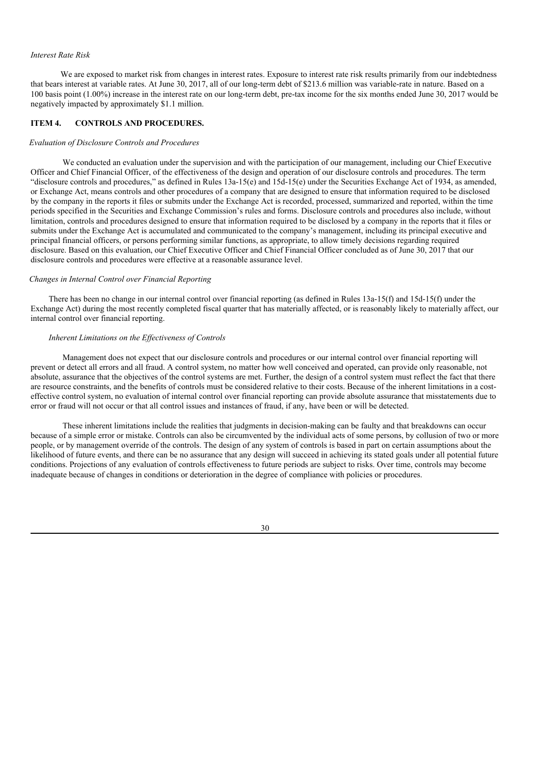### *Interest Rate Risk*

We are exposed to market risk from changes in interest rates. Exposure to interest rate risk results primarily from our indebtedness that bears interest at variable rates. At June 30, 2017, all of our long-term debt of \$213.6 million was variable-rate in nature. Based on a 100 basis point (1.00%) increase in the interest rate on our long-term debt, pre-tax income for the six months ended June 30, 2017 would be negatively impacted by approximately \$1.1 million.

## **ITEM 4. CONTROLS AND PROCEDURES.**

#### *Evaluation of Disclosure Controls and Procedures*

We conducted an evaluation under the supervision and with the participation of our management, including our Chief Executive Officer and Chief Financial Officer, of the effectiveness of the design and operation of our disclosure controls and procedures. The term "disclosure controls and procedures," as defined in Rules  $13a-15(e)$  and  $15d-15(e)$  under the Securities Exchange Act of 1934, as amended, or Exchange Act, means controls and other procedures of a company that are designed to ensure that information required to be disclosed by the company in the reports it files or submits under the Exchange Act is recorded, processed, summarized and reported, within the time periods specified in the Securities and Exchange Commission's rules and forms. Disclosure controls and procedures also include, without limitation, controls and procedures designed to ensure that information required to be disclosed by a company in the reports that it files or submits under the Exchange Act is accumulated and communicated to the company's management, including its principal executive and principal financial officers, or persons performing similar functions, as appropriate, to allow timely decisions regarding required disclosure. Based on this evaluation, our Chief Executive Officer and Chief Financial Officer concluded as of June 30, 2017 that our disclosure controls and procedures were effective at a reasonable assurance level.

#### *Changes in Internal Control over Financial Reporting*

There has been no change in our internal control over financial reporting (as defined in Rules 13a-15(f) and 15d-15(f) under the Exchange Act) during the most recently completed fiscal quarter that has materially affected, or is reasonably likely to materially affect, our internal control over financial reporting.

### *Inherent Limitations on the Ef ectiveness of Controls*

Management does not expect that our disclosure controls and procedures or our internal control over financial reporting will prevent or detect all errors and all fraud. A control system, no matter how well conceived and operated, can provide only reasonable, not absolute, assurance that the objectives of the control systems are met. Further, the design of a control system must reflect the fact that there are resource constraints, and the benefits of controls must be considered relative to their costs. Because of the inherent limitations in a costeffective control system, no evaluation of internal control over financial reporting can provide absolute assurance that misstatements due to error or fraud will not occur or that all control issues and instances of fraud, if any, have been or will be detected.

These inherent limitations include the realities that judgments in decision-making can be faulty and that breakdowns can occur because of a simple error or mistake. Controls can also be circumvented by the individual acts of some persons, by collusion of two or more people, or by management override of the controls. The design of any system of controls is based in part on certain assumptions about the likelihood of future events, and there can be no assurance that any design will succeed in achieving its stated goals under all potential future conditions. Projections of any evaluation of controls effectiveness to future periods are subject to risks. Over time, controls may become inadequate because of changes in conditions or deterioration in the degree of compliance with policies or procedures.

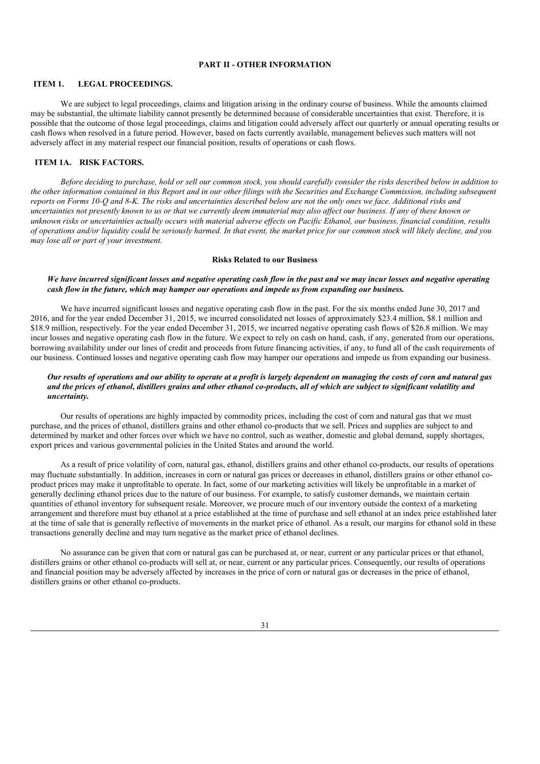## **PART II - OTHER INFORMATION**

## **ITEM 1. LEGAL PROCEEDINGS.**

We are subject to legal proceedings, claims and litigation arising in the ordinary course of business. While the amounts claimed may be substantial, the ultimate liability cannot presently be determined because of considerable uncertainties that exist. Therefore, it is possible that the outcome of those legal proceedings, claims and litigation could adversely affect our quarterly or annual operating results or cash flows when resolved in a future period. However, based on facts currently available, management believes such matters will not adversely affect in any material respect our financial position, results of operations or cash flows.

### **ITEM 1A. RISK FACTORS.**

Before deciding to purchase, hold or sell our common stock, you should carefully consider the risks described below in addition to the other information contained in this Report and in our other filings with the Securities and Exchange Commission, including subsequent reports on Forms 10-O and 8-K. The risks and uncertainties described below are not the only ones we face. Additional risks and uncertainties not presently known to us or that we currently deem immaterial may also affect our business. If any of these known or unknown risks or uncertainties actually occurs with material adverse effects on Pacific Ethanol, our business, financial condition, results of operations and/or liquidity could be seriously harmed. In that event, the market price for our common stock will likely decline, and you *may lose all or part of your investment.*

#### **Risks Related to our Business**

#### We have incurred significant losses and negative operating cash flow in the past and we may incur losses and negative operating *cash flow in the future, which may hamper our operations and impede us from expanding our business.*

We have incurred significant losses and negative operating cash flow in the past. For the six months ended June 30, 2017 and 2016, and for the year ended December 31, 2015, we incurred consolidated net losses of approximately \$23.4 million, \$8.1 million and \$18.9 million, respectively. For the year ended December 31, 2015, we incurred negative operating cash flows of \$26.8 million. We may incur losses and negative operating cash flow in the future. We expect to rely on cash on hand, cash, if any, generated from our operations, borrowing availability under our lines of credit and proceeds from future financing activities, if any, to fund all of the cash requirements of our business. Continued losses and negative operating cash flow may hamper our operations and impede us from expanding our business.

## Our results of operations and our ability to operate at a profit is largely dependent on managing the costs of corn and natural gas and the prices of ethanol, distillers grains and other ethanol co-products, all of which are subject to significant volatility and *uncertainty.*

Our results of operations are highly impacted by commodity prices, including the cost of corn and natural gas that we must purchase, and the prices of ethanol, distillers grains and other ethanol co-products that we sell. Prices and supplies are subject to and determined by market and other forces over which we have no control, such as weather, domestic and global demand, supply shortages, export prices and various governmental policies in the United States and around the world.

As a result of price volatility of corn, natural gas, ethanol, distillers grains and other ethanol co-products, our results of operations may fluctuate substantially. In addition, increases in corn or natural gas prices or decreases in ethanol, distillers grains or other ethanol coproduct prices may make it unprofitable to operate. In fact, some of our marketing activities will likely be unprofitable in a market of generally declining ethanol prices due to the nature of our business. For example, to satisfy customer demands, we maintain certain quantities of ethanol inventory for subsequent resale. Moreover, we procure much of our inventory outside the context of a marketing arrangement and therefore must buy ethanol at a price established at the time of purchase and sell ethanol at an index price established later at the time of sale that is generally reflective of movements in the market price of ethanol. As a result, our margins for ethanol sold in these transactions generally decline and may turn negative as the market price of ethanol declines.

No assurance can be given that corn or natural gas can be purchased at, or near, current or any particular prices or that ethanol, distillers grains or other ethanol co-products will sell at, or near, current or any particular prices. Consequently, our results of operations and financial position may be adversely affected by increases in the price of corn or natural gas or decreases in the price of ethanol, distillers grains or other ethanol co-products.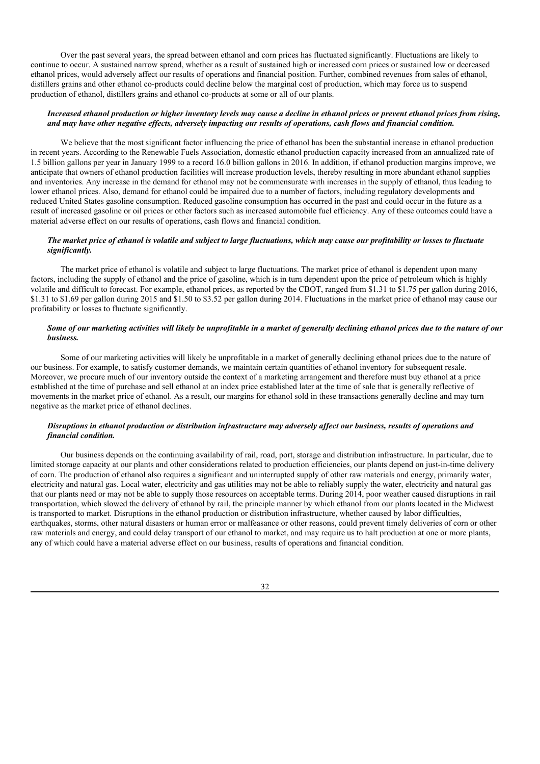Over the past several years, the spread between ethanol and corn prices has fluctuated significantly. Fluctuations are likely to continue to occur. A sustained narrow spread, whether as a result of sustained high or increased corn prices or sustained low or decreased ethanol prices, would adversely affect our results of operations and financial position. Further, combined revenues from sales of ethanol, distillers grains and other ethanol co-products could decline below the marginal cost of production, which may force us to suspend production of ethanol, distillers grains and ethanol co-products at some or all of our plants.

### Increased ethanol production or higher inventory levels may cause a decline in ethanol prices or prevent ethanol prices from rising, and may have other negative effects, adversely impacting our results of operations, cash flows and financial condition.

We believe that the most significant factor influencing the price of ethanol has been the substantial increase in ethanol production in recent years. According to the Renewable Fuels Association, domestic ethanol production capacity increased from an annualized rate of 1.5 billion gallons per year in January 1999 to a record 16.0 billion gallons in 2016. In addition, if ethanol production margins improve, we anticipate that owners of ethanol production facilities will increase production levels, thereby resulting in more abundant ethanol supplies and inventories. Any increase in the demand for ethanol may not be commensurate with increases in the supply of ethanol, thus leading to lower ethanol prices. Also, demand for ethanol could be impaired due to a number of factors, including regulatory developments and reduced United States gasoline consumption. Reduced gasoline consumption has occurred in the past and could occur in the future as a result of increased gasoline or oil prices or other factors such as increased automobile fuel efficiency. Any of these outcomes could have a material adverse effect on our results of operations, cash flows and financial condition.

## The market price of ethanol is volatile and subject to large fluctuations, which may cause our profitability or losses to fluctuate *significantly.*

The market price of ethanol is volatile and subject to large fluctuations. The market price of ethanol is dependent upon many factors, including the supply of ethanol and the price of gasoline, which is in turn dependent upon the price of petroleum which is highly volatile and difficult to forecast. For example, ethanol prices, as reported by the CBOT, ranged from \$1.31 to \$1.75 per gallon during 2016, \$1.31 to \$1.69 per gallon during 2015 and \$1.50 to \$3.52 per gallon during 2014. Fluctuations in the market price of ethanol may cause our profitability or losses to fluctuate significantly.

## Some of our marketing activities will likely be unprofitable in a market of generally declining ethanol prices due to the nature of our *business.*

Some of our marketing activities will likely be unprofitable in a market of generally declining ethanol prices due to the nature of our business. For example, to satisfy customer demands, we maintain certain quantities of ethanol inventory for subsequent resale. Moreover, we procure much of our inventory outside the context of a marketing arrangement and therefore must buy ethanol at a price established at the time of purchase and sell ethanol at an index price established later at the time of sale that is generally reflective of movements in the market price of ethanol. As a result, our margins for ethanol sold in these transactions generally decline and may turn negative as the market price of ethanol declines.

## Disruptions in ethanol production or distribution infrastructure may adversely affect our business, results of operations and *financial condition.*

Our business depends on the continuing availability of rail, road, port, storage and distribution infrastructure. In particular, due to limited storage capacity at our plants and other considerations related to production efficiencies, our plants depend on just-in-time delivery of corn. The production of ethanol also requires a significant and uninterrupted supply of other raw materials and energy, primarily water, electricity and natural gas. Local water, electricity and gas utilities may not be able to reliably supply the water, electricity and natural gas that our plants need or may not be able to supply those resources on acceptable terms. During 2014, poor weather caused disruptions in rail transportation, which slowed the delivery of ethanol by rail, the principle manner by which ethanol from our plants located in the Midwest is transported to market. Disruptions in the ethanol production or distribution infrastructure, whether caused by labor difficulties, earthquakes, storms, other natural disasters or human error or malfeasance or other reasons, could prevent timely deliveries of corn or other raw materials and energy, and could delay transport of our ethanol to market, and may require us to halt production at one or more plants, any of which could have a material adverse effect on our business, results of operations and financial condition.

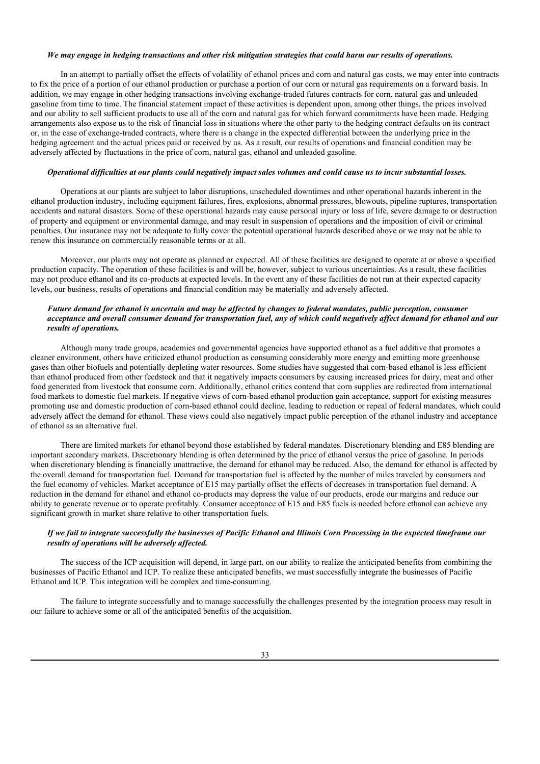### We may engage in hedging transactions and other risk mitigation strategies that could harm our results of operations.

In an attempt to partially offset the effects of volatility of ethanol prices and corn and natural gas costs, we may enter into contracts to fix the price of a portion of our ethanol production or purchase a portion of our corn or natural gas requirements on a forward basis. In addition, we may engage in other hedging transactions involving exchange-traded futures contracts for corn, natural gas and unleaded gasoline from time to time. The financial statement impact of these activities is dependent upon, among other things, the prices involved and our ability to sell sufficient products to use all of the corn and natural gas for which forward commitments have been made. Hedging arrangements also expose us to the risk of financial loss in situations where the other party to the hedging contract defaults on its contract or, in the case of exchange-traded contracts, where there is a change in the expected differential between the underlying price in the hedging agreement and the actual prices paid or received by us. As a result, our results of operations and financial condition may be adversely affected by fluctuations in the price of corn, natural gas, ethanol and unleaded gasoline.

## Operational difficulties at our plants could negatively impact sales volumes and could cause us to incur substantial losses.

Operations at our plants are subject to labor disruptions, unscheduled downtimes and other operational hazards inherent in the ethanol production industry, including equipment failures, fires, explosions, abnormal pressures, blowouts, pipeline ruptures, transportation accidents and natural disasters. Some of these operational hazards may cause personal injury or loss of life, severe damage to or destruction of property and equipment or environmental damage, and may result in suspension of operations and the imposition of civil or criminal penalties. Our insurance may not be adequate to fully cover the potential operational hazards described above or we may not be able to renew this insurance on commercially reasonable terms or at all.

Moreover, our plants may not operate as planned or expected. All of these facilities are designed to operate at or above a specified production capacity. The operation of these facilities is and will be, however, subject to various uncertainties. As a result, these facilities may not produce ethanol and its co-products at expected levels. In the event any of these facilities do not run at their expected capacity levels, our business, results of operations and financial condition may be materially and adversely affected.

## Future demand for ethanol is uncertain and may be affected by changes to federal mandates, public perception, consumer acceptance and overall consumer demand for transportation fuel, any of which could negatively affect demand for ethanol and our *results of operations.*

Although many trade groups, academics and governmental agencies have supported ethanol as a fuel additive that promotes a cleaner environment, others have criticized ethanol production as consuming considerably more energy and emitting more greenhouse gases than other biofuels and potentially depleting water resources. Some studies have suggested that corn-based ethanol is less efficient than ethanol produced from other feedstock and that it negatively impacts consumers by causing increased prices for dairy, meat and other food generated from livestock that consume corn. Additionally, ethanol critics contend that corn supplies are redirected from international food markets to domestic fuel markets. If negative views of corn-based ethanol production gain acceptance, support for existing measures promoting use and domestic production of corn-based ethanol could decline, leading to reduction or repeal of federal mandates, which could adversely affect the demand for ethanol. These views could also negatively impact public perception of the ethanol industry and acceptance of ethanol as an alternative fuel.

There are limited markets for ethanol beyond those established by federal mandates. Discretionary blending and E85 blending are important secondary markets. Discretionary blending is often determined by the price of ethanol versus the price of gasoline. In periods when discretionary blending is financially unattractive, the demand for ethanol may be reduced. Also, the demand for ethanol is affected by the overall demand for transportation fuel. Demand for transportation fuel is affected by the number of miles traveled by consumers and the fuel economy of vehicles. Market acceptance of E15 may partially offset the effects of decreases in transportation fuel demand. A reduction in the demand for ethanol and ethanol co-products may depress the value of our products, erode our margins and reduce our ability to generate revenue or to operate profitably. Consumer acceptance of E15 and E85 fuels is needed before ethanol can achieve any significant growth in market share relative to other transportation fuels.

## If we fail to integrate successfully the businesses of Pacific Ethanol and Illinois Corn Processing in the expected timeframe our *results of operations will be adversely af ected.*

The success of the ICP acquisition will depend, in large part, on our ability to realize the anticipated benefits from combining the businesses of Pacific Ethanol and ICP. To realize these anticipated benefits, we must successfully integrate the businesses of Pacific Ethanol and ICP. This integration will be complex and time-consuming.

The failure to integrate successfully and to manage successfully the challenges presented by the integration process may result in our failure to achieve some or all of the anticipated benefits of the acquisition.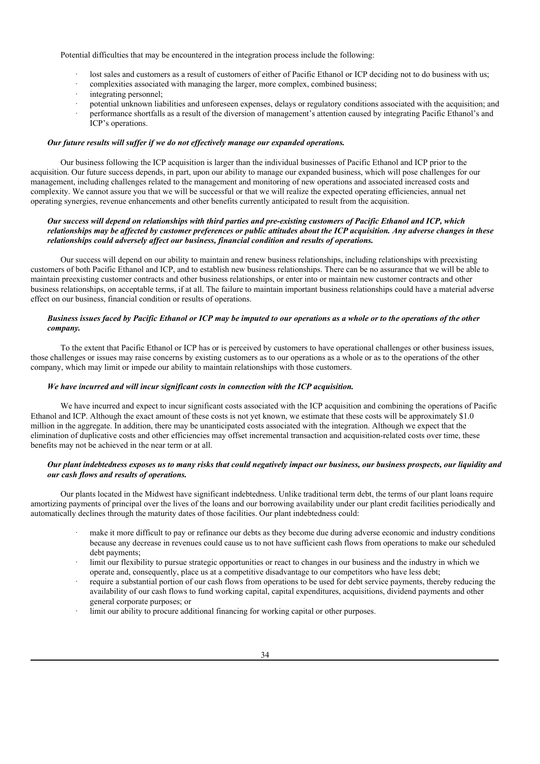Potential difficulties that may be encountered in the integration process include the following:

- lost sales and customers as a result of customers of either of Pacific Ethanol or ICP deciding not to do business with us;
- complexities associated with managing the larger, more complex, combined business;
- integrating personnel;
- potential unknown liabilities and unforeseen expenses, delays or regulatory conditions associated with the acquisition; and
- performance shortfalls as a result of the diversion of management's attention caused by integrating Pacific Ethanol's and ICP's operations.

### *Our future results will suf er if we do not ef ectively manage our expanded operations.*

Our business following the ICP acquisition is larger than the individual businesses of Pacific Ethanol and ICP prior to the acquisition. Our future success depends, in part, upon our ability to manage our expanded business, which will pose challenges for our management, including challenges related to the management and monitoring of new operations and associated increased costs and complexity. We cannot assure you that we will be successful or that we will realize the expected operating efficiencies, annual net operating synergies, revenue enhancements and other benefits currently anticipated to result from the acquisition.

## Our success will depend on relationships with third parties and pre-existing customers of Pacific Ethanol and ICP, which relationships may be affected by customer preferences or public attitudes about the ICP acquisition. Any adverse changes in these *relationships could adversely af ect our business, financial condition and results of operations.*

Our success will depend on our ability to maintain and renew business relationships, including relationships with preexisting customers of both Pacific Ethanol and ICP, and to establish new business relationships. There can be no assurance that we will be able to maintain preexisting customer contracts and other business relationships, or enter into or maintain new customer contracts and other business relationships, on acceptable terms, if at all. The failure to maintain important business relationships could have a material adverse effect on our business, financial condition or results of operations.

## Business issues faced by Pacific Ethanol or ICP may be imputed to our operations as a whole or to the operations of the other *company.*

To the extent that Pacific Ethanol or ICP has or is perceived by customers to have operational challenges or other business issues, those challenges or issues may raise concerns by existing customers as to our operations as a whole or as to the operations of the other company, which may limit or impede our ability to maintain relationships with those customers.

## *We have incurred and will incur significant costs in connection with the ICP acquisition.*

We have incurred and expect to incur significant costs associated with the ICP acquisition and combining the operations of Pacific Ethanol and ICP. Although the exact amount of these costs is not yet known, we estimate that these costs will be approximately \$1.0 million in the aggregate. In addition, there may be unanticipated costs associated with the integration. Although we expect that the elimination of duplicative costs and other efficiencies may offset incremental transaction and acquisition-related costs over time, these benefits may not be achieved in the near term or at all.

## Our plant indebtedness exposes us to many risks that could negatively impact our business, our business prospects, our liquidity and *our cash flows and results of operations.*

Our plants located in the Midwest have significant indebtedness. Unlike traditional term debt, the terms of our plant loans require amortizing payments of principal over the lives of the loans and our borrowing availability under our plant credit facilities periodically and automatically declines through the maturity dates of those facilities. Our plant indebtedness could:

- make it more difficult to pay or refinance our debts as they become due during adverse economic and industry conditions because any decrease in revenues could cause us to not have sufficient cash flows from operations to make our scheduled debt payments;
- limit our flexibility to pursue strategic opportunities or react to changes in our business and the industry in which we operate and, consequently, place us at a competitive disadvantage to our competitors who have less debt;
- require a substantial portion of our cash flows from operations to be used for debt service payments, thereby reducing the availability of our cash flows to fund working capital, capital expenditures, acquisitions, dividend payments and other general corporate purposes; or
- limit our ability to procure additional financing for working capital or other purposes.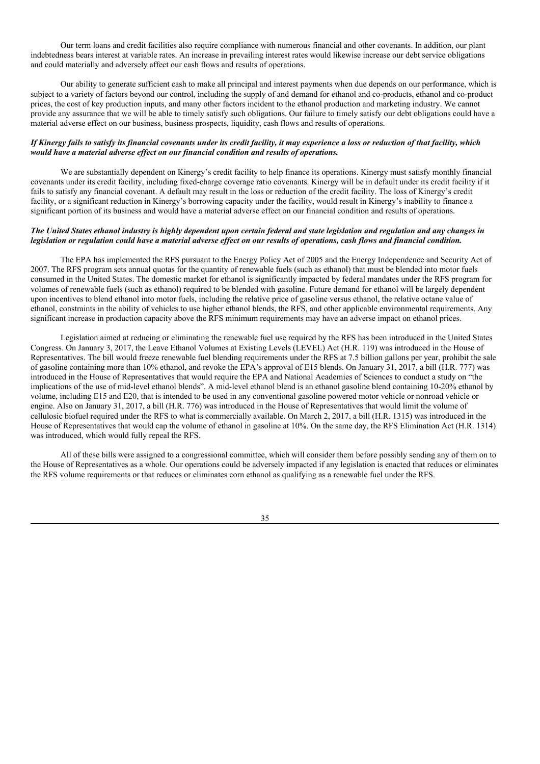Our term loans and credit facilities also require compliance with numerous financial and other covenants. In addition, our plant indebtedness bears interest at variable rates. An increase in prevailing interest rates would likewise increase our debt service obligations and could materially and adversely affect our cash flows and results of operations.

Our ability to generate sufficient cash to make all principal and interest payments when due depends on our performance, which is subject to a variety of factors beyond our control, including the supply of and demand for ethanol and co-products, ethanol and co-product prices, the cost of key production inputs, and many other factors incident to the ethanol production and marketing industry. We cannot provide any assurance that we will be able to timely satisfy such obligations. Our failure to timely satisfy our debt obligations could have a material adverse effect on our business, business prospects, liquidity, cash flows and results of operations.

## If Kinergy fails to satisfy its financial covenants under its credit facility, it may experience a loss or reduction of that facility, which *would have a material adverse ef ect on our financial condition and results of operations.*

We are substantially dependent on Kinergy's credit facility to help finance its operations. Kinergy must satisfy monthly financial covenants under its credit facility, including fixed-charge coverage ratio covenants. Kinergy will be in default under its credit facility if it fails to satisfy any financial covenant. A default may result in the loss or reduction of the credit facility. The loss of Kinergy's credit facility, or a significant reduction in Kinergy's borrowing capacity under the facility, would result in Kinergy's inability to finance a significant portion of its business and would have a material adverse effect on our financial condition and results of operations.

## The United States ethanol industry is highly dependent upon certain federal and state legislation and regulation and any changes in legislation or regulation could have a material adverse effect on our results of operations, cash flows and financial condition.

The EPA has implemented the RFS pursuant to the Energy Policy Act of 2005 and the Energy Independence and Security Act of 2007. The RFS program sets annual quotas for the quantity of renewable fuels (such as ethanol) that must be blended into motor fuels consumed in the United States. The domestic market for ethanol is significantly impacted by federal mandates under the RFS program for volumes of renewable fuels (such as ethanol) required to be blended with gasoline. Future demand for ethanol will be largely dependent upon incentives to blend ethanol into motor fuels, including the relative price of gasoline versus ethanol, the relative octane value of ethanol, constraints in the ability of vehicles to use higher ethanol blends, the RFS, and other applicable environmental requirements. Any significant increase in production capacity above the RFS minimum requirements may have an adverse impact on ethanol prices.

Legislation aimed at reducing or eliminating the renewable fuel use required by the RFS has been introduced in the United States Congress. On January 3, 2017, the Leave Ethanol Volumes at Existing Levels (LEVEL) Act (H.R. 119) was introduced in the House of Representatives. The bill would freeze renewable fuel blending requirements under the RFS at 7.5 billion gallons per year, prohibit the sale of gasoline containing more than 10% ethanol, and revoke the EPA's approval of E15 blends. On January 31, 2017, a bill (H.R. 777) was introduced in the House of Representatives that would require the EPA and National Academies of Sciences to conduct a study on "the implications of the use of mid-level ethanol blends". A mid-level ethanol blend is an ethanol gasoline blend containing 10-20% ethanol by volume, including E15 and E20, that is intended to be used in any conventional gasoline powered motor vehicle or nonroad vehicle or engine. Also on January 31, 2017, a bill (H.R. 776) was introduced in the House of Representatives that would limit the volume of cellulosic biofuel required under the RFS to what is commercially available. On March 2, 2017, a bill (H.R. 1315) was introduced in the House of Representatives that would cap the volume of ethanol in gasoline at 10%. On the same day, the RFS Elimination Act (H.R. 1314) was introduced, which would fully repeal the RFS.

All of these bills were assigned to a congressional committee, which will consider them before possibly sending any of them on to the House of Representatives as a whole. Our operations could be adversely impacted if any legislation is enacted that reduces or eliminates the RFS volume requirements or that reduces or eliminates corn ethanol as qualifying as a renewable fuel under the RFS.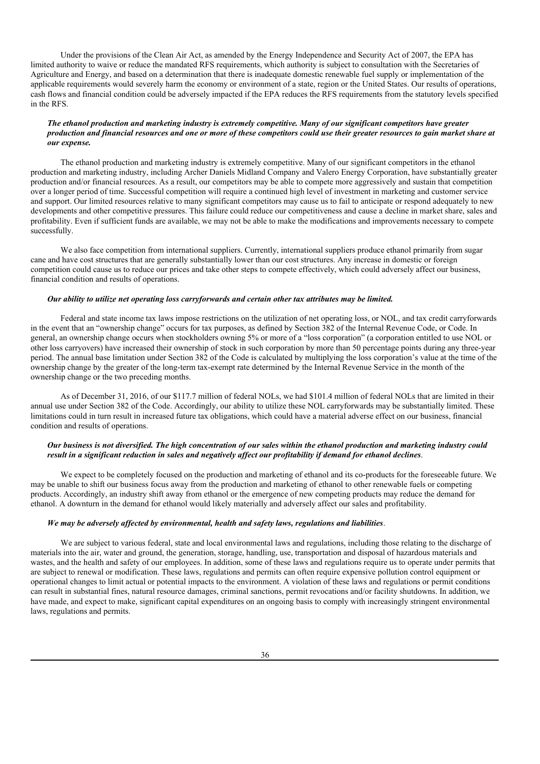Under the provisions of the Clean Air Act, as amended by the Energy Independence and Security Act of 2007, the EPA has limited authority to waive or reduce the mandated RFS requirements, which authority is subject to consultation with the Secretaries of Agriculture and Energy, and based on a determination that there is inadequate domestic renewable fuel supply or implementation of the applicable requirements would severely harm the economy or environment of a state, region or the United States. Our results of operations, cash flows and financial condition could be adversely impacted if the EPA reduces the RFS requirements from the statutory levels specified in the RFS.

## The ethanol production and marketing industry is extremely competitive. Many of our significant competitors have greater production and financial resources and one or more of these competitors could use their greater resources to gain market share at *our expense.*

The ethanol production and marketing industry is extremely competitive. Many of our significant competitors in the ethanol production and marketing industry, including Archer Daniels Midland Company and Valero Energy Corporation, have substantially greater production and/or financial resources. As a result, our competitors may be able to compete more aggressively and sustain that competition over a longer period of time. Successful competition will require a continued high level of investment in marketing and customer service and support. Our limited resources relative to many significant competitors may cause us to fail to anticipate or respond adequately to new developments and other competitive pressures. This failure could reduce our competitiveness and cause a decline in market share, sales and profitability. Even if sufficient funds are available, we may not be able to make the modifications and improvements necessary to compete successfully.

We also face competition from international suppliers. Currently, international suppliers produce ethanol primarily from sugar cane and have cost structures that are generally substantially lower than our cost structures. Any increase in domestic or foreign competition could cause us to reduce our prices and take other steps to compete effectively, which could adversely affect our business, financial condition and results of operations.

#### *Our ability to utilize net operating loss carryforwards and certain other tax attributes may be limited.*

Federal and state income tax laws impose restrictions on the utilization of net operating loss, or NOL, and tax credit carryforwards in the event that an "ownership change" occurs for tax purposes, as defined by Section 382 of the Internal Revenue Code, or Code. In general, an ownership change occurs when stockholders owning 5% or more of a "loss corporation" (a corporation entitled to use NOL or other loss carryovers) have increased their ownership of stock in such corporation by more than 50 percentage points during any three-year period. The annual base limitation under Section 382 of the Code is calculated by multiplying the loss corporation's value at the time of the ownership change by the greater of the long-term tax-exempt rate determined by the Internal Revenue Service in the month of the ownership change or the two preceding months.

As of December 31, 2016, of our \$117.7 million of federal NOLs, we had \$101.4 million of federal NOLs that are limited in their annual use under Section 382 of the Code. Accordingly, our ability to utilize these NOL carryforwards may be substantially limited. These limitations could in turn result in increased future tax obligations, which could have a material adverse effect on our business, financial condition and results of operations.

## Our business is not diversified. The high concentration of our sales within the ethanol production and marketing industry could result in a significant reduction in sales and negatively affect our profitability if demand for ethanol declines.

We expect to be completely focused on the production and marketing of ethanol and its co-products for the foreseeable future. We may be unable to shift our business focus away from the production and marketing of ethanol to other renewable fuels or competing products. Accordingly, an industry shift away from ethanol or the emergence of new competing products may reduce the demand for ethanol. A downturn in the demand for ethanol would likely materially and adversely affect our sales and profitability.

# *We may be adversely af ected by environmental, health and safety laws, regulations and liabilities*.

We are subject to various federal, state and local environmental laws and regulations, including those relating to the discharge of materials into the air, water and ground, the generation, storage, handling, use, transportation and disposal of hazardous materials and wastes, and the health and safety of our employees. In addition, some of these laws and regulations require us to operate under permits that are subject to renewal or modification. These laws, regulations and permits can often require expensive pollution control equipment or operational changes to limit actual or potential impacts to the environment. A violation of these laws and regulations or permit conditions can result in substantial fines, natural resource damages, criminal sanctions, permit revocations and/or facility shutdowns. In addition, we have made, and expect to make, significant capital expenditures on an ongoing basis to comply with increasingly stringent environmental laws, regulations and permits.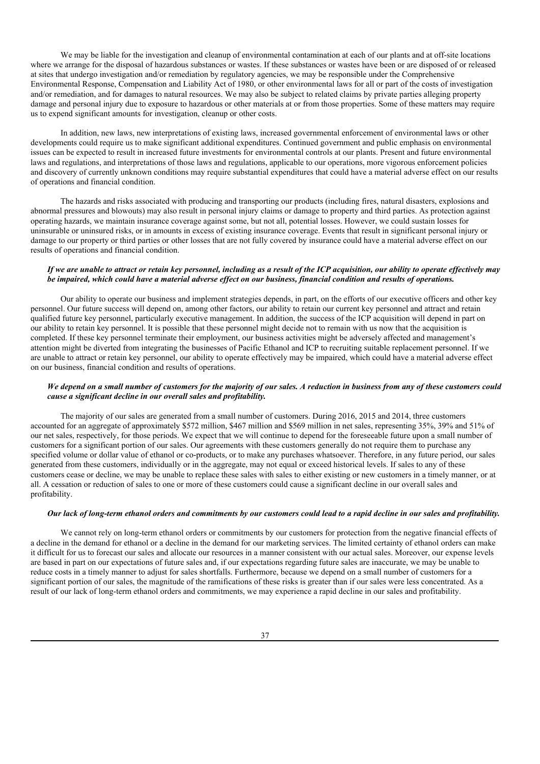We may be liable for the investigation and cleanup of environmental contamination at each of our plants and at off-site locations where we arrange for the disposal of hazardous substances or wastes. If these substances or wastes have been or are disposed of or released at sites that undergo investigation and/or remediation by regulatory agencies, we may be responsible under the Comprehensive Environmental Response, Compensation and Liability Act of 1980, or other environmental laws for all or part of the costs of investigation and/or remediation, and for damages to natural resources. We may also be subject to related claims by private parties alleging property damage and personal injury due to exposure to hazardous or other materials at or from those properties. Some of these matters may require us to expend significant amounts for investigation, cleanup or other costs.

In addition, new laws, new interpretations of existing laws, increased governmental enforcement of environmental laws or other developments could require us to make significant additional expenditures. Continued government and public emphasis on environmental issues can be expected to result in increased future investments for environmental controls at our plants. Present and future environmental laws and regulations, and interpretations of those laws and regulations, applicable to our operations, more vigorous enforcement policies and discovery of currently unknown conditions may require substantial expenditures that could have a material adverse effect on our results of operations and financial condition.

The hazards and risks associated with producing and transporting our products (including fires, natural disasters, explosions and abnormal pressures and blowouts) may also result in personal injury claims or damage to property and third parties. As protection against operating hazards, we maintain insurance coverage against some, but not all, potential losses. However, we could sustain losses for uninsurable or uninsured risks, or in amounts in excess of existing insurance coverage. Events that result in significant personal injury or damage to our property or third parties or other losses that are not fully covered by insurance could have a material adverse effect on our results of operations and financial condition.

## If we are unable to attract or retain key personnel, including as a result of the ICP acquisition, our ability to operate effectively may be impaired, which could have a material adverse effect on our business, financial condition and results of operations.

Our ability to operate our business and implement strategies depends, in part, on the efforts of our executive officers and other key personnel. Our future success will depend on, among other factors, our ability to retain our current key personnel and attract and retain qualified future key personnel, particularly executive management. In addition, the success of the ICP acquisition will depend in part on our ability to retain key personnel. It is possible that these personnel might decide not to remain with us now that the acquisition is completed. If these key personnel terminate their employment, our business activities might be adversely affected and management's attention might be diverted from integrating the businesses of Pacific Ethanol and ICP to recruiting suitable replacement personnel. If we are unable to attract or retain key personnel, our ability to operate effectively may be impaired, which could have a material adverse effect on our business, financial condition and results of operations.

## We depend on a small number of customers for the majority of our sales. A reduction in business from any of these customers could *cause a significant decline in our overall sales and profitability.*

The majority of our sales are generated from a small number of customers. During 2016, 2015 and 2014, three customers accounted for an aggregate of approximately \$572 million, \$467 million and \$569 million in net sales, representing 35%, 39% and 51% of our net sales, respectively, for those periods. We expect that we will continue to depend for the foreseeable future upon a small number of customers for a significant portion of our sales. Our agreements with these customers generally do not require them to purchase any specified volume or dollar value of ethanol or co-products, or to make any purchases whatsoever. Therefore, in any future period, our sales generated from these customers, individually or in the aggregate, may not equal or exceed historical levels. If sales to any of these customers cease or decline, we may be unable to replace these sales with sales to either existing or new customers in a timely manner, or at all. A cessation or reduction of sales to one or more of these customers could cause a significant decline in our overall sales and profitability.

### Our lack of long-term ethanol orders and commitments by our customers could lead to a rapid decline in our sales and profitability.

We cannot rely on long-term ethanol orders or commitments by our customers for protection from the negative financial effects of a decline in the demand for ethanol or a decline in the demand for our marketing services. The limited certainty of ethanol orders can make it difficult for us to forecast our sales and allocate our resources in a manner consistent with our actual sales. Moreover, our expense levels are based in part on our expectations of future sales and, if our expectations regarding future sales are inaccurate, we may be unable to reduce costs in a timely manner to adjust for sales shortfalls. Furthermore, because we depend on a small number of customers for a significant portion of our sales, the magnitude of the ramifications of these risks is greater than if our sales were less concentrated. As a result of our lack of long-term ethanol orders and commitments, we may experience a rapid decline in our sales and profitability.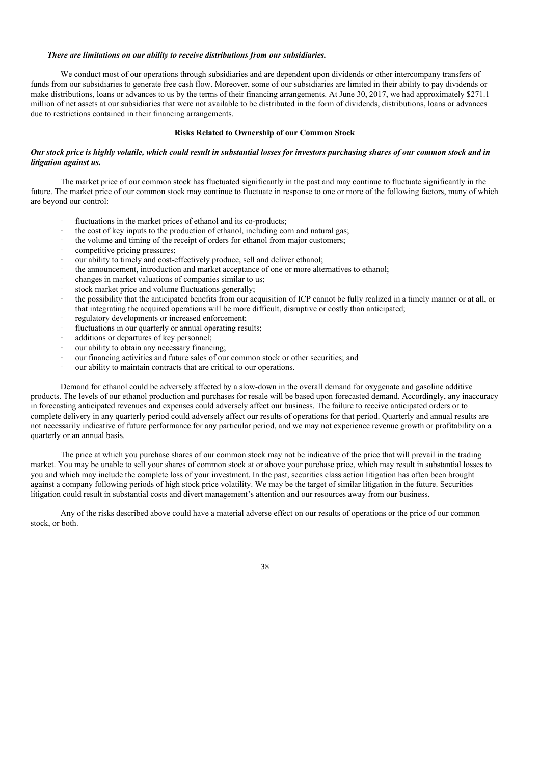### *There are limitations on our ability to receive distributions from our subsidiaries.*

We conduct most of our operations through subsidiaries and are dependent upon dividends or other intercompany transfers of funds from our subsidiaries to generate free cash flow. Moreover, some of our subsidiaries are limited in their ability to pay dividends or make distributions, loans or advances to us by the terms of their financing arrangements. At June 30, 2017, we had approximately \$271.1 million of net assets at our subsidiaries that were not available to be distributed in the form of dividends, distributions, loans or advances due to restrictions contained in their financing arrangements.

## **Risks Related to Ownership of our Common Stock**

## Our stock price is highly volatile, which could result in substantial losses for investors purchasing shares of our common stock and in *litigation against us.*

The market price of our common stock has fluctuated significantly in the past and may continue to fluctuate significantly in the future. The market price of our common stock may continue to fluctuate in response to one or more of the following factors, many of which are beyond our control:

- fluctuations in the market prices of ethanol and its co-products;
- the cost of key inputs to the production of ethanol, including corn and natural gas;
- the volume and timing of the receipt of orders for ethanol from major customers;
- competitive pricing pressures;
- our ability to timely and cost-effectively produce, sell and deliver ethanol;
- the announcement, introduction and market acceptance of one or more alternatives to ethanol;
- changes in market valuations of companies similar to us;
- stock market price and volume fluctuations generally;
- · the possibility that the anticipated benefits from our acquisition of ICP cannot be fully realized in a timely manner or at all, or that integrating the acquired operations will be more difficult, disruptive or costly than anticipated;
- regulatory developments or increased enforcement;
- fluctuations in our quarterly or annual operating results;
- additions or departures of key personnel;
- our ability to obtain any necessary financing;
- our financing activities and future sales of our common stock or other securities; and
- our ability to maintain contracts that are critical to our operations.

Demand for ethanol could be adversely affected by a slow-down in the overall demand for oxygenate and gasoline additive products. The levels of our ethanol production and purchases for resale will be based upon forecasted demand. Accordingly, any inaccuracy in forecasting anticipated revenues and expenses could adversely affect our business. The failure to receive anticipated orders or to complete delivery in any quarterly period could adversely affect our results of operations for that period. Quarterly and annual results are not necessarily indicative of future performance for any particular period, and we may not experience revenue growth or profitability on a quarterly or an annual basis.

The price at which you purchase shares of our common stock may not be indicative of the price that will prevail in the trading market. You may be unable to sell your shares of common stock at or above your purchase price, which may result in substantial losses to you and which may include the complete loss of your investment. In the past, securities class action litigation has often been brought against a company following periods of high stock price volatility. We may be the target of similar litigation in the future. Securities litigation could result in substantial costs and divert management's attention and our resources away from our business.

Any of the risks described above could have a material adverse effect on our results of operations or the price of our common stock, or both.

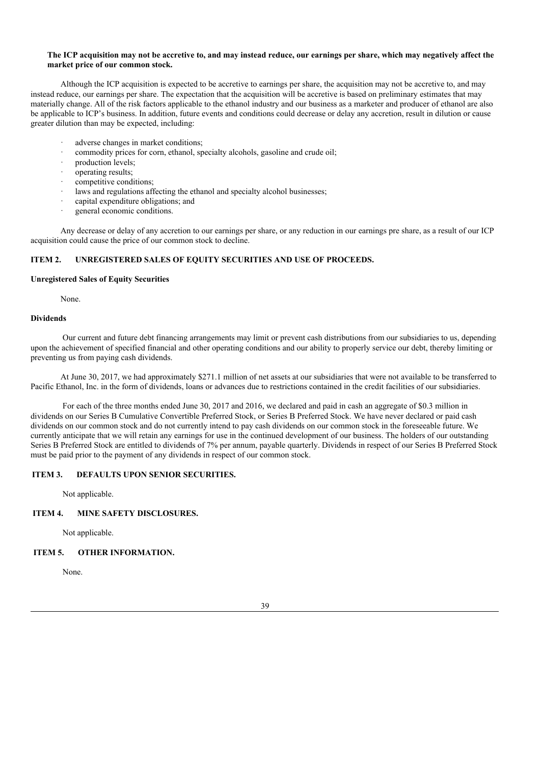### The ICP acquisition may not be accretive to, and may instead reduce, our earnings per share, which may negatively affect the **market price of our common stock.**

Although the ICP acquisition is expected to be accretive to earnings per share, the acquisition may not be accretive to, and may instead reduce, our earnings per share. The expectation that the acquisition will be accretive is based on preliminary estimates that may materially change. All of the risk factors applicable to the ethanol industry and our business as a marketer and producer of ethanol are also be applicable to ICP's business. In addition, future events and conditions could decrease or delay any accretion, result in dilution or cause greater dilution than may be expected, including:

- adverse changes in market conditions;
- commodity prices for corn, ethanol, specialty alcohols, gasoline and crude oil;
- production levels;
- operating results;
- competitive conditions:
- laws and regulations affecting the ethanol and specialty alcohol businesses;
- capital expenditure obligations; and
- general economic conditions.

Any decrease or delay of any accretion to our earnings per share, or any reduction in our earnings pre share, as a result of our ICP acquisition could cause the price of our common stock to decline.

## **ITEM 2. UNREGISTERED SALES OF EQUITY SECURITIES AND USE OF PROCEEDS.**

### **Unregistered Sales of Equity Securities**

None.

## **Dividends**

Our current and future debt financing arrangements may limit or prevent cash distributions from our subsidiaries to us, depending upon the achievement of specified financial and other operating conditions and our ability to properly service our debt, thereby limiting or preventing us from paying cash dividends.

At June 30, 2017, we had approximately \$271.1 million of net assets at our subsidiaries that were not available to be transferred to Pacific Ethanol, Inc. in the form of dividends, loans or advances due to restrictions contained in the credit facilities of our subsidiaries.

For each of the three months ended June 30, 2017 and 2016, we declared and paid in cash an aggregate of \$0.3 million in dividends on our Series B Cumulative Convertible Preferred Stock, or Series B Preferred Stock. We have never declared or paid cash dividends on our common stock and do not currently intend to pay cash dividends on our common stock in the foreseeable future. We currently anticipate that we will retain any earnings for use in the continued development of our business. The holders of our outstanding Series B Preferred Stock are entitled to dividends of 7% per annum, payable quarterly. Dividends in respect of our Series B Preferred Stock must be paid prior to the payment of any dividends in respect of our common stock.

# **ITEM 3. DEFAULTS UPON SENIOR SECURITIES.**

Not applicable.

## **ITEM 4. MINE SAFETY DISCLOSURES.**

Not applicable.

# **ITEM 5. OTHER INFORMATION.**

None.

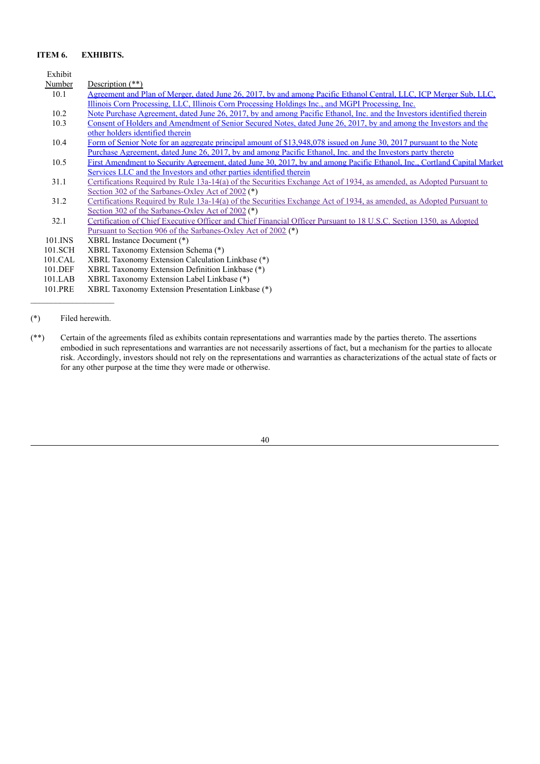# **ITEM 6. EXHIBITS.**

| Exhibit |                                                                                                                         |
|---------|-------------------------------------------------------------------------------------------------------------------------|
| Number  | Description $(**)$                                                                                                      |
| 10.1    | Agreement and Plan of Merger, dated June 26, 2017, by and among Pacific Ethanol Central, LLC, ICP Merger Sub, LLC,      |
|         | Illinois Corn Processing, LLC, Illinois Corn Processing Holdings Inc., and MGPI Processing, Inc.                        |
| 10.2    | Note Purchase Agreement, dated June 26, 2017, by and among Pacific Ethanol, Inc. and the Investors identified therein   |
| 10.3    | Consent of Holders and Amendment of Senior Secured Notes, dated June 26, 2017, by and among the Investors and the       |
|         | other holders identified therein                                                                                        |
| 10.4    | Form of Senior Note for an aggregate principal amount of \$13,948,078 issued on June 30, 2017 pursuant to the Note      |
|         | Purchase Agreement, dated June 26, 2017, by and among Pacific Ethanol, Inc. and the Investors party thereto             |
| 10.5    | First Amendment to Security Agreement, dated June 30, 2017, by and among Pacific Ethanol, Inc., Cortland Capital Market |
|         | Services LLC and the Investors and other parties identified therein                                                     |
| 31.1    | Certifications Required by Rule 13a-14(a) of the Securities Exchange Act of 1934, as amended, as Adopted Pursuant to    |
|         | Section 302 of the Sarbanes-Oxley Act of 2002 (*)                                                                       |
| 31.2    | Certifications Required by Rule 13a-14(a) of the Securities Exchange Act of 1934, as amended, as Adopted Pursuant to    |
|         | Section 302 of the Sarbanes-Oxley Act of 2002 (*)                                                                       |
| 32.1    | Certification of Chief Executive Officer and Chief Financial Officer Pursuant to 18 U.S.C. Section 1350, as Adopted     |
|         | Pursuant to Section 906 of the Sarbanes-Oxley Act of 2002 (*)                                                           |
| 101.INS | XBRL Instance Document (*)                                                                                              |
| 101.SCH | XBRL Taxonomy Extension Schema (*)                                                                                      |
| 101.CAL | XBRL Taxonomy Extension Calculation Linkbase (*)                                                                        |
| 101.DEF | XBRL Taxonomy Extension Definition Linkbase (*)                                                                         |
| 101.LAB | XBRL Taxonomy Extension Label Linkbase (*)                                                                              |
| 101.PRE | XBRL Taxonomy Extension Presentation Linkbase (*)                                                                       |

<sup>(\*)</sup> Filed herewith.

 $\mathcal{L}_\text{max}$ 

(\*\*) Certain of the agreements filed as exhibits contain representations and warranties made by the parties thereto. The assertions embodied in such representations and warranties are not necessarily assertions of fact, but a mechanism for the parties to allocate risk. Accordingly, investors should not rely on the representations and warranties as characterizations of the actual state of facts or for any other purpose at the time they were made or otherwise.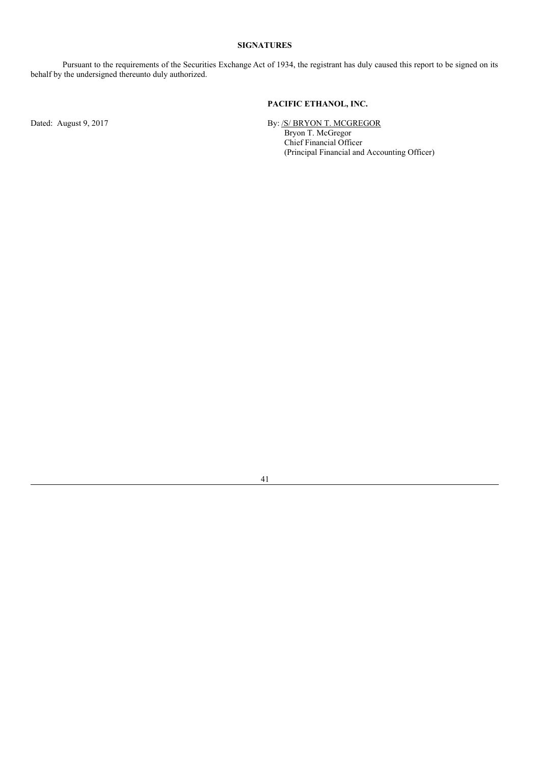# **SIGNATURES**

Pursuant to the requirements of the Securities Exchange Act of 1934, the registrant has duly caused this report to be signed on its behalf by the undersigned thereunto duly authorized.

# **PACIFIC ETHANOL, INC.**

Dated: August 9, 2017 By: /S/ BRYON T. MCGREGOR

Bryon T. McGregor Chief Financial Officer (Principal Financial and Accounting Officer)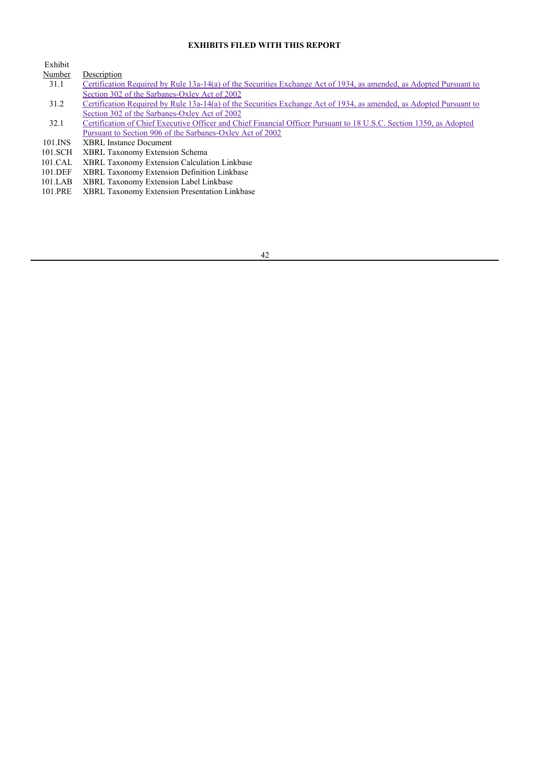# **EXHIBITS FILED WITH THIS REPORT**

# Exhibit

- Number Description
- 31.1 Certification Required by Rule 13a-14(a) of the Securities Exchange Act of 1934, as amended, as Adopted Pursuant to Section 302 of the Sarbanes-Oxley Act of 2002
- 31.2 Certification Required by Rule 13a-14(a) of the Securities Exchange Act of 1934, as amended, as Adopted Pursuant to Section 302 of the Sarbanes-Oxley Act of 2002
- 32.1 Certification of Chief Executive Officer and Chief Financial Officer Pursuant to 18 U.S.C. Section 1350, as Adopted Pursuant to Section 906 of the Sarbanes-Oxley Act of 2002
- 101.INS XBRL Instance Document<br>101.SCH XBRL Taxonomy Extensio
- XBRL Taxonomy Extension Schema
- 101.CAL XBRL Taxonomy Extension Calculation Linkbase
- 101.DEF XBRL Taxonomy Extension Definition Linkbase
- 101.LAB XBRL Taxonomy Extension Label Linkbase
- 101.PRE XBRL Taxonomy Extension Presentation Linkbase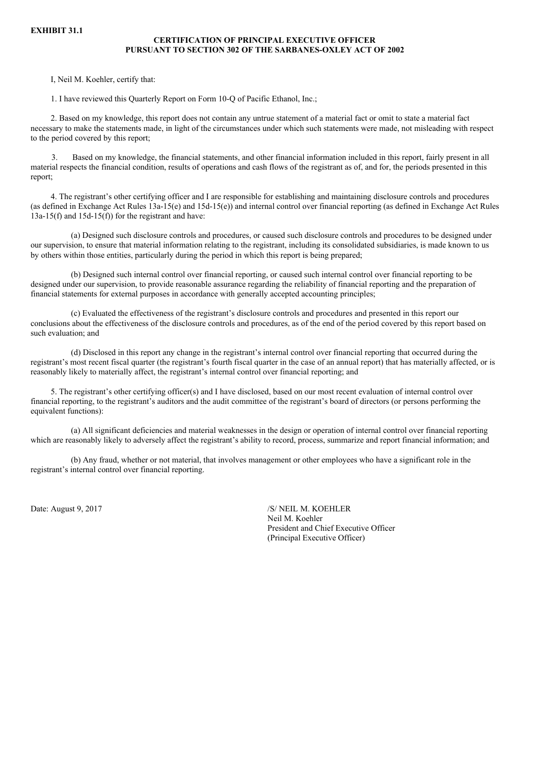# **CERTIFICATION OF PRINCIPAL EXECUTIVE OFFICER PURSUANT TO SECTION 302 OF THE SARBANES-OXLEY ACT OF 2002**

I, Neil M. Koehler, certify that:

1. I have reviewed this Quarterly Report on Form 10-Q of Pacific Ethanol, Inc.;

2. Based on my knowledge, this report does not contain any untrue statement of a material fact or omit to state a material fact necessary to make the statements made, in light of the circumstances under which such statements were made, not misleading with respect to the period covered by this report;

3. Based on my knowledge, the financial statements, and other financial information included in this report, fairly present in all material respects the financial condition, results of operations and cash flows of the registrant as of, and for, the periods presented in this report;

4. The registrant's other certifying officer and I are responsible for establishing and maintaining disclosure controls and procedures (as defined in Exchange Act Rules 13a-15(e) and 15d-15(e)) and internal control over financial reporting (as defined in Exchange Act Rules  $13a-15(f)$  and  $15d-15(f)$  for the registrant and have:

(a) Designed such disclosure controls and procedures, or caused such disclosure controls and procedures to be designed under our supervision, to ensure that material information relating to the registrant, including its consolidated subsidiaries, is made known to us by others within those entities, particularly during the period in which this report is being prepared;

(b) Designed such internal control over financial reporting, or caused such internal control over financial reporting to be designed under our supervision, to provide reasonable assurance regarding the reliability of financial reporting and the preparation of financial statements for external purposes in accordance with generally accepted accounting principles;

(c) Evaluated the effectiveness of the registrant's disclosure controls and procedures and presented in this report our conclusions about the effectiveness of the disclosure controls and procedures, as of the end of the period covered by this report based on such evaluation; and

(d) Disclosed in this report any change in the registrant's internal control over financial reporting that occurred during the registrant's most recent fiscal quarter (the registrant's fourth fiscal quarter in the case of an annual report) that has materially affected, or is reasonably likely to materially affect, the registrant's internal control over financial reporting; and

5. The registrant's other certifying officer(s) and I have disclosed, based on our most recent evaluation of internal control over financial reporting, to the registrant's auditors and the audit committee of the registrant's board of directors (or persons performing the equivalent functions):

(a) All significant deficiencies and material weaknesses in the design or operation of internal control over financial reporting which are reasonably likely to adversely affect the registrant's ability to record, process, summarize and report financial information; and

(b) Any fraud, whether or not material, that involves management or other employees who have a significant role in the registrant's internal control over financial reporting.

Date: August 9, 2017 /S/ NEIL M. KOEHLER Neil M. Koehler President and Chief Executive Officer (Principal Executive Officer)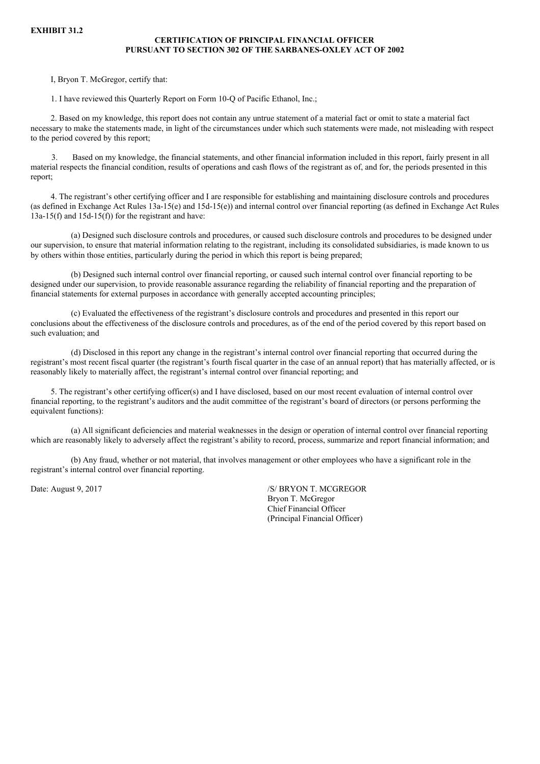# **CERTIFICATION OF PRINCIPAL FINANCIAL OFFICER PURSUANT TO SECTION 302 OF THE SARBANES-OXLEY ACT OF 2002**

I, Bryon T. McGregor, certify that:

1. I have reviewed this Quarterly Report on Form 10-Q of Pacific Ethanol, Inc.;

2. Based on my knowledge, this report does not contain any untrue statement of a material fact or omit to state a material fact necessary to make the statements made, in light of the circumstances under which such statements were made, not misleading with respect to the period covered by this report;

3. Based on my knowledge, the financial statements, and other financial information included in this report, fairly present in all material respects the financial condition, results of operations and cash flows of the registrant as of, and for, the periods presented in this report;

4. The registrant's other certifying officer and I are responsible for establishing and maintaining disclosure controls and procedures (as defined in Exchange Act Rules 13a-15(e) and 15d-15(e)) and internal control over financial reporting (as defined in Exchange Act Rules  $13a-15(f)$  and  $15d-15(f)$  for the registrant and have:

(a) Designed such disclosure controls and procedures, or caused such disclosure controls and procedures to be designed under our supervision, to ensure that material information relating to the registrant, including its consolidated subsidiaries, is made known to us by others within those entities, particularly during the period in which this report is being prepared;

(b) Designed such internal control over financial reporting, or caused such internal control over financial reporting to be designed under our supervision, to provide reasonable assurance regarding the reliability of financial reporting and the preparation of financial statements for external purposes in accordance with generally accepted accounting principles;

(c) Evaluated the effectiveness of the registrant's disclosure controls and procedures and presented in this report our conclusions about the effectiveness of the disclosure controls and procedures, as of the end of the period covered by this report based on such evaluation; and

(d) Disclosed in this report any change in the registrant's internal control over financial reporting that occurred during the registrant's most recent fiscal quarter (the registrant's fourth fiscal quarter in the case of an annual report) that has materially affected, or is reasonably likely to materially affect, the registrant's internal control over financial reporting; and

5. The registrant's other certifying officer(s) and I have disclosed, based on our most recent evaluation of internal control over financial reporting, to the registrant's auditors and the audit committee of the registrant's board of directors (or persons performing the equivalent functions):

(a) All significant deficiencies and material weaknesses in the design or operation of internal control over financial reporting which are reasonably likely to adversely affect the registrant's ability to record, process, summarize and report financial information; and

(b) Any fraud, whether or not material, that involves management or other employees who have a significant role in the registrant's internal control over financial reporting.

Date: August 9, 2017 *CONFERENT MEGREGOR CONFERENT MEGREGOR* Bryon T. McGregor Chief Financial Officer (Principal Financial Officer)